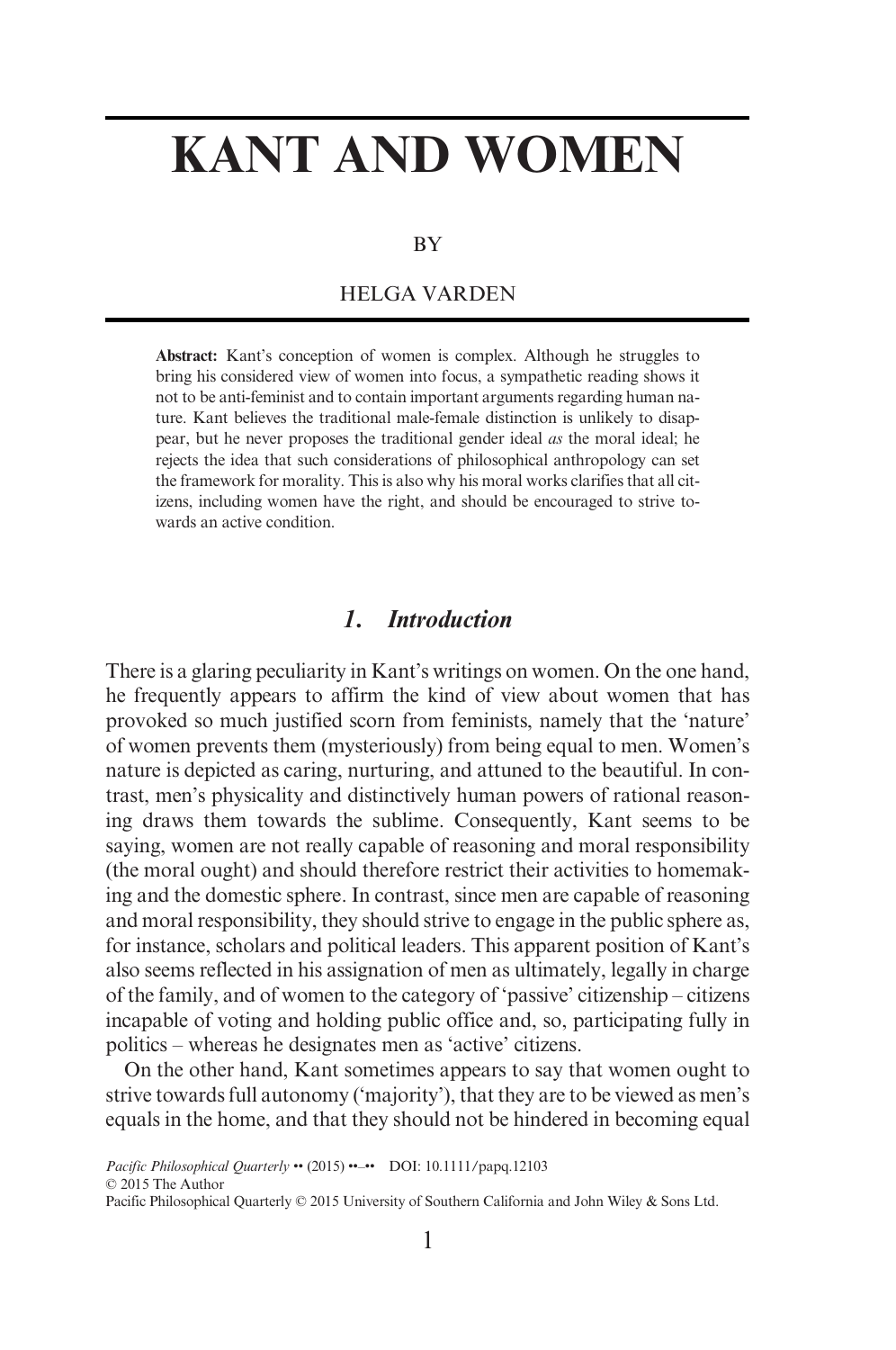# KANT AND WOMEN

## BY

## HELGA VARDEN

Abstract: Kant's conception of women is complex. Although he struggles to bring his considered view of women into focus, a sympathetic reading shows it not to be anti-feminist and to contain important arguments regarding human nature. Kant believes the traditional male-female distinction is unlikely to disappear, but he never proposes the traditional gender ideal as the moral ideal; he rejects the idea that such considerations of philosophical anthropology can set the framework for morality. This is also why his moral works clarifies that all citizens, including women have the right, and should be encouraged to strive towards an active condition.

# 1. Introduction

There is a glaring peculiarity in Kant's writings on women. On the one hand, he frequently appears to affirm the kind of view about women that has provoked so much justified scorn from feminists, namely that the 'nature' of women prevents them (mysteriously) from being equal to men. Women's nature is depicted as caring, nurturing, and attuned to the beautiful. In contrast, men's physicality and distinctively human powers of rational reasoning draws them towards the sublime. Consequently, Kant seems to be saying, women are not really capable of reasoning and moral responsibility (the moral ought) and should therefore restrict their activities to homemaking and the domestic sphere. In contrast, since men are capable of reasoning and moral responsibility, they should strive to engage in the public sphere as, for instance, scholars and political leaders. This apparent position of Kant's also seems reflected in his assignation of men as ultimately, legally in charge of the family, and of women to the category of 'passive' citizenship – citizens incapable of voting and holding public office and, so, participating fully in politics – whereas he designates men as 'active' citizens.

On the other hand, Kant sometimes appears to say that women ought to strive towards full autonomy ('majority'), that they are to be viewed as men's equals in the home, and that they should not be hindered in becoming equal

Pacific Philosophical Quarterly •• (2015) ••–•• DOI: 10.1111/papq.12103 © 2015 The Author Pacific Philosophical Quarterly © 2015 University of Southern California and John Wiley & Sons Ltd.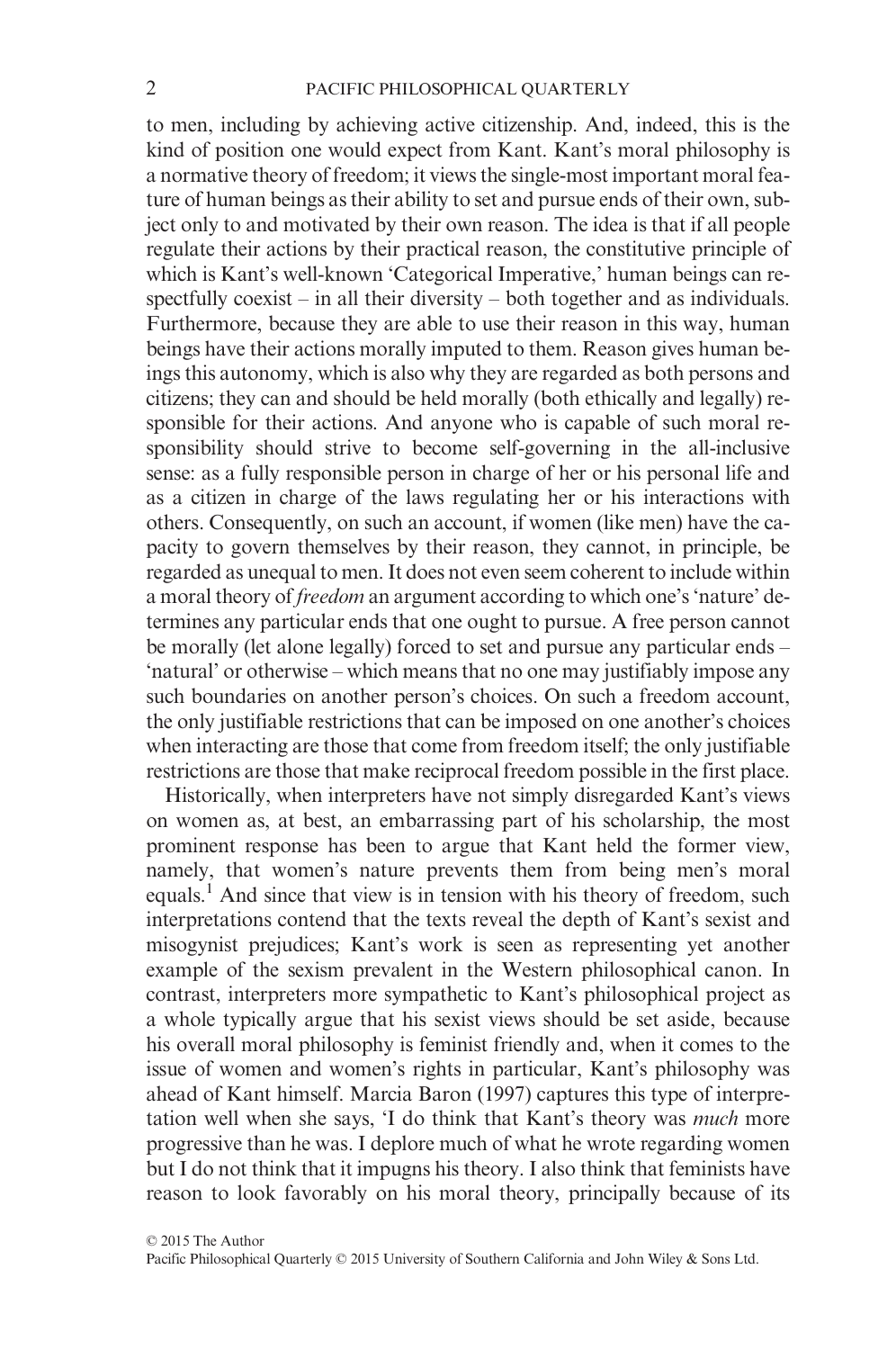to men, including by achieving active citizenship. And, indeed, this is the kind of position one would expect from Kant. Kant's moral philosophy is a normative theory of freedom; it views the single-most important moral feature of human beings as their ability to set and pursue ends of their own, subject only to and motivated by their own reason. The idea is that if all people regulate their actions by their practical reason, the constitutive principle of which is Kant's well-known 'Categorical Imperative,' human beings can respectfully coexist – in all their diversity – both together and as individuals. Furthermore, because they are able to use their reason in this way, human beings have their actions morally imputed to them. Reason gives human beings this autonomy, which is also why they are regarded as both persons and citizens; they can and should be held morally (both ethically and legally) responsible for their actions. And anyone who is capable of such moral responsibility should strive to become self-governing in the all-inclusive sense: as a fully responsible person in charge of her or his personal life and as a citizen in charge of the laws regulating her or his interactions with others. Consequently, on such an account, if women (like men) have the capacity to govern themselves by their reason, they cannot, in principle, be regarded as unequal to men. It does not even seem coherent to include within a moral theory of freedom an argument according to which one's'nature' determines any particular ends that one ought to pursue. A free person cannot be morally (let alone legally) forced to set and pursue any particular ends – 'natural' or otherwise – which means that no one may justifiably impose any such boundaries on another person's choices. On such a freedom account, the only justifiable restrictions that can be imposed on one another's choices when interacting are those that come from freedom itself; the only justifiable restrictions are those that make reciprocal freedom possible in the first place.

Historically, when interpreters have not simply disregarded Kant's views on women as, at best, an embarrassing part of his scholarship, the most prominent response has been to argue that Kant held the former view, namely, that women's nature prevents them from being men's moral equals.<sup>1</sup> And since that view is in tension with his theory of freedom, such interpretations contend that the texts reveal the depth of Kant's sexist and misogynist prejudices; Kant's work is seen as representing yet another example of the sexism prevalent in the Western philosophical canon. In contrast, interpreters more sympathetic to Kant's philosophical project as a whole typically argue that his sexist views should be set aside, because his overall moral philosophy is feminist friendly and, when it comes to the issue of women and women's rights in particular, Kant's philosophy was ahead of Kant himself. Marcia Baron (1997) captures this type of interpretation well when she says, 'I do think that Kant's theory was much more progressive than he was. I deplore much of what he wrote regarding women but I do not think that it impugns his theory. I also think that feminists have reason to look favorably on his moral theory, principally because of its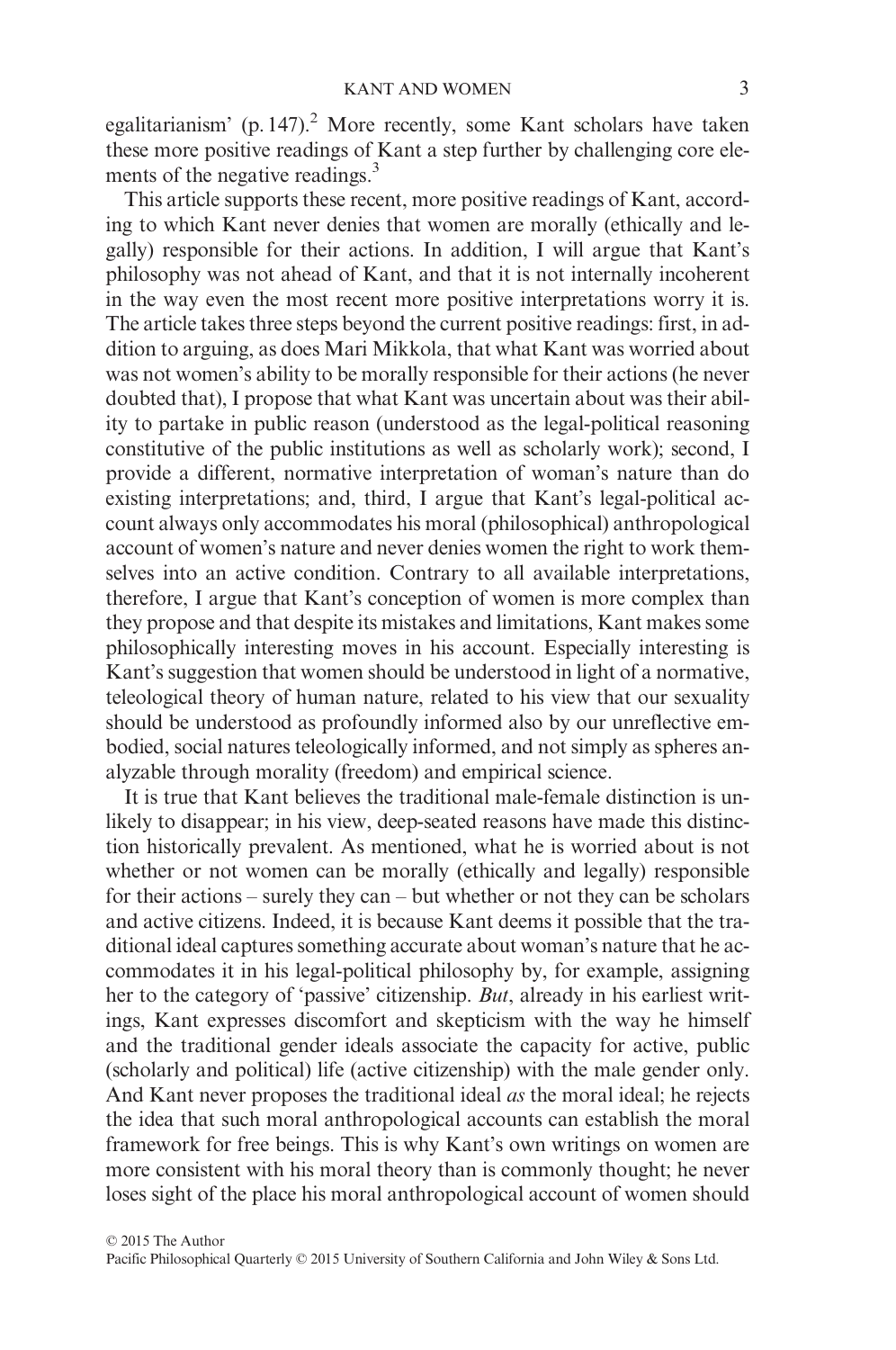egalitarianism' (p. 147).<sup>2</sup> More recently, some Kant scholars have taken these more positive readings of Kant a step further by challenging core elements of the negative readings.<sup>3</sup>

This article supports these recent, more positive readings of Kant, according to which Kant never denies that women are morally (ethically and legally) responsible for their actions. In addition, I will argue that Kant's philosophy was not ahead of Kant, and that it is not internally incoherent in the way even the most recent more positive interpretations worry it is. The article takes three steps beyond the current positive readings: first, in addition to arguing, as does Mari Mikkola, that what Kant was worried about was not women's ability to be morally responsible for their actions (he never doubted that), I propose that what Kant was uncertain about was their ability to partake in public reason (understood as the legal-political reasoning constitutive of the public institutions as well as scholarly work); second, I provide a different, normative interpretation of woman's nature than do existing interpretations; and, third, I argue that Kant's legal-political account always only accommodates his moral (philosophical) anthropological account of women's nature and never denies women the right to work themselves into an active condition. Contrary to all available interpretations, therefore, I argue that Kant's conception of women is more complex than they propose and that despite its mistakes and limitations, Kant makes some philosophically interesting moves in his account. Especially interesting is Kant's suggestion that women should be understood in light of a normative, teleological theory of human nature, related to his view that our sexuality should be understood as profoundly informed also by our unreflective embodied, social natures teleologically informed, and not simply as spheres analyzable through morality (freedom) and empirical science.

It is true that Kant believes the traditional male-female distinction is unlikely to disappear; in his view, deep-seated reasons have made this distinction historically prevalent. As mentioned, what he is worried about is not whether or not women can be morally (ethically and legally) responsible for their actions – surely they can – but whether or not they can be scholars and active citizens. Indeed, it is because Kant deems it possible that the traditional ideal captures something accurate about woman's nature that he accommodates it in his legal-political philosophy by, for example, assigning her to the category of 'passive' citizenship. But, already in his earliest writings, Kant expresses discomfort and skepticism with the way he himself and the traditional gender ideals associate the capacity for active, public (scholarly and political) life (active citizenship) with the male gender only. And Kant never proposes the traditional ideal as the moral ideal; he rejects the idea that such moral anthropological accounts can establish the moral framework for free beings. This is why Kant's own writings on women are more consistent with his moral theory than is commonly thought; he never loses sight of the place his moral anthropological account of women should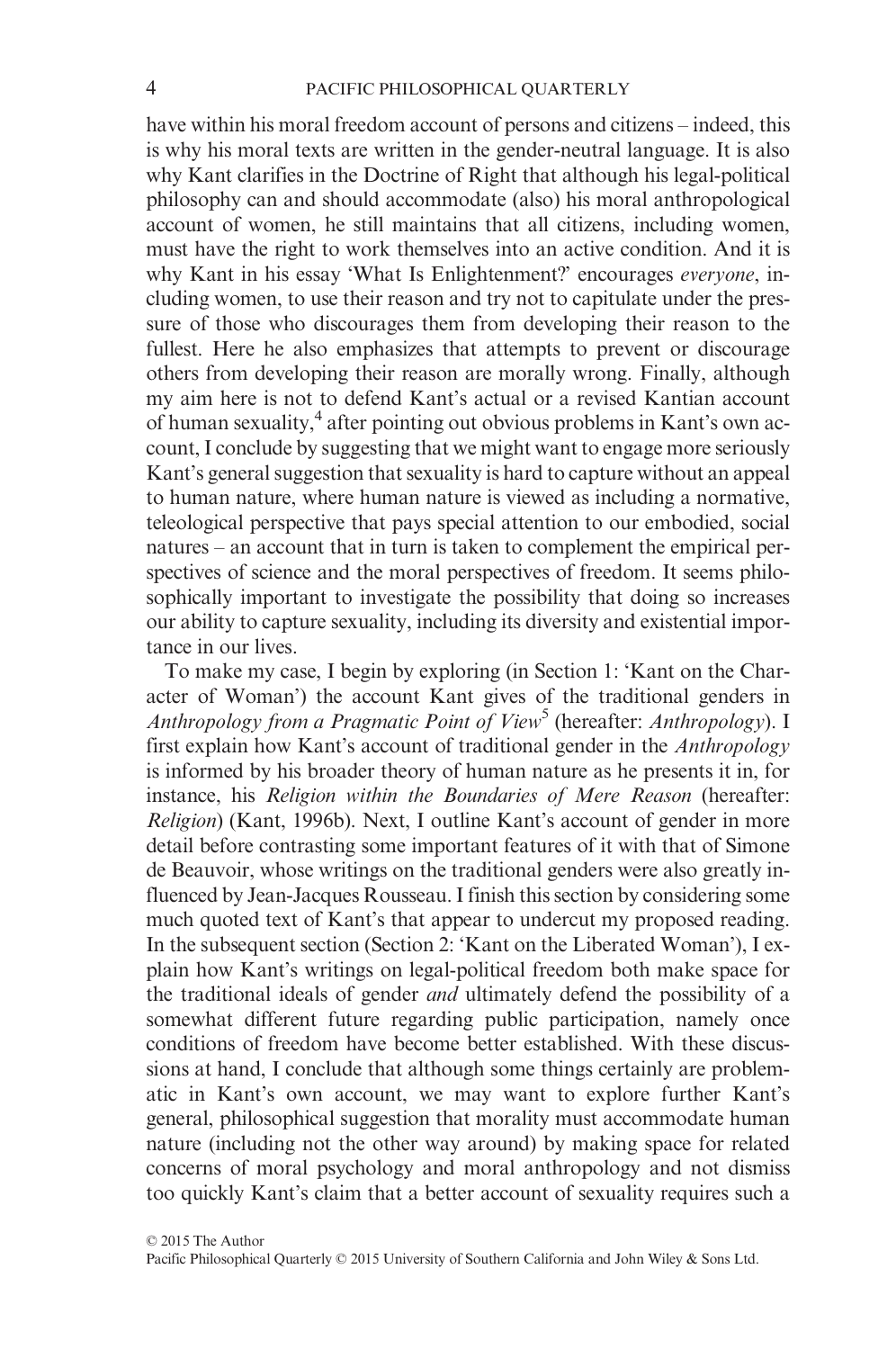have within his moral freedom account of persons and citizens – indeed, this is why his moral texts are written in the gender-neutral language. It is also why Kant clarifies in the Doctrine of Right that although his legal-political philosophy can and should accommodate (also) his moral anthropological account of women, he still maintains that all citizens, including women, must have the right to work themselves into an active condition. And it is why Kant in his essay 'What Is Enlightenment?' encourages everyone, including women, to use their reason and try not to capitulate under the pressure of those who discourages them from developing their reason to the fullest. Here he also emphasizes that attempts to prevent or discourage others from developing their reason are morally wrong. Finally, although my aim here is not to defend Kant's actual or a revised Kantian account of human sexuality,4 after pointing out obvious problems in Kant's own account, I conclude by suggesting that we might want to engage more seriously Kant's general suggestion that sexuality is hard to capture without an appeal to human nature, where human nature is viewed as including a normative, teleological perspective that pays special attention to our embodied, social natures – an account that in turn is taken to complement the empirical perspectives of science and the moral perspectives of freedom. It seems philosophically important to investigate the possibility that doing so increases our ability to capture sexuality, including its diversity and existential importance in our lives.

To make my case, I begin by exploring (in Section 1: 'Kant on the Character of Woman') the account Kant gives of the traditional genders in Anthropology from a Pragmatic Point of View<sup>5</sup> (hereafter: Anthropology). I first explain how Kant's account of traditional gender in the Anthropology is informed by his broader theory of human nature as he presents it in, for instance, his Religion within the Boundaries of Mere Reason (hereafter: Religion) (Kant, 1996b). Next, I outline Kant's account of gender in more detail before contrasting some important features of it with that of Simone de Beauvoir, whose writings on the traditional genders were also greatly influenced by Jean-Jacques Rousseau. I finish this section by considering some much quoted text of Kant's that appear to undercut my proposed reading. In the subsequent section (Section 2: 'Kant on the Liberated Woman'), I explain how Kant's writings on legal-political freedom both make space for the traditional ideals of gender and ultimately defend the possibility of a somewhat different future regarding public participation, namely once conditions of freedom have become better established. With these discussions at hand, I conclude that although some things certainly are problematic in Kant's own account, we may want to explore further Kant's general, philosophical suggestion that morality must accommodate human nature (including not the other way around) by making space for related concerns of moral psychology and moral anthropology and not dismiss too quickly Kant's claim that a better account of sexuality requires such a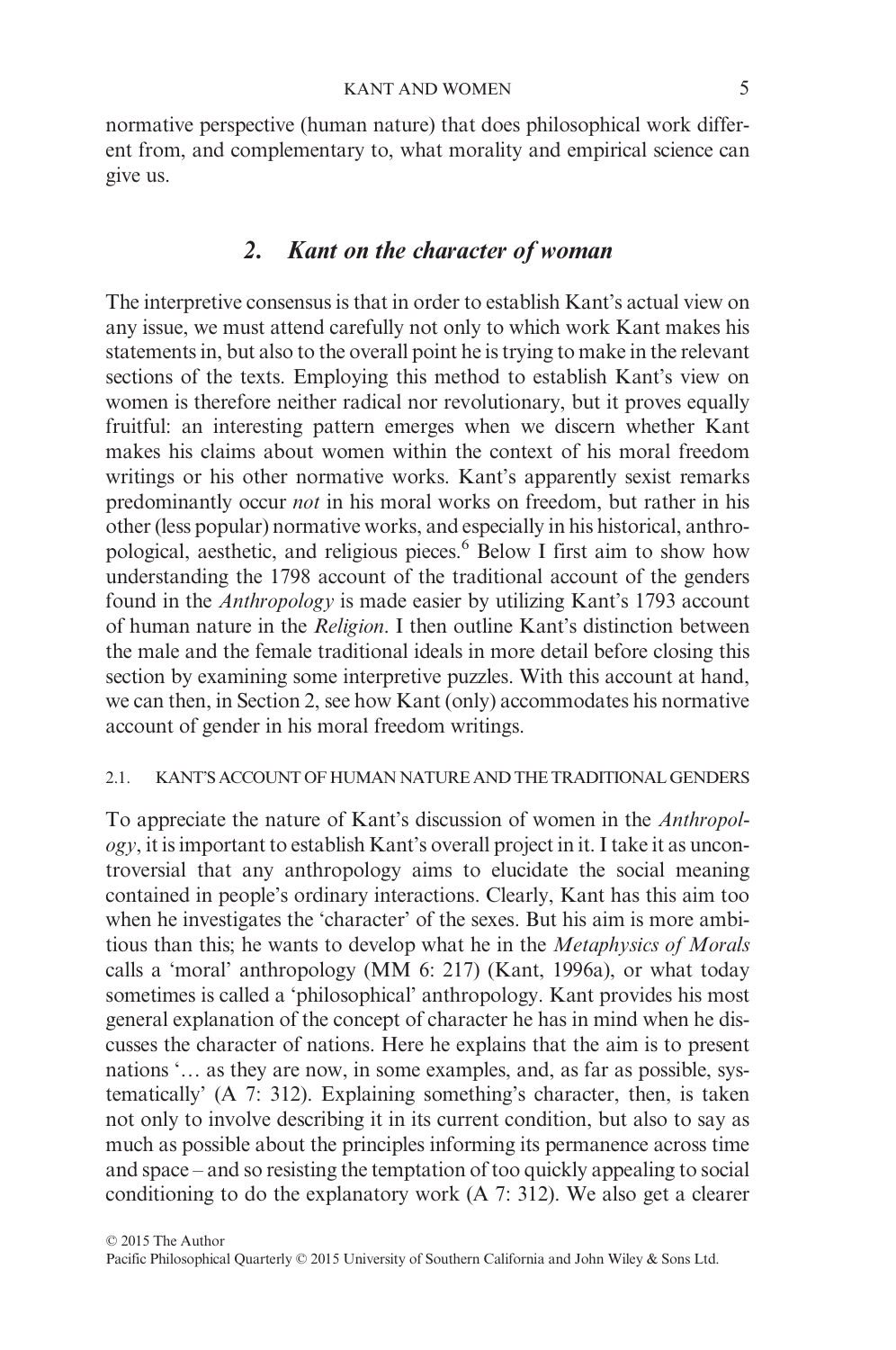normative perspective (human nature) that does philosophical work different from, and complementary to, what morality and empirical science can give us.

## 2. Kant on the character of woman

The interpretive consensus is that in order to establish Kant's actual view on any issue, we must attend carefully not only to which work Kant makes his statements in, but also to the overall point he is trying to make in the relevant sections of the texts. Employing this method to establish Kant's view on women is therefore neither radical nor revolutionary, but it proves equally fruitful: an interesting pattern emerges when we discern whether Kant makes his claims about women within the context of his moral freedom writings or his other normative works. Kant's apparently sexist remarks predominantly occur not in his moral works on freedom, but rather in his other (less popular) normative works, and especially in his historical, anthropological, aesthetic, and religious pieces.<sup>6</sup> Below I first aim to show how understanding the 1798 account of the traditional account of the genders found in the Anthropology is made easier by utilizing Kant's 1793 account of human nature in the Religion. I then outline Kant's distinction between the male and the female traditional ideals in more detail before closing this section by examining some interpretive puzzles. With this account at hand, we can then, in Section 2, see how Kant (only) accommodates his normative account of gender in his moral freedom writings.

## 2.1. KANT'S ACCOUNT OF HUMAN NATURE AND THE TRADITIONAL GENDERS

To appreciate the nature of Kant's discussion of women in the Anthropology, it is important to establish Kant's overall project in it. I take it as uncontroversial that any anthropology aims to elucidate the social meaning contained in people's ordinary interactions. Clearly, Kant has this aim too when he investigates the 'character' of the sexes. But his aim is more ambitious than this; he wants to develop what he in the Metaphysics of Morals calls a 'moral' anthropology (MM 6: 217) (Kant, 1996a), or what today sometimes is called a 'philosophical' anthropology. Kant provides his most general explanation of the concept of character he has in mind when he discusses the character of nations. Here he explains that the aim is to present nations '… as they are now, in some examples, and, as far as possible, systematically' (A 7: 312). Explaining something's character, then, is taken not only to involve describing it in its current condition, but also to say as much as possible about the principles informing its permanence across time and space – and so resisting the temptation of too quickly appealing to social conditioning to do the explanatory work (A 7: 312). We also get a clearer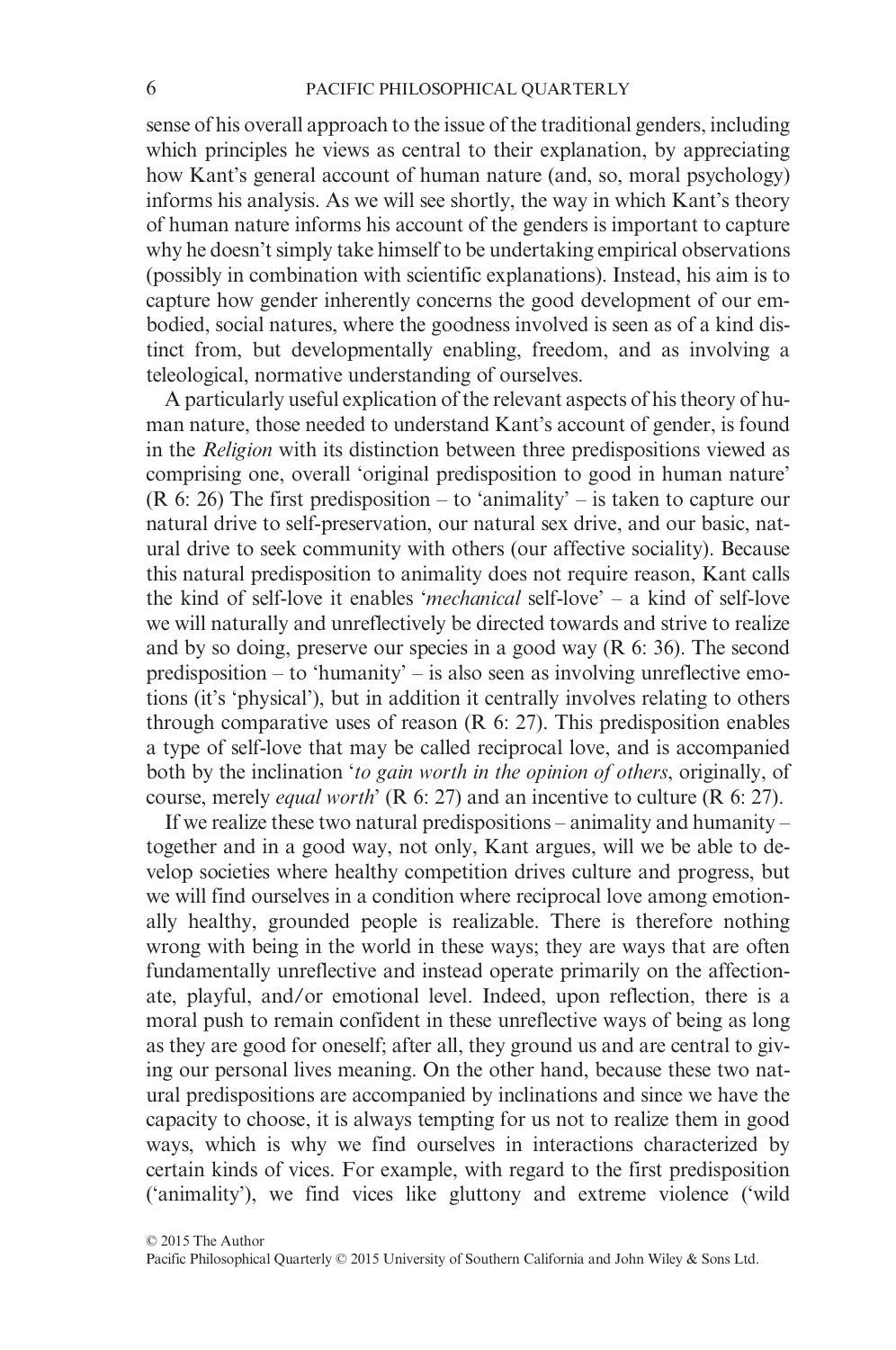sense of his overall approach to the issue of the traditional genders, including which principles he views as central to their explanation, by appreciating how Kant's general account of human nature (and, so, moral psychology) informs his analysis. As we will see shortly, the way in which Kant's theory of human nature informs his account of the genders is important to capture why he doesn't simply take himself to be undertaking empirical observations (possibly in combination with scientific explanations). Instead, his aim is to capture how gender inherently concerns the good development of our embodied, social natures, where the goodness involved is seen as of a kind distinct from, but developmentally enabling, freedom, and as involving a teleological, normative understanding of ourselves.

A particularly useful explication of the relevant aspects of his theory of human nature, those needed to understand Kant's account of gender, is found in the Religion with its distinction between three predispositions viewed as comprising one, overall 'original predisposition to good in human nature'  $(R 6: 26)$  The first predisposition – to 'animality' – is taken to capture our natural drive to self-preservation, our natural sex drive, and our basic, natural drive to seek community with others (our affective sociality). Because this natural predisposition to animality does not require reason, Kant calls the kind of self-love it enables 'mechanical self-love' – a kind of self-love we will naturally and unreflectively be directed towards and strive to realize and by so doing, preserve our species in a good way (R 6: 36). The second predisposition – to 'humanity' – is also seen as involving unreflective emotions (it's 'physical'), but in addition it centrally involves relating to others through comparative uses of reason (R 6: 27). This predisposition enables a type of self-love that may be called reciprocal love, and is accompanied both by the inclination 'to gain worth in the opinion of others, originally, of course, merely equal worth' (R 6: 27) and an incentive to culture (R 6: 27).

If we realize these two natural predispositions – animality and humanity – together and in a good way, not only, Kant argues, will we be able to develop societies where healthy competition drives culture and progress, but we will find ourselves in a condition where reciprocal love among emotionally healthy, grounded people is realizable. There is therefore nothing wrong with being in the world in these ways; they are ways that are often fundamentally unreflective and instead operate primarily on the affectionate, playful, and/or emotional level. Indeed, upon reflection, there is a moral push to remain confident in these unreflective ways of being as long as they are good for oneself; after all, they ground us and are central to giving our personal lives meaning. On the other hand, because these two natural predispositions are accompanied by inclinations and since we have the capacity to choose, it is always tempting for us not to realize them in good ways, which is why we find ourselves in interactions characterized by certain kinds of vices. For example, with regard to the first predisposition ('animality'), we find vices like gluttony and extreme violence ('wild

Pacific Philosophical Quarterly © 2015 University of Southern California and John Wiley & Sons Ltd.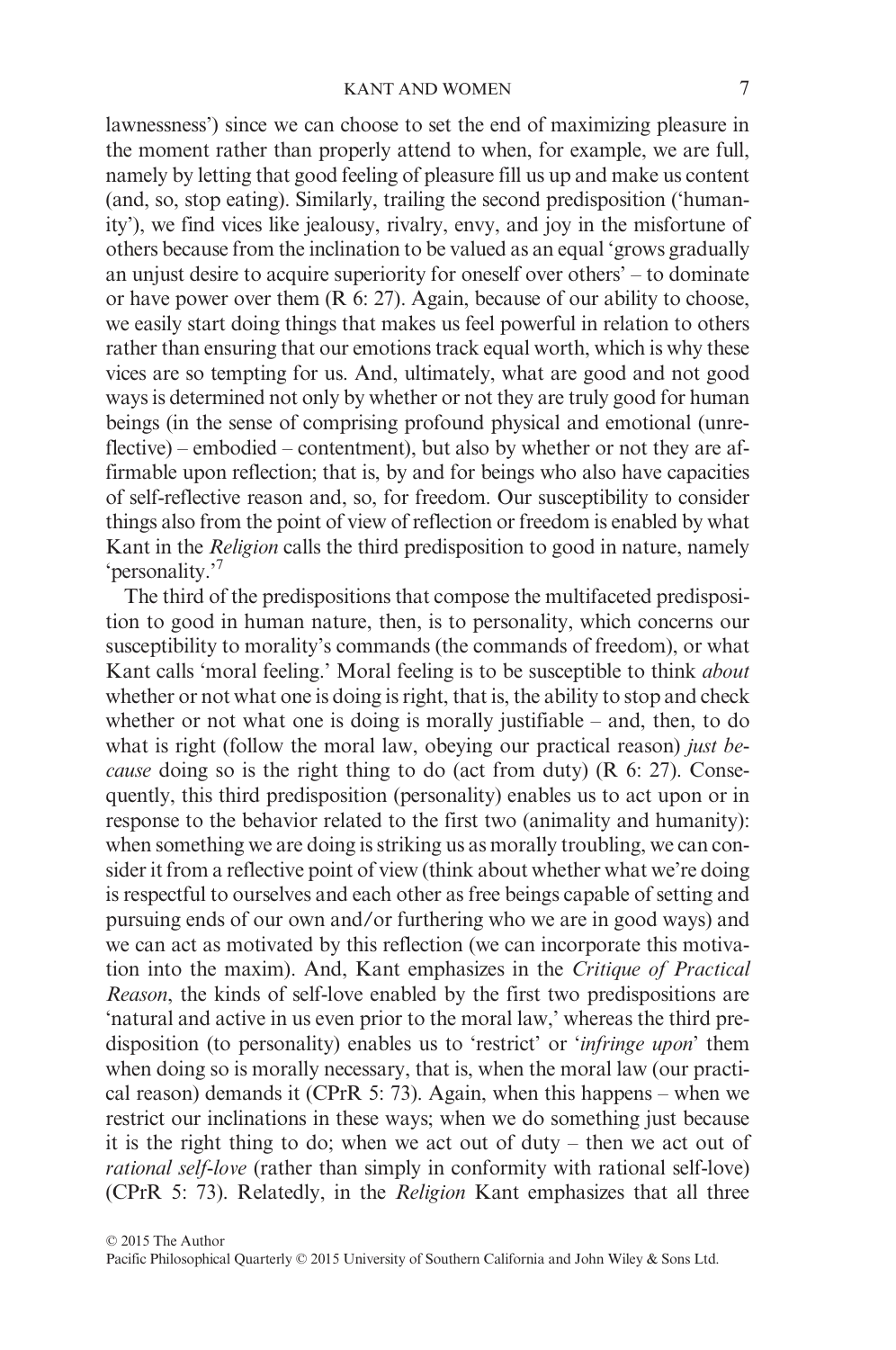lawnessness') since we can choose to set the end of maximizing pleasure in the moment rather than properly attend to when, for example, we are full, namely by letting that good feeling of pleasure fill us up and make us content (and, so, stop eating). Similarly, trailing the second predisposition ('humanity'), we find vices like jealousy, rivalry, envy, and joy in the misfortune of others because from the inclination to be valued as an equal 'grows gradually an unjust desire to acquire superiority for oneself over others' – to dominate or have power over them (R 6: 27). Again, because of our ability to choose, we easily start doing things that makes us feel powerful in relation to others rather than ensuring that our emotions track equal worth, which is why these vices are so tempting for us. And, ultimately, what are good and not good ways is determined not only by whether or not they are truly good for human beings (in the sense of comprising profound physical and emotional (unreflective) – embodied – contentment), but also by whether or not they are affirmable upon reflection; that is, by and for beings who also have capacities of self-reflective reason and, so, for freedom. Our susceptibility to consider things also from the point of view of reflection or freedom is enabled by what Kant in the Religion calls the third predisposition to good in nature, namely 'personality.' 7

The third of the predispositions that compose the multifaceted predisposition to good in human nature, then, is to personality, which concerns our susceptibility to morality's commands (the commands of freedom), or what Kant calls 'moral feeling.' Moral feeling is to be susceptible to think about whether or not what one is doing is right, that is, the ability to stop and check whether or not what one is doing is morally justifiable – and, then, to do what is right (follow the moral law, obeying our practical reason) just because doing so is the right thing to do (act from duty) (R 6: 27). Consequently, this third predisposition (personality) enables us to act upon or in response to the behavior related to the first two (animality and humanity): when something we are doing is striking us as morally troubling, we can consider it from a reflective point of view (think about whether what we're doing is respectful to ourselves and each other as free beings capable of setting and pursuing ends of our own and/or furthering who we are in good ways) and we can act as motivated by this reflection (we can incorporate this motivation into the maxim). And, Kant emphasizes in the Critique of Practical Reason, the kinds of self-love enabled by the first two predispositions are 'natural and active in us even prior to the moral law,' whereas the third predisposition (to personality) enables us to 'restrict' or 'infringe upon' them when doing so is morally necessary, that is, when the moral law (our practical reason) demands it (CPrR 5: 73). Again, when this happens – when we restrict our inclinations in these ways; when we do something just because it is the right thing to do; when we act out of duty – then we act out of rational self-love (rather than simply in conformity with rational self-love) (CPrR 5: 73). Relatedly, in the Religion Kant emphasizes that all three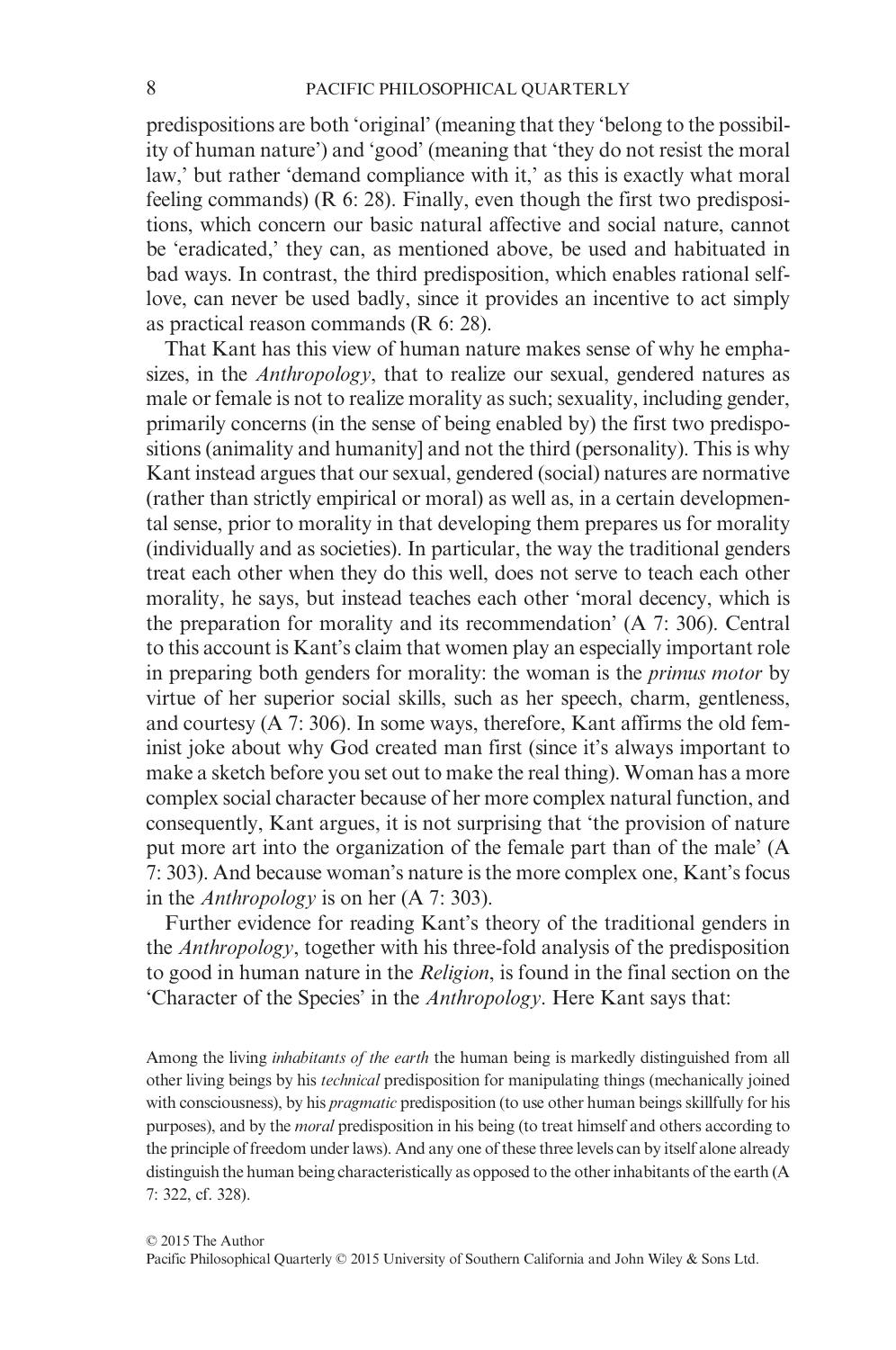predispositions are both 'original' (meaning that they 'belong to the possibility of human nature') and 'good' (meaning that 'they do not resist the moral law,' but rather 'demand compliance with it,' as this is exactly what moral feeling commands) (R 6: 28). Finally, even though the first two predispositions, which concern our basic natural affective and social nature, cannot be 'eradicated,' they can, as mentioned above, be used and habituated in bad ways. In contrast, the third predisposition, which enables rational selflove, can never be used badly, since it provides an incentive to act simply as practical reason commands (R 6: 28).

That Kant has this view of human nature makes sense of why he emphasizes, in the Anthropology, that to realize our sexual, gendered natures as male or female is not to realize morality as such; sexuality, including gender, primarily concerns (in the sense of being enabled by) the first two predispositions (animality and humanity] and not the third (personality). This is why Kant instead argues that our sexual, gendered (social) natures are normative (rather than strictly empirical or moral) as well as, in a certain developmental sense, prior to morality in that developing them prepares us for morality (individually and as societies). In particular, the way the traditional genders treat each other when they do this well, does not serve to teach each other morality, he says, but instead teaches each other 'moral decency, which is the preparation for morality and its recommendation' (A 7: 306). Central to this account is Kant's claim that women play an especially important role in preparing both genders for morality: the woman is the primus motor by virtue of her superior social skills, such as her speech, charm, gentleness, and courtesy (A 7: 306). In some ways, therefore, Kant affirms the old feminist joke about why God created man first (since it's always important to make a sketch before you set out to make the real thing). Woman has a more complex social character because of her more complex natural function, and consequently, Kant argues, it is not surprising that 'the provision of nature put more art into the organization of the female part than of the male' (A 7: 303). And because woman's nature is the more complex one, Kant's focus in the Anthropology is on her (A 7: 303).

Further evidence for reading Kant's theory of the traditional genders in the Anthropology, together with his three-fold analysis of the predisposition to good in human nature in the Religion, is found in the final section on the 'Character of the Species' in the Anthropology. Here Kant says that:

Among the living *inhabitants of the earth* the human being is markedly distinguished from all other living beings by his technical predisposition for manipulating things (mechanically joined with consciousness), by his *pragmatic* predisposition (to use other human beings skillfully for his purposes), and by the moral predisposition in his being (to treat himself and others according to the principle of freedom under laws). And any one of these three levels can by itself alone already distinguish the human being characteristically as opposed to the other inhabitants of the earth (A 7: 322, cf. 328).

Pacific Philosophical Quarterly © 2015 University of Southern California and John Wiley & Sons Ltd.

<sup>© 2015</sup> The Author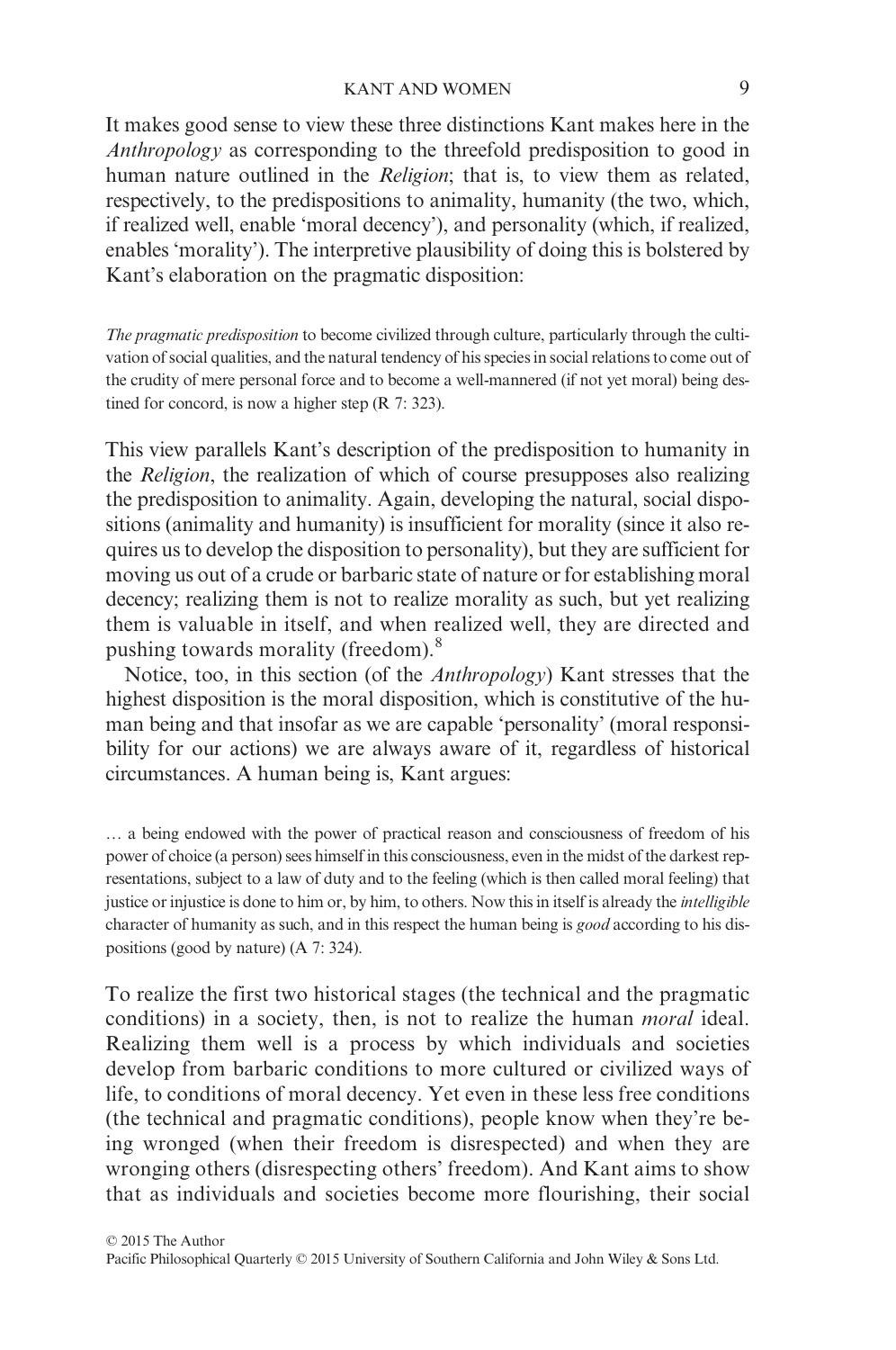## KANT AND WOMEN 9

It makes good sense to view these three distinctions Kant makes here in the Anthropology as corresponding to the threefold predisposition to good in human nature outlined in the Religion; that is, to view them as related, respectively, to the predispositions to animality, humanity (the two, which, if realized well, enable 'moral decency'), and personality (which, if realized, enables 'morality'). The interpretive plausibility of doing this is bolstered by Kant's elaboration on the pragmatic disposition:

The pragmatic predisposition to become civilized through culture, particularly through the cultivation of social qualities, and the natural tendency of his species in social relations to come out of the crudity of mere personal force and to become a well-mannered (if not yet moral) being destined for concord, is now a higher step (R 7: 323).

This view parallels Kant's description of the predisposition to humanity in the Religion, the realization of which of course presupposes also realizing the predisposition to animality. Again, developing the natural, social dispositions (animality and humanity) is insufficient for morality (since it also requires us to develop the disposition to personality), but they are sufficient for moving us out of a crude or barbaric state of nature or for establishing moral decency; realizing them is not to realize morality as such, but yet realizing them is valuable in itself, and when realized well, they are directed and pushing towards morality (freedom).<sup>8</sup>

Notice, too, in this section (of the Anthropology) Kant stresses that the highest disposition is the moral disposition, which is constitutive of the human being and that insofar as we are capable 'personality' (moral responsibility for our actions) we are always aware of it, regardless of historical circumstances. A human being is, Kant argues:

… a being endowed with the power of practical reason and consciousness of freedom of his power of choice (a person) sees himself in this consciousness, even in the midst of the darkest representations, subject to a law of duty and to the feeling (which is then called moral feeling) that justice or injustice is done to him or, by him, to others. Now this in itself is already the *intelligible* character of humanity as such, and in this respect the human being is good according to his dispositions (good by nature) (A 7: 324).

To realize the first two historical stages (the technical and the pragmatic conditions) in a society, then, is not to realize the human moral ideal. Realizing them well is a process by which individuals and societies develop from barbaric conditions to more cultured or civilized ways of life, to conditions of moral decency. Yet even in these less free conditions (the technical and pragmatic conditions), people know when they're being wronged (when their freedom is disrespected) and when they are wronging others (disrespecting others' freedom). And Kant aims to show that as individuals and societies become more flourishing, their social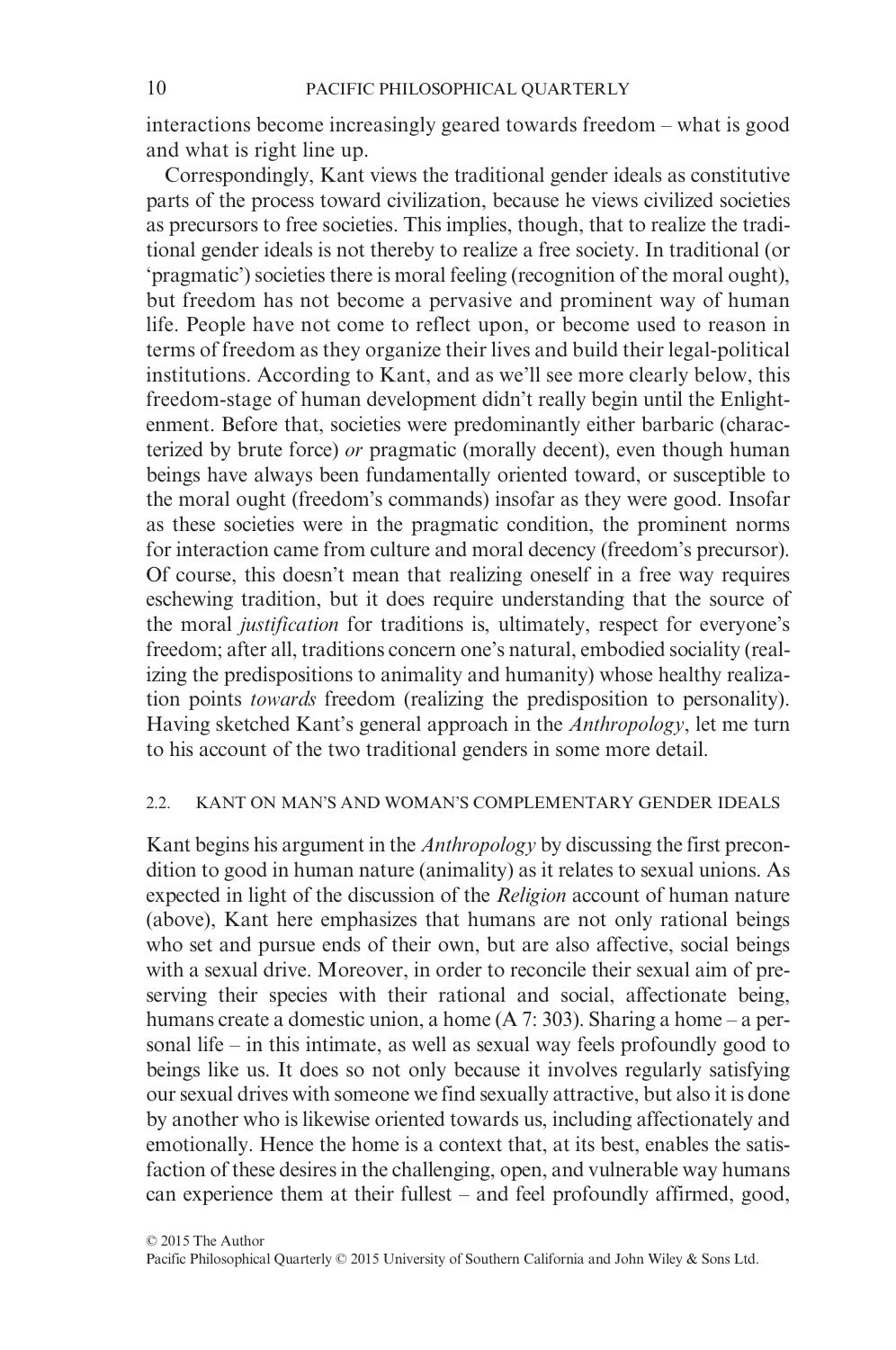interactions become increasingly geared towards freedom – what is good and what is right line up.

Correspondingly, Kant views the traditional gender ideals as constitutive parts of the process toward civilization, because he views civilized societies as precursors to free societies. This implies, though, that to realize the traditional gender ideals is not thereby to realize a free society. In traditional (or 'pragmatic') societies there is moral feeling (recognition of the moral ought), but freedom has not become a pervasive and prominent way of human life. People have not come to reflect upon, or become used to reason in terms of freedom as they organize their lives and build their legal-political institutions. According to Kant, and as we'll see more clearly below, this freedom-stage of human development didn't really begin until the Enlightenment. Before that, societies were predominantly either barbaric (characterized by brute force) or pragmatic (morally decent), even though human beings have always been fundamentally oriented toward, or susceptible to the moral ought (freedom's commands) insofar as they were good. Insofar as these societies were in the pragmatic condition, the prominent norms for interaction came from culture and moral decency (freedom's precursor). Of course, this doesn't mean that realizing oneself in a free way requires eschewing tradition, but it does require understanding that the source of the moral justification for traditions is, ultimately, respect for everyone's freedom; after all, traditions concern one's natural, embodied sociality (realizing the predispositions to animality and humanity) whose healthy realization points towards freedom (realizing the predisposition to personality). Having sketched Kant's general approach in the Anthropology, let me turn to his account of the two traditional genders in some more detail.

## 2.2. KANT ON MAN'S AND WOMAN'S COMPLEMENTARY GENDER IDEALS

Kant begins his argument in the Anthropology by discussing the first precondition to good in human nature (animality) as it relates to sexual unions. As expected in light of the discussion of the Religion account of human nature (above), Kant here emphasizes that humans are not only rational beings who set and pursue ends of their own, but are also affective, social beings with a sexual drive. Moreover, in order to reconcile their sexual aim of preserving their species with their rational and social, affectionate being, humans create a domestic union, a home (A 7: 303). Sharing a home – a personal life – in this intimate, as well as sexual way feels profoundly good to beings like us. It does so not only because it involves regularly satisfying our sexual drives with someone we find sexually attractive, but also it is done by another who is likewise oriented towards us, including affectionately and emotionally. Hence the home is a context that, at its best, enables the satisfaction of these desires in the challenging, open, and vulnerable way humans can experience them at their fullest – and feel profoundly affirmed, good,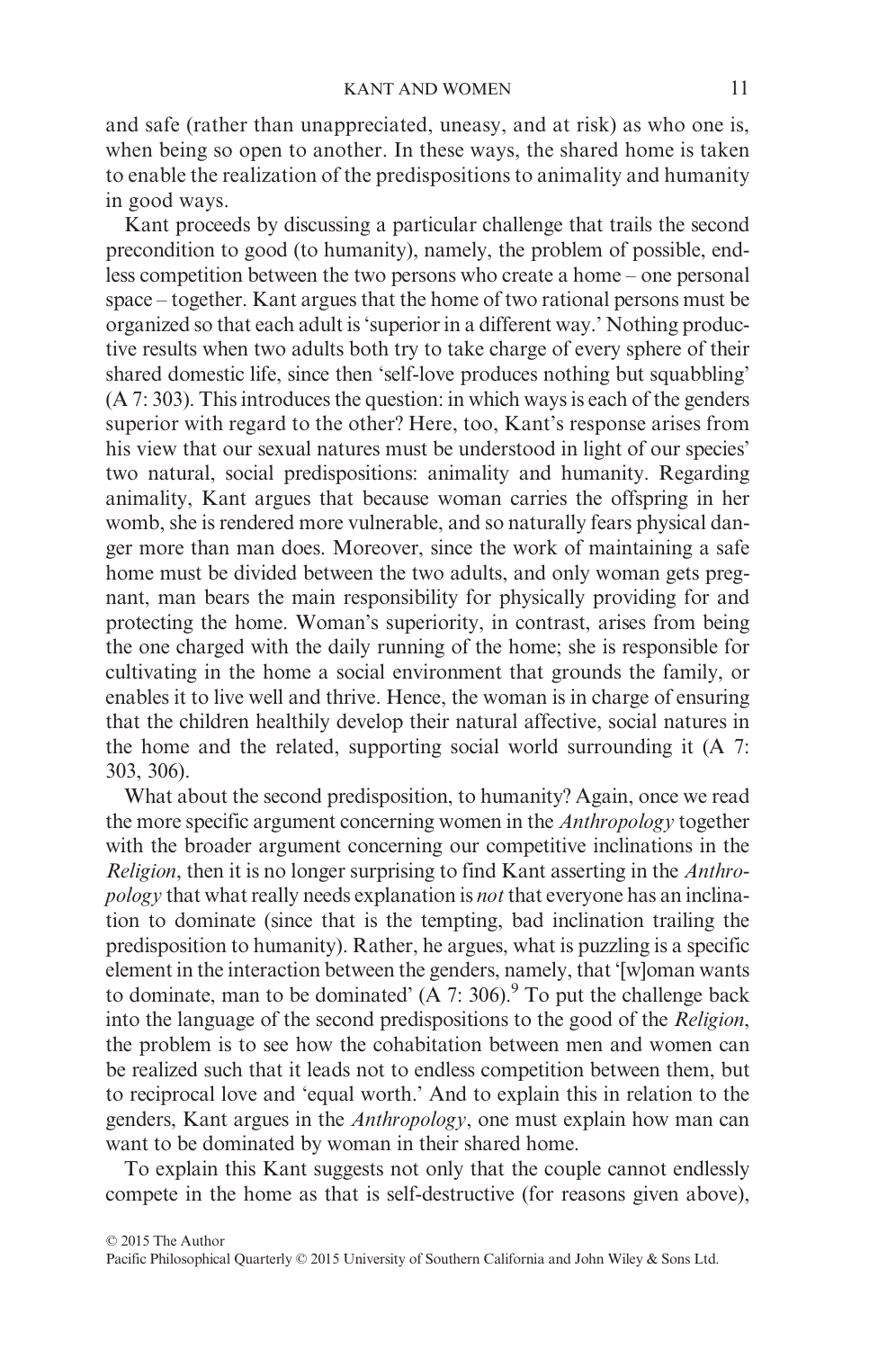and safe (rather than unappreciated, uneasy, and at risk) as who one is, when being so open to another. In these ways, the shared home is taken to enable the realization of the predispositions to animality and humanity in good ways.

Kant proceeds by discussing a particular challenge that trails the second precondition to good (to humanity), namely, the problem of possible, endless competition between the two persons who create a home – one personal space – together. Kant argues that the home of two rational persons must be organized so that each adult is'superior in a different way.' Nothing productive results when two adults both try to take charge of every sphere of their shared domestic life, since then 'self-love produces nothing but squabbling' (A 7: 303). This introduces the question: in which ways is each of the genders superior with regard to the other? Here, too, Kant's response arises from his view that our sexual natures must be understood in light of our species' two natural, social predispositions: animality and humanity. Regarding animality, Kant argues that because woman carries the offspring in her womb, she is rendered more vulnerable, and so naturally fears physical danger more than man does. Moreover, since the work of maintaining a safe home must be divided between the two adults, and only woman gets pregnant, man bears the main responsibility for physically providing for and protecting the home. Woman's superiority, in contrast, arises from being the one charged with the daily running of the home; she is responsible for cultivating in the home a social environment that grounds the family, or enables it to live well and thrive. Hence, the woman is in charge of ensuring that the children healthily develop their natural affective, social natures in the home and the related, supporting social world surrounding it (A 7: 303, 306).

What about the second predisposition, to humanity? Again, once we read the more specific argument concerning women in the Anthropology together with the broader argument concerning our competitive inclinations in the Religion, then it is no longer surprising to find Kant asserting in the Anthropology that what really needs explanation is not that everyone has an inclination to dominate (since that is the tempting, bad inclination trailing the predisposition to humanity). Rather, he argues, what is puzzling is a specific element in the interaction between the genders, namely, that '[w]oman wants to dominate, man to be dominated'  $(A \, 7: 306)$ . To put the challenge back into the language of the second predispositions to the good of the Religion, the problem is to see how the cohabitation between men and women can be realized such that it leads not to endless competition between them, but to reciprocal love and 'equal worth.' And to explain this in relation to the genders, Kant argues in the Anthropology, one must explain how man can want to be dominated by woman in their shared home.

To explain this Kant suggests not only that the couple cannot endlessly compete in the home as that is self-destructive (for reasons given above),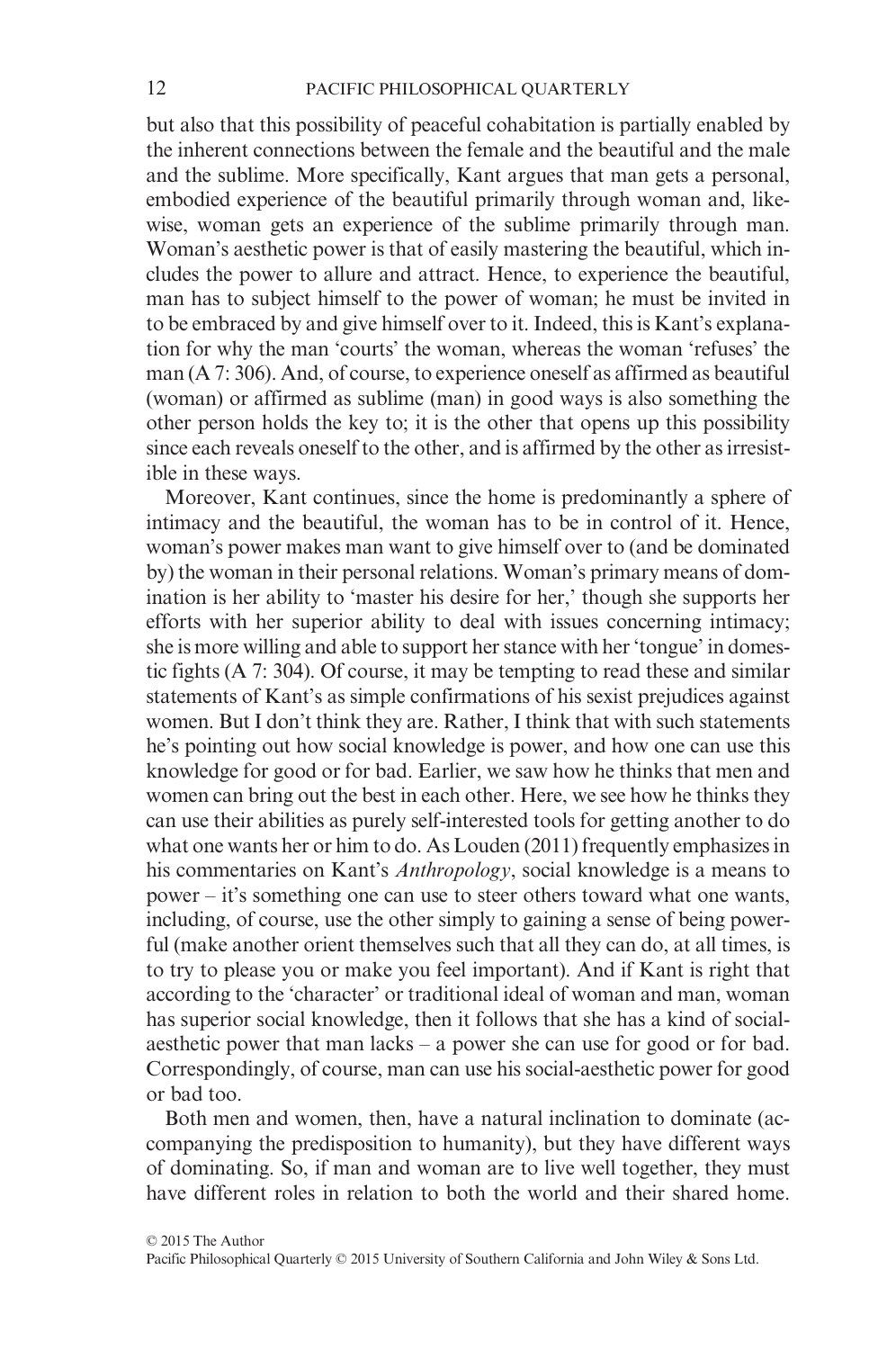but also that this possibility of peaceful cohabitation is partially enabled by the inherent connections between the female and the beautiful and the male and the sublime. More specifically, Kant argues that man gets a personal, embodied experience of the beautiful primarily through woman and, likewise, woman gets an experience of the sublime primarily through man. Woman's aesthetic power is that of easily mastering the beautiful, which includes the power to allure and attract. Hence, to experience the beautiful, man has to subject himself to the power of woman; he must be invited in to be embraced by and give himself over to it. Indeed, this is Kant's explanation for why the man 'courts' the woman, whereas the woman 'refuses' the man (A 7: 306). And, of course, to experience oneself as affirmed as beautiful (woman) or affirmed as sublime (man) in good ways is also something the other person holds the key to; it is the other that opens up this possibility since each reveals oneself to the other, and is affirmed by the other as irresistible in these ways.

Moreover, Kant continues, since the home is predominantly a sphere of intimacy and the beautiful, the woman has to be in control of it. Hence, woman's power makes man want to give himself over to (and be dominated by) the woman in their personal relations. Woman's primary means of domination is her ability to 'master his desire for her,' though she supports her efforts with her superior ability to deal with issues concerning intimacy; she is more willing and able to support her stance with her'tongue' in domestic fights (A 7: 304). Of course, it may be tempting to read these and similar statements of Kant's as simple confirmations of his sexist prejudices against women. But I don't think they are. Rather, I think that with such statements he's pointing out how social knowledge is power, and how one can use this knowledge for good or for bad. Earlier, we saw how he thinks that men and women can bring out the best in each other. Here, we see how he thinks they can use their abilities as purely self-interested tools for getting another to do what one wants her or him to do. As Louden (2011) frequently emphasizes in his commentaries on Kant's Anthropology, social knowledge is a means to power – it's something one can use to steer others toward what one wants, including, of course, use the other simply to gaining a sense of being powerful (make another orient themselves such that all they can do, at all times, is to try to please you or make you feel important). And if Kant is right that according to the 'character' or traditional ideal of woman and man, woman has superior social knowledge, then it follows that she has a kind of socialaesthetic power that man lacks – a power she can use for good or for bad. Correspondingly, of course, man can use his social-aesthetic power for good or bad too.

Both men and women, then, have a natural inclination to dominate (accompanying the predisposition to humanity), but they have different ways of dominating. So, if man and woman are to live well together, they must have different roles in relation to both the world and their shared home.

<sup>© 2015</sup> The Author

Pacific Philosophical Quarterly © 2015 University of Southern California and John Wiley & Sons Ltd.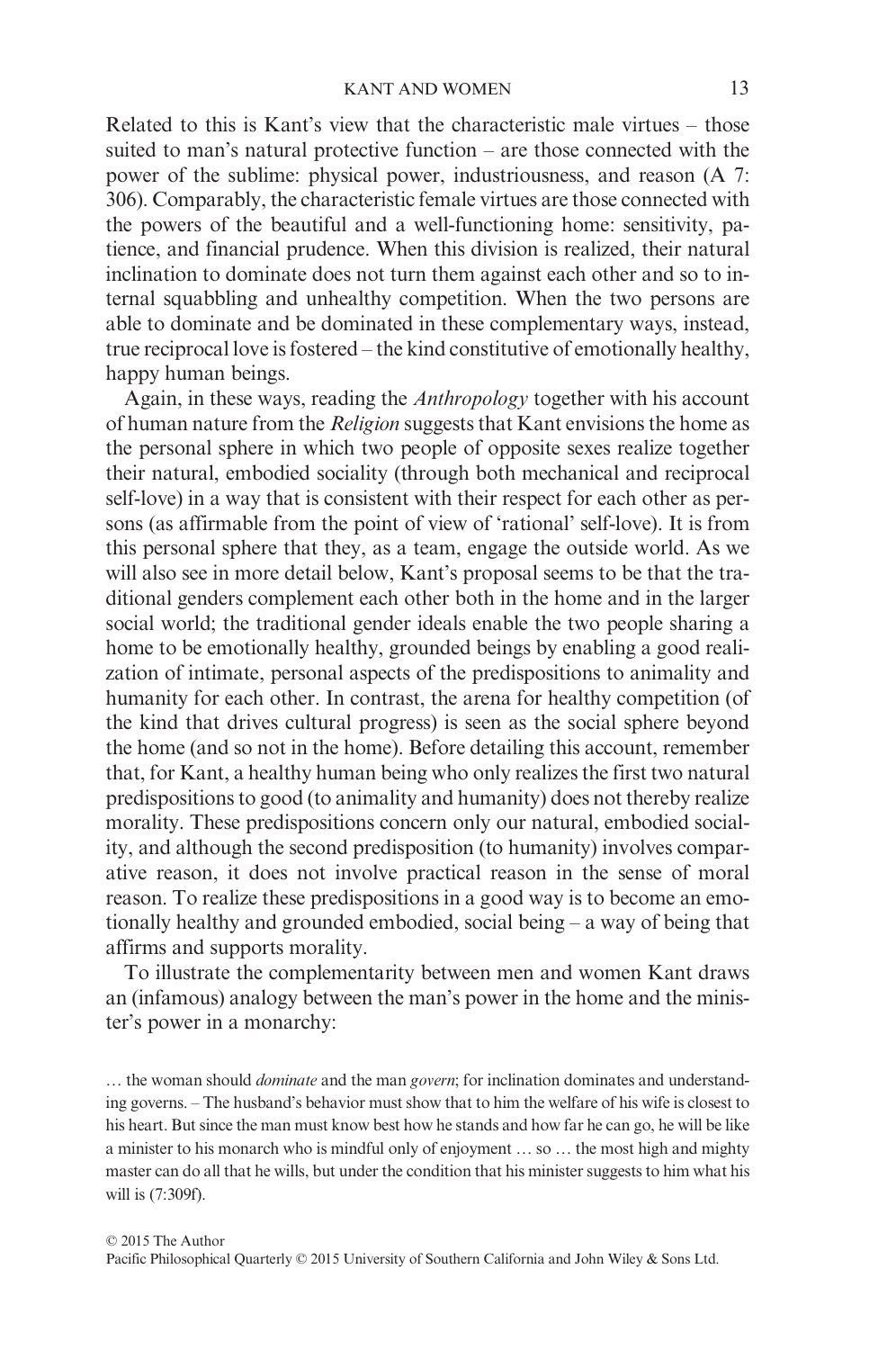Related to this is Kant's view that the characteristic male virtues – those suited to man's natural protective function – are those connected with the power of the sublime: physical power, industriousness, and reason (A 7: 306). Comparably, the characteristic female virtues are those connected with the powers of the beautiful and a well-functioning home: sensitivity, patience, and financial prudence. When this division is realized, their natural inclination to dominate does not turn them against each other and so to internal squabbling and unhealthy competition. When the two persons are able to dominate and be dominated in these complementary ways, instead, true reciprocal love is fostered – the kind constitutive of emotionally healthy, happy human beings.

Again, in these ways, reading the Anthropology together with his account of human nature from the Religion suggests that Kant envisions the home as the personal sphere in which two people of opposite sexes realize together their natural, embodied sociality (through both mechanical and reciprocal self-love) in a way that is consistent with their respect for each other as persons (as affirmable from the point of view of 'rational' self-love). It is from this personal sphere that they, as a team, engage the outside world. As we will also see in more detail below, Kant's proposal seems to be that the traditional genders complement each other both in the home and in the larger social world; the traditional gender ideals enable the two people sharing a home to be emotionally healthy, grounded beings by enabling a good realization of intimate, personal aspects of the predispositions to animality and humanity for each other. In contrast, the arena for healthy competition (of the kind that drives cultural progress) is seen as the social sphere beyond the home (and so not in the home). Before detailing this account, remember that, for Kant, a healthy human being who only realizes the first two natural predispositions to good (to animality and humanity) does not thereby realize morality. These predispositions concern only our natural, embodied sociality, and although the second predisposition (to humanity) involves comparative reason, it does not involve practical reason in the sense of moral reason. To realize these predispositions in a good way is to become an emotionally healthy and grounded embodied, social being – a way of being that affirms and supports morality.

To illustrate the complementarity between men and women Kant draws an (infamous) analogy between the man's power in the home and the minister's power in a monarchy:

... the woman should *dominate* and the man govern; for inclination dominates and understanding governs. – The husband's behavior must show that to him the welfare of his wife is closest to his heart. But since the man must know best how he stands and how far he can go, he will be like a minister to his monarch who is mindful only of enjoyment … so … the most high and mighty master can do all that he wills, but under the condition that his minister suggests to him what his will is (7:309f).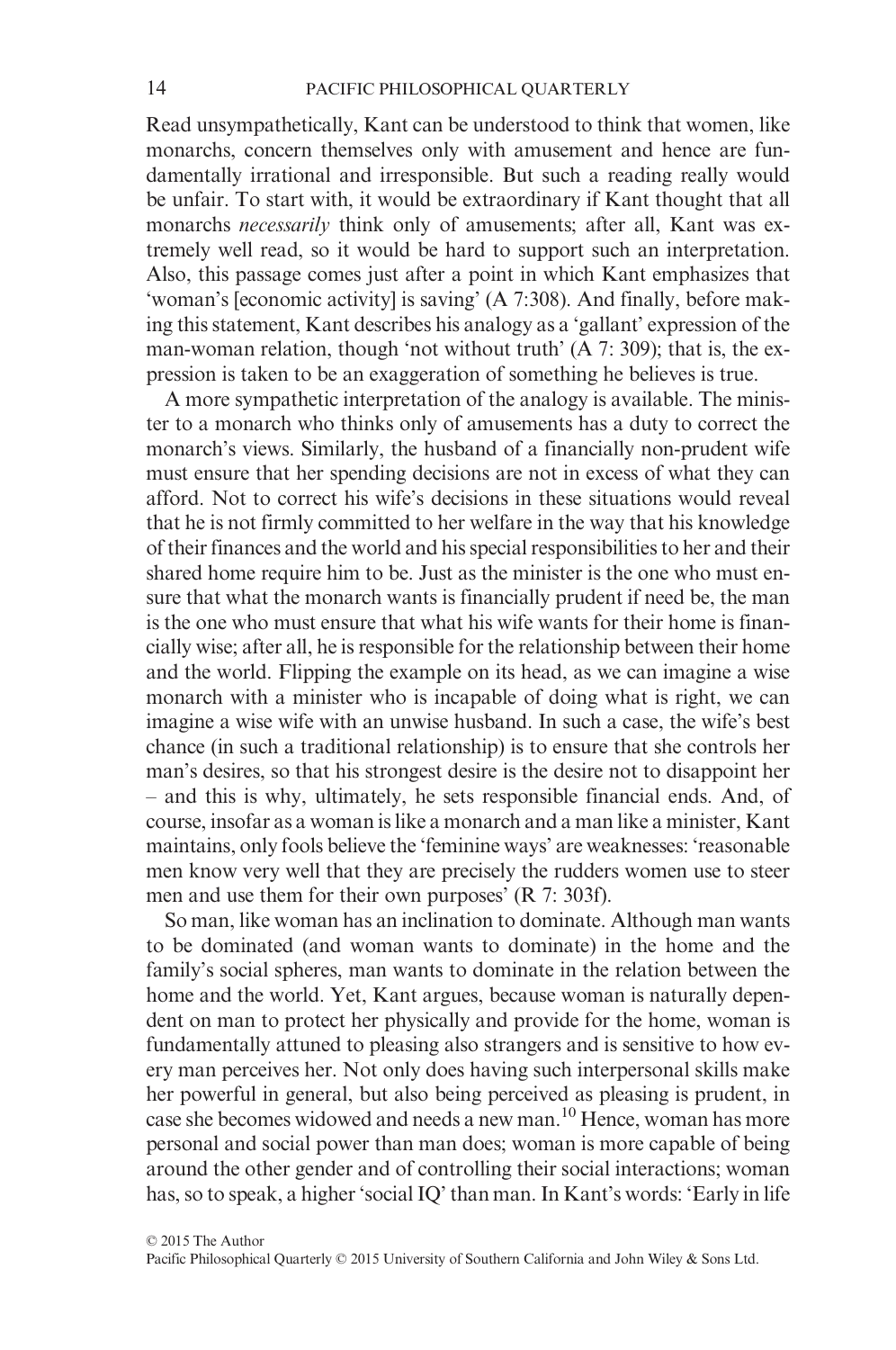Read unsympathetically, Kant can be understood to think that women, like monarchs, concern themselves only with amusement and hence are fundamentally irrational and irresponsible. But such a reading really would be unfair. To start with, it would be extraordinary if Kant thought that all monarchs necessarily think only of amusements; after all, Kant was extremely well read, so it would be hard to support such an interpretation. Also, this passage comes just after a point in which Kant emphasizes that 'woman's [economic activity] is saving' (A 7:308). And finally, before making this statement, Kant describes his analogy as a 'gallant' expression of the man-woman relation, though 'not without truth' (A 7: 309); that is, the expression is taken to be an exaggeration of something he believes is true.

A more sympathetic interpretation of the analogy is available. The minister to a monarch who thinks only of amusements has a duty to correct the monarch's views. Similarly, the husband of a financially non-prudent wife must ensure that her spending decisions are not in excess of what they can afford. Not to correct his wife's decisions in these situations would reveal that he is not firmly committed to her welfare in the way that his knowledge of their finances and the world and his special responsibilities to her and their shared home require him to be. Just as the minister is the one who must ensure that what the monarch wants is financially prudent if need be, the man is the one who must ensure that what his wife wants for their home is financially wise; after all, he is responsible for the relationship between their home and the world. Flipping the example on its head, as we can imagine a wise monarch with a minister who is incapable of doing what is right, we can imagine a wise wife with an unwise husband. In such a case, the wife's best chance (in such a traditional relationship) is to ensure that she controls her man's desires, so that his strongest desire is the desire not to disappoint her – and this is why, ultimately, he sets responsible financial ends. And, of course, insofar as a woman is like a monarch and a man like a minister, Kant maintains, only fools believe the 'feminine ways' are weaknesses: 'reasonable men know very well that they are precisely the rudders women use to steer men and use them for their own purposes' (R 7: 303f).

So man, like woman has an inclination to dominate. Although man wants to be dominated (and woman wants to dominate) in the home and the family's social spheres, man wants to dominate in the relation between the home and the world. Yet, Kant argues, because woman is naturally dependent on man to protect her physically and provide for the home, woman is fundamentally attuned to pleasing also strangers and is sensitive to how every man perceives her. Not only does having such interpersonal skills make her powerful in general, but also being perceived as pleasing is prudent, in case she becomes widowed and needs a new man.10 Hence, woman has more personal and social power than man does; woman is more capable of being around the other gender and of controlling their social interactions; woman has, so to speak, a higher'social IQ' than man. In Kant's words: 'Early in life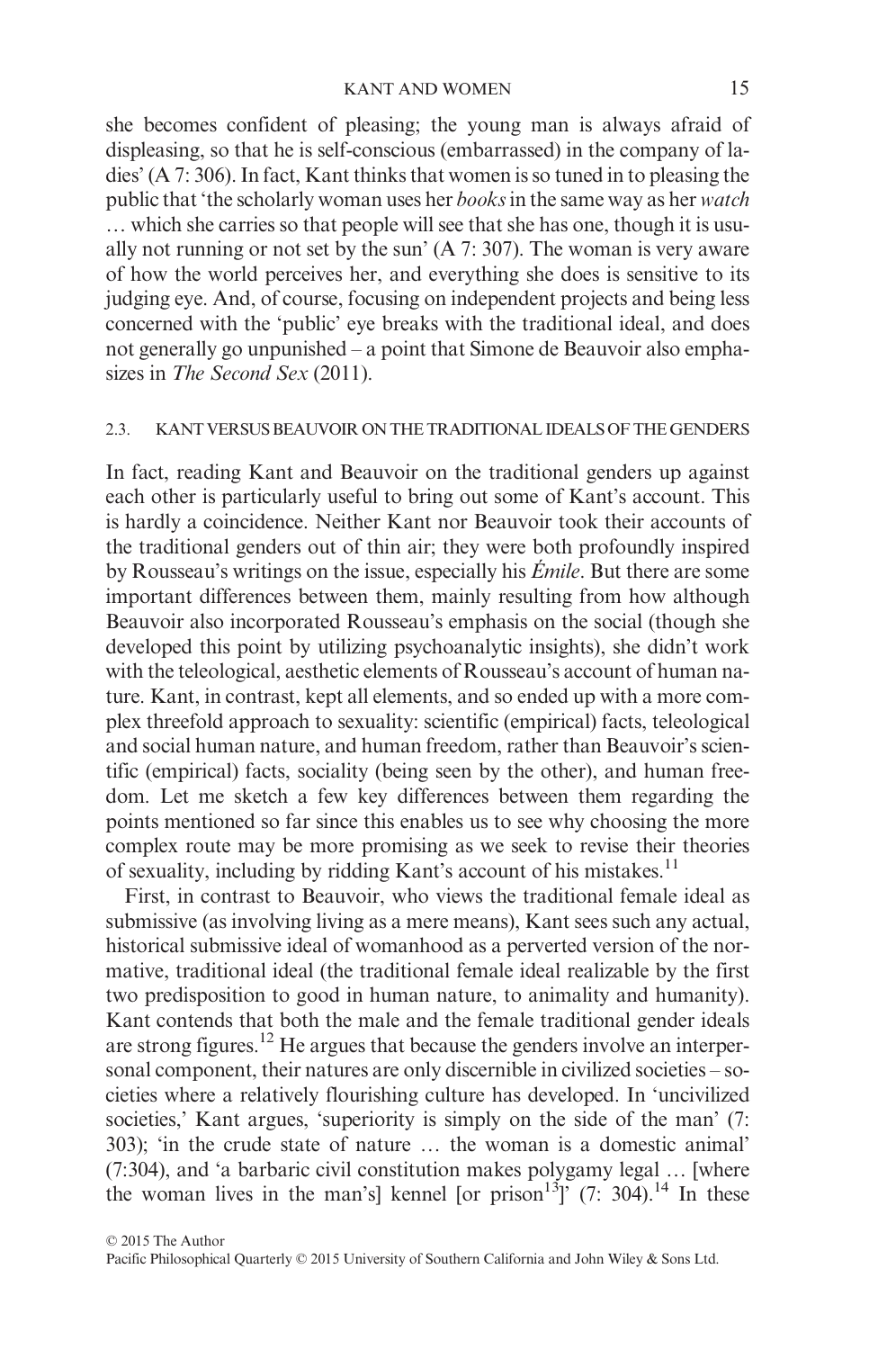## KANT AND WOMEN 15

she becomes confident of pleasing; the young man is always afraid of displeasing, so that he is self-conscious (embarrassed) in the company of ladies' (A 7: 306). In fact, Kant thinks that women is so tuned in to pleasing the public that 'the scholarly woman uses her books in the same way as her watch … which she carries so that people will see that she has one, though it is usually not running or not set by the sun' (A 7: 307). The woman is very aware of how the world perceives her, and everything she does is sensitive to its judging eye. And, of course, focusing on independent projects and being less concerned with the 'public' eye breaks with the traditional ideal, and does not generally go unpunished – a point that Simone de Beauvoir also emphasizes in The Second Sex (2011).

## 2.3. KANT VERSUS BEAUVOIR ON THE TRADITIONAL IDEALS OF THE GENDERS

In fact, reading Kant and Beauvoir on the traditional genders up against each other is particularly useful to bring out some of Kant's account. This is hardly a coincidence. Neither Kant nor Beauvoir took their accounts of the traditional genders out of thin air; they were both profoundly inspired by Rousseau's writings on the issue, especially his Émile. But there are some important differences between them, mainly resulting from how although Beauvoir also incorporated Rousseau's emphasis on the social (though she developed this point by utilizing psychoanalytic insights), she didn't work with the teleological, aesthetic elements of Rousseau's account of human nature. Kant, in contrast, kept all elements, and so ended up with a more complex threefold approach to sexuality: scientific (empirical) facts, teleological and social human nature, and human freedom, rather than Beauvoir's scientific (empirical) facts, sociality (being seen by the other), and human freedom. Let me sketch a few key differences between them regarding the points mentioned so far since this enables us to see why choosing the more complex route may be more promising as we seek to revise their theories of sexuality, including by ridding Kant's account of his mistakes.<sup>11</sup>

First, in contrast to Beauvoir, who views the traditional female ideal as submissive (as involving living as a mere means), Kant sees such any actual, historical submissive ideal of womanhood as a perverted version of the normative, traditional ideal (the traditional female ideal realizable by the first two predisposition to good in human nature, to animality and humanity). Kant contends that both the male and the female traditional gender ideals are strong figures.12 He argues that because the genders involve an interpersonal component, their natures are only discernible in civilized societies – societies where a relatively flourishing culture has developed. In 'uncivilized societies,' Kant argues, 'superiority is simply on the side of the man' (7: 303); 'in the crude state of nature … the woman is a domestic animal' (7:304), and 'a barbaric civil constitution makes polygamy legal … [where the woman lives in the man's] kennel [or prison<sup>13</sup>]<sup>'</sup> (7: 304).<sup>14</sup> In these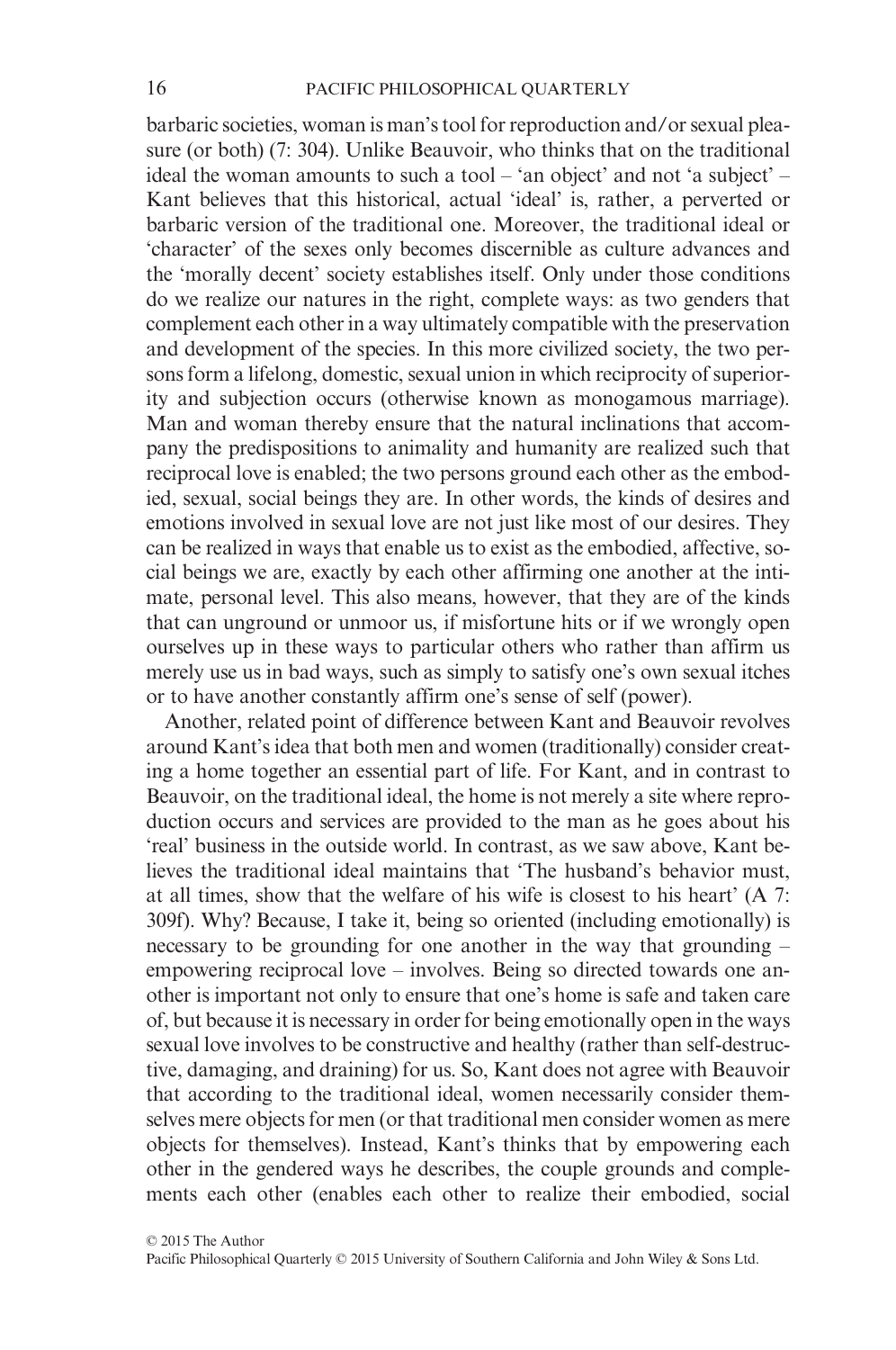barbaric societies, woman is man's tool for reproduction and/or sexual pleasure (or both) (7: 304). Unlike Beauvoir, who thinks that on the traditional ideal the woman amounts to such a tool – 'an object' and not 'a subject' – Kant believes that this historical, actual 'ideal' is, rather, a perverted or barbaric version of the traditional one. Moreover, the traditional ideal or 'character' of the sexes only becomes discernible as culture advances and the 'morally decent' society establishes itself. Only under those conditions do we realize our natures in the right, complete ways: as two genders that complement each other in a way ultimately compatible with the preservation and development of the species. In this more civilized society, the two persons form a lifelong, domestic, sexual union in which reciprocity of superiority and subjection occurs (otherwise known as monogamous marriage). Man and woman thereby ensure that the natural inclinations that accompany the predispositions to animality and humanity are realized such that reciprocal love is enabled; the two persons ground each other as the embodied, sexual, social beings they are. In other words, the kinds of desires and emotions involved in sexual love are not just like most of our desires. They can be realized in ways that enable us to exist as the embodied, affective, social beings we are, exactly by each other affirming one another at the intimate, personal level. This also means, however, that they are of the kinds that can unground or unmoor us, if misfortune hits or if we wrongly open ourselves up in these ways to particular others who rather than affirm us merely use us in bad ways, such as simply to satisfy one's own sexual itches or to have another constantly affirm one's sense of self (power).

Another, related point of difference between Kant and Beauvoir revolves around Kant's idea that both men and women (traditionally) consider creating a home together an essential part of life. For Kant, and in contrast to Beauvoir, on the traditional ideal, the home is not merely a site where reproduction occurs and services are provided to the man as he goes about his 'real' business in the outside world. In contrast, as we saw above, Kant believes the traditional ideal maintains that 'The husband's behavior must, at all times, show that the welfare of his wife is closest to his heart' (A 7: 309f). Why? Because, I take it, being so oriented (including emotionally) is necessary to be grounding for one another in the way that grounding – empowering reciprocal love – involves. Being so directed towards one another is important not only to ensure that one's home is safe and taken care of, but because it is necessary in order for being emotionally open in the ways sexual love involves to be constructive and healthy (rather than self-destructive, damaging, and draining) for us. So, Kant does not agree with Beauvoir that according to the traditional ideal, women necessarily consider themselves mere objects for men (or that traditional men consider women as mere objects for themselves). Instead, Kant's thinks that by empowering each other in the gendered ways he describes, the couple grounds and complements each other (enables each other to realize their embodied, social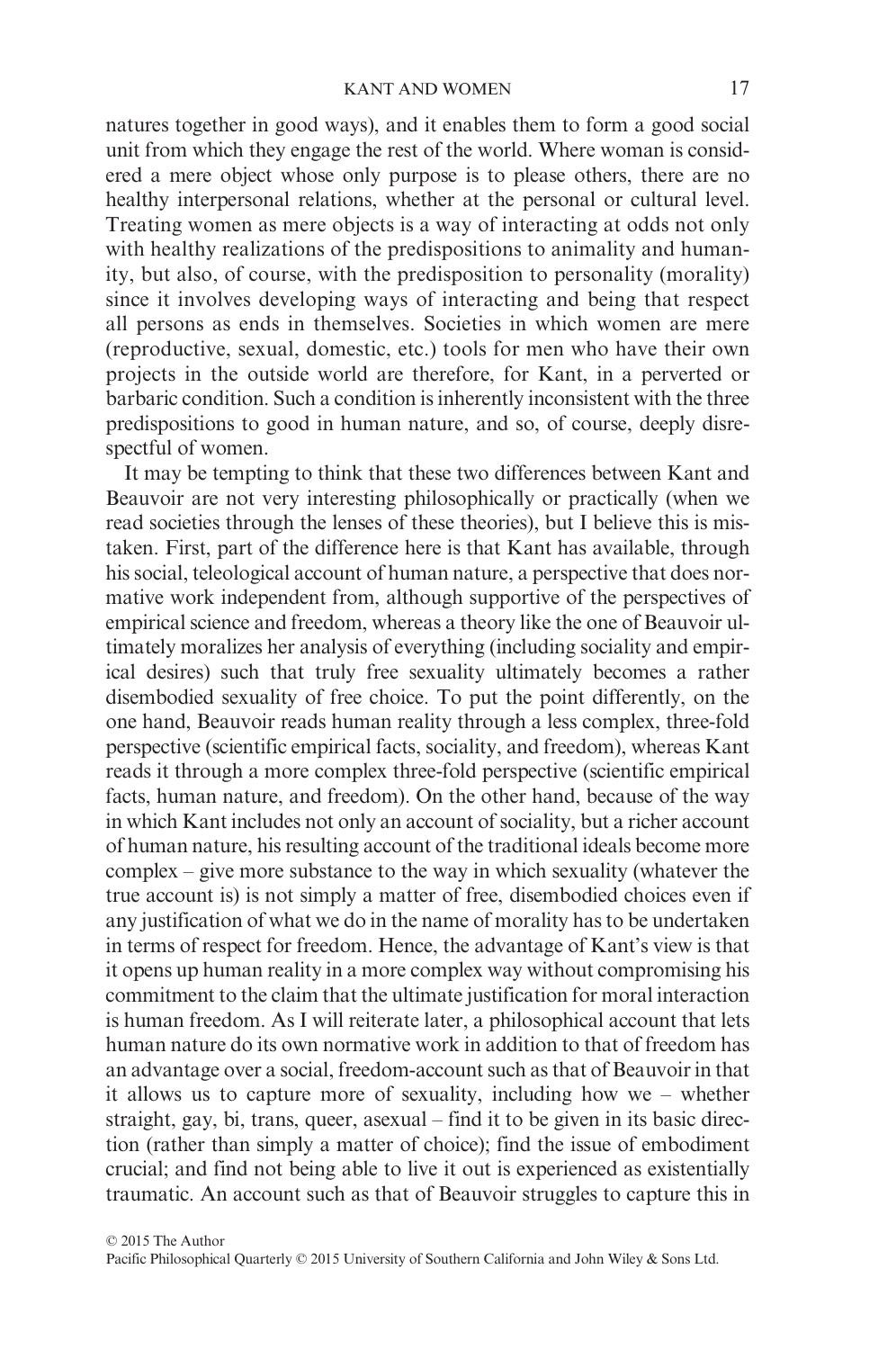natures together in good ways), and it enables them to form a good social unit from which they engage the rest of the world. Where woman is considered a mere object whose only purpose is to please others, there are no healthy interpersonal relations, whether at the personal or cultural level. Treating women as mere objects is a way of interacting at odds not only with healthy realizations of the predispositions to animality and humanity, but also, of course, with the predisposition to personality (morality) since it involves developing ways of interacting and being that respect all persons as ends in themselves. Societies in which women are mere (reproductive, sexual, domestic, etc.) tools for men who have their own projects in the outside world are therefore, for Kant, in a perverted or barbaric condition. Such a condition is inherently inconsistent with the three predispositions to good in human nature, and so, of course, deeply disrespectful of women.

It may be tempting to think that these two differences between Kant and Beauvoir are not very interesting philosophically or practically (when we read societies through the lenses of these theories), but I believe this is mistaken. First, part of the difference here is that Kant has available, through his social, teleological account of human nature, a perspective that does normative work independent from, although supportive of the perspectives of empirical science and freedom, whereas a theory like the one of Beauvoir ultimately moralizes her analysis of everything (including sociality and empirical desires) such that truly free sexuality ultimately becomes a rather disembodied sexuality of free choice. To put the point differently, on the one hand, Beauvoir reads human reality through a less complex, three-fold perspective (scientific empirical facts, sociality, and freedom), whereas Kant reads it through a more complex three-fold perspective (scientific empirical facts, human nature, and freedom). On the other hand, because of the way in which Kant includes not only an account of sociality, but a richer account of human nature, his resulting account of the traditional ideals become more complex – give more substance to the way in which sexuality (whatever the true account is) is not simply a matter of free, disembodied choices even if any justification of what we do in the name of morality has to be undertaken in terms of respect for freedom. Hence, the advantage of Kant's view is that it opens up human reality in a more complex way without compromising his commitment to the claim that the ultimate justification for moral interaction is human freedom. As I will reiterate later, a philosophical account that lets human nature do its own normative work in addition to that of freedom has an advantage over a social, freedom-account such as that of Beauvoir in that it allows us to capture more of sexuality, including how we – whether straight, gay, bi, trans, queer, asexual – find it to be given in its basic direction (rather than simply a matter of choice); find the issue of embodiment crucial; and find not being able to live it out is experienced as existentially traumatic. An account such as that of Beauvoir struggles to capture this in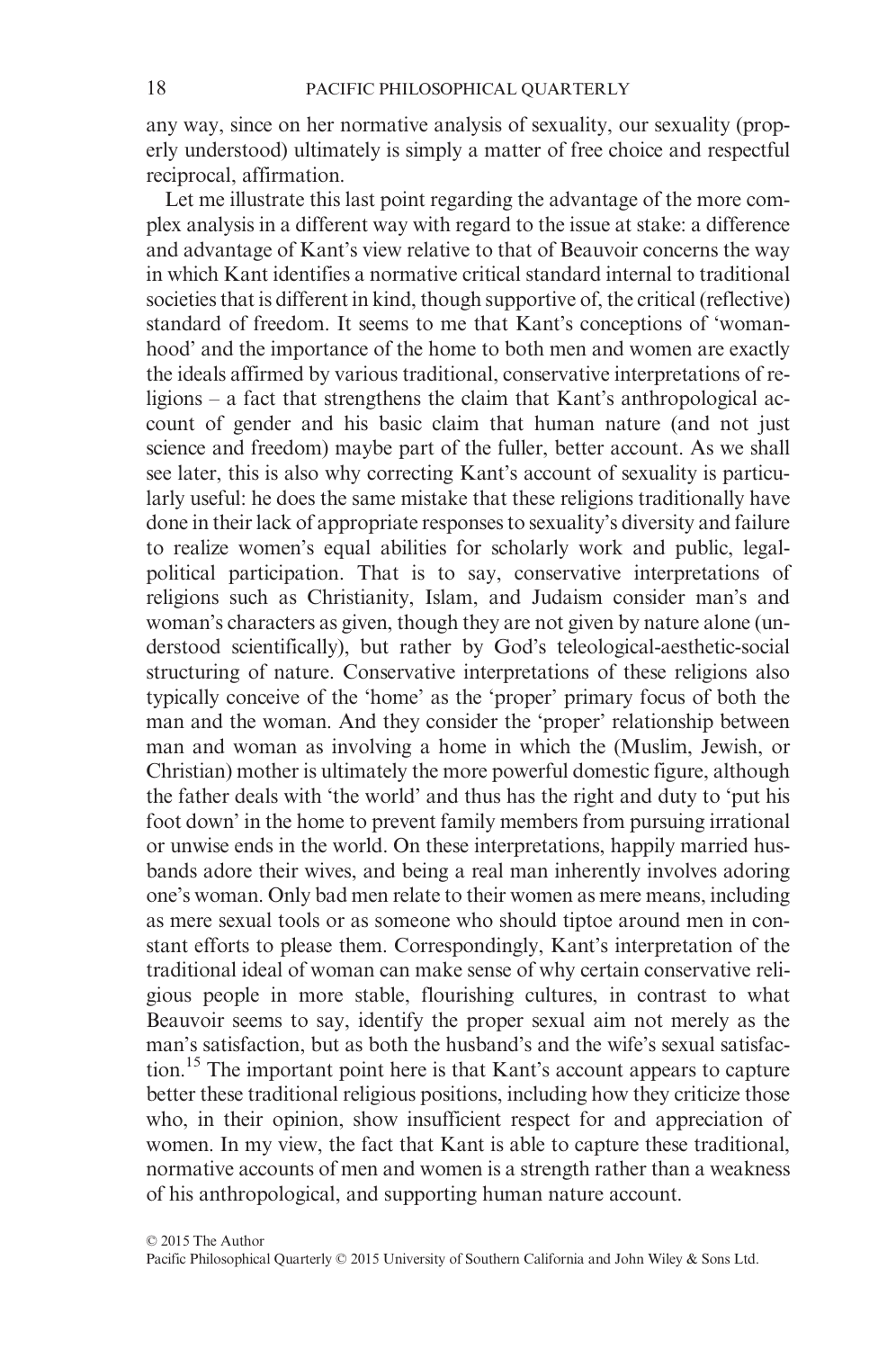any way, since on her normative analysis of sexuality, our sexuality (properly understood) ultimately is simply a matter of free choice and respectful reciprocal, affirmation.

Let me illustrate this last point regarding the advantage of the more complex analysis in a different way with regard to the issue at stake: a difference and advantage of Kant's view relative to that of Beauvoir concerns the way in which Kant identifies a normative critical standard internal to traditional societies that is different in kind, though supportive of, the critical (reflective) standard of freedom. It seems to me that Kant's conceptions of 'womanhood' and the importance of the home to both men and women are exactly the ideals affirmed by various traditional, conservative interpretations of religions – a fact that strengthens the claim that Kant's anthropological account of gender and his basic claim that human nature (and not just science and freedom) maybe part of the fuller, better account. As we shall see later, this is also why correcting Kant's account of sexuality is particularly useful: he does the same mistake that these religions traditionally have done in their lack of appropriate responses to sexuality's diversity and failure to realize women's equal abilities for scholarly work and public, legalpolitical participation. That is to say, conservative interpretations of religions such as Christianity, Islam, and Judaism consider man's and woman's characters as given, though they are not given by nature alone (understood scientifically), but rather by God's teleological-aesthetic-social structuring of nature. Conservative interpretations of these religions also typically conceive of the 'home' as the 'proper' primary focus of both the man and the woman. And they consider the 'proper' relationship between man and woman as involving a home in which the (Muslim, Jewish, or Christian) mother is ultimately the more powerful domestic figure, although the father deals with 'the world' and thus has the right and duty to 'put his foot down' in the home to prevent family members from pursuing irrational or unwise ends in the world. On these interpretations, happily married husbands adore their wives, and being a real man inherently involves adoring one's woman. Only bad men relate to their women as mere means, including as mere sexual tools or as someone who should tiptoe around men in constant efforts to please them. Correspondingly, Kant's interpretation of the traditional ideal of woman can make sense of why certain conservative religious people in more stable, flourishing cultures, in contrast to what Beauvoir seems to say, identify the proper sexual aim not merely as the man's satisfaction, but as both the husband's and the wife's sexual satisfaction.15 The important point here is that Kant's account appears to capture better these traditional religious positions, including how they criticize those who, in their opinion, show insufficient respect for and appreciation of women. In my view, the fact that Kant is able to capture these traditional, normative accounts of men and women is a strength rather than a weakness of his anthropological, and supporting human nature account.

Pacific Philosophical Quarterly © 2015 University of Southern California and John Wiley & Sons Ltd.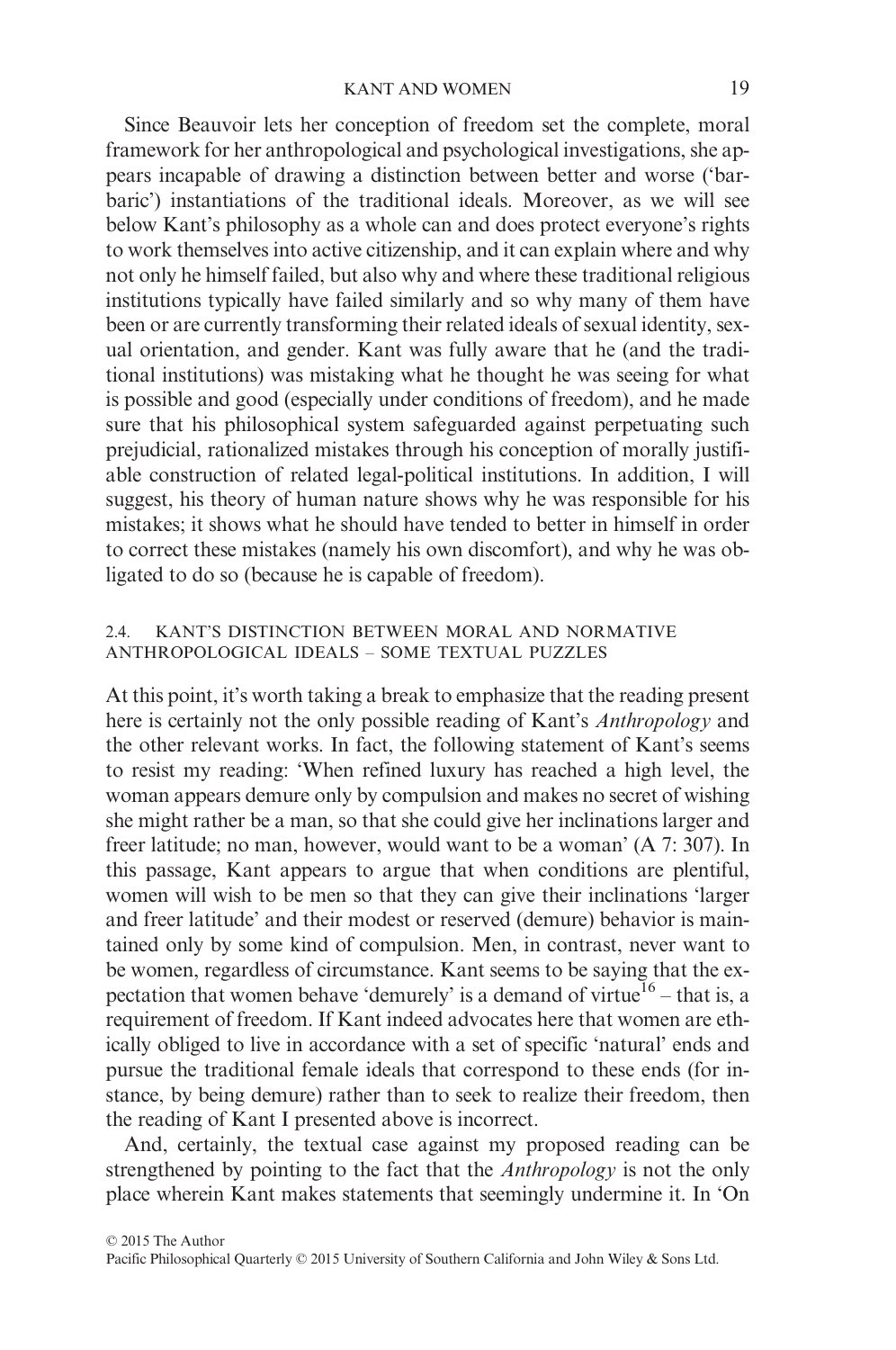Since Beauvoir lets her conception of freedom set the complete, moral framework for her anthropological and psychological investigations, she appears incapable of drawing a distinction between better and worse ('barbaric') instantiations of the traditional ideals. Moreover, as we will see below Kant's philosophy as a whole can and does protect everyone's rights to work themselves into active citizenship, and it can explain where and why not only he himself failed, but also why and where these traditional religious institutions typically have failed similarly and so why many of them have been or are currently transforming their related ideals of sexual identity, sexual orientation, and gender. Kant was fully aware that he (and the traditional institutions) was mistaking what he thought he was seeing for what is possible and good (especially under conditions of freedom), and he made sure that his philosophical system safeguarded against perpetuating such prejudicial, rationalized mistakes through his conception of morally justifiable construction of related legal-political institutions. In addition, I will suggest, his theory of human nature shows why he was responsible for his mistakes; it shows what he should have tended to better in himself in order to correct these mistakes (namely his own discomfort), and why he was obligated to do so (because he is capable of freedom).

## 2.4. KANT'S DISTINCTION BETWEEN MORAL AND NORMATIVE ANTHROPOLOGICAL IDEALS – SOME TEXTUAL PUZZLES

At this point, it's worth taking a break to emphasize that the reading present here is certainly not the only possible reading of Kant's Anthropology and the other relevant works. In fact, the following statement of Kant's seems to resist my reading: 'When refined luxury has reached a high level, the woman appears demure only by compulsion and makes no secret of wishing she might rather be a man, so that she could give her inclinations larger and freer latitude; no man, however, would want to be a woman' (A 7: 307). In this passage, Kant appears to argue that when conditions are plentiful, women will wish to be men so that they can give their inclinations 'larger and freer latitude' and their modest or reserved (demure) behavior is maintained only by some kind of compulsion. Men, in contrast, never want to be women, regardless of circumstance. Kant seems to be saying that the expectation that women behave 'demurely' is a demand of virtue<sup>16</sup> – that is, a requirement of freedom. If Kant indeed advocates here that women are ethically obliged to live in accordance with a set of specific 'natural' ends and pursue the traditional female ideals that correspond to these ends (for instance, by being demure) rather than to seek to realize their freedom, then the reading of Kant I presented above is incorrect.

And, certainly, the textual case against my proposed reading can be strengthened by pointing to the fact that the Anthropology is not the only place wherein Kant makes statements that seemingly undermine it. In 'On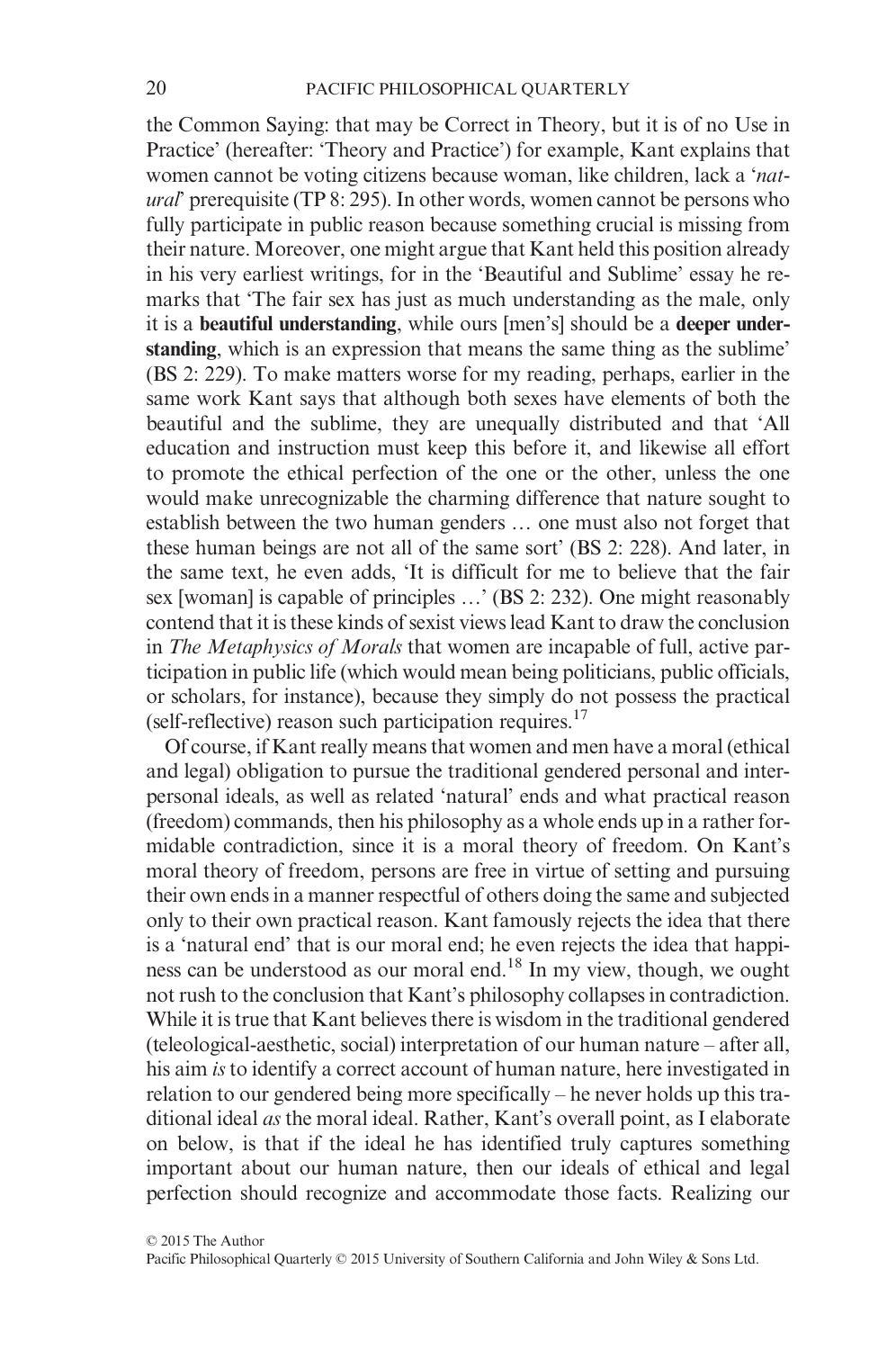the Common Saying: that may be Correct in Theory, but it is of no Use in Practice' (hereafter: 'Theory and Practice') for example, Kant explains that women cannot be voting citizens because woman, like children, lack a 'natural' prerequisite (TP 8: 295). In other words, women cannot be persons who fully participate in public reason because something crucial is missing from their nature. Moreover, one might argue that Kant held this position already in his very earliest writings, for in the 'Beautiful and Sublime' essay he remarks that 'The fair sex has just as much understanding as the male, only it is a beautiful understanding, while ours [men's] should be a deeper understanding, which is an expression that means the same thing as the sublime' (BS 2: 229). To make matters worse for my reading, perhaps, earlier in the same work Kant says that although both sexes have elements of both the beautiful and the sublime, they are unequally distributed and that 'All education and instruction must keep this before it, and likewise all effort to promote the ethical perfection of the one or the other, unless the one would make unrecognizable the charming difference that nature sought to establish between the two human genders … one must also not forget that these human beings are not all of the same sort' (BS 2: 228). And later, in the same text, he even adds, 'It is difficult for me to believe that the fair sex [woman] is capable of principles …' (BS 2: 232). One might reasonably contend that it is these kinds of sexist views lead Kant to draw the conclusion in The Metaphysics of Morals that women are incapable of full, active participation in public life (which would mean being politicians, public officials, or scholars, for instance), because they simply do not possess the practical (self-reflective) reason such participation requires. $17$ 

Of course, if Kant really means that women and men have a moral (ethical and legal) obligation to pursue the traditional gendered personal and interpersonal ideals, as well as related 'natural' ends and what practical reason (freedom) commands, then his philosophy as a whole ends up in a rather formidable contradiction, since it is a moral theory of freedom. On Kant's moral theory of freedom, persons are free in virtue of setting and pursuing their own ends in a manner respectful of others doing the same and subjected only to their own practical reason. Kant famously rejects the idea that there is a 'natural end' that is our moral end; he even rejects the idea that happiness can be understood as our moral end.<sup>18</sup> In my view, though, we ought not rush to the conclusion that Kant's philosophy collapses in contradiction. While it is true that Kant believes there is wisdom in the traditional gendered (teleological-aesthetic, social) interpretation of our human nature – after all, his aim is to identify a correct account of human nature, here investigated in relation to our gendered being more specifically – he never holds up this traditional ideal as the moral ideal. Rather, Kant's overall point, as I elaborate on below, is that if the ideal he has identified truly captures something important about our human nature, then our ideals of ethical and legal perfection should recognize and accommodate those facts. Realizing our

<sup>© 2015</sup> The Author

Pacific Philosophical Quarterly © 2015 University of Southern California and John Wiley & Sons Ltd.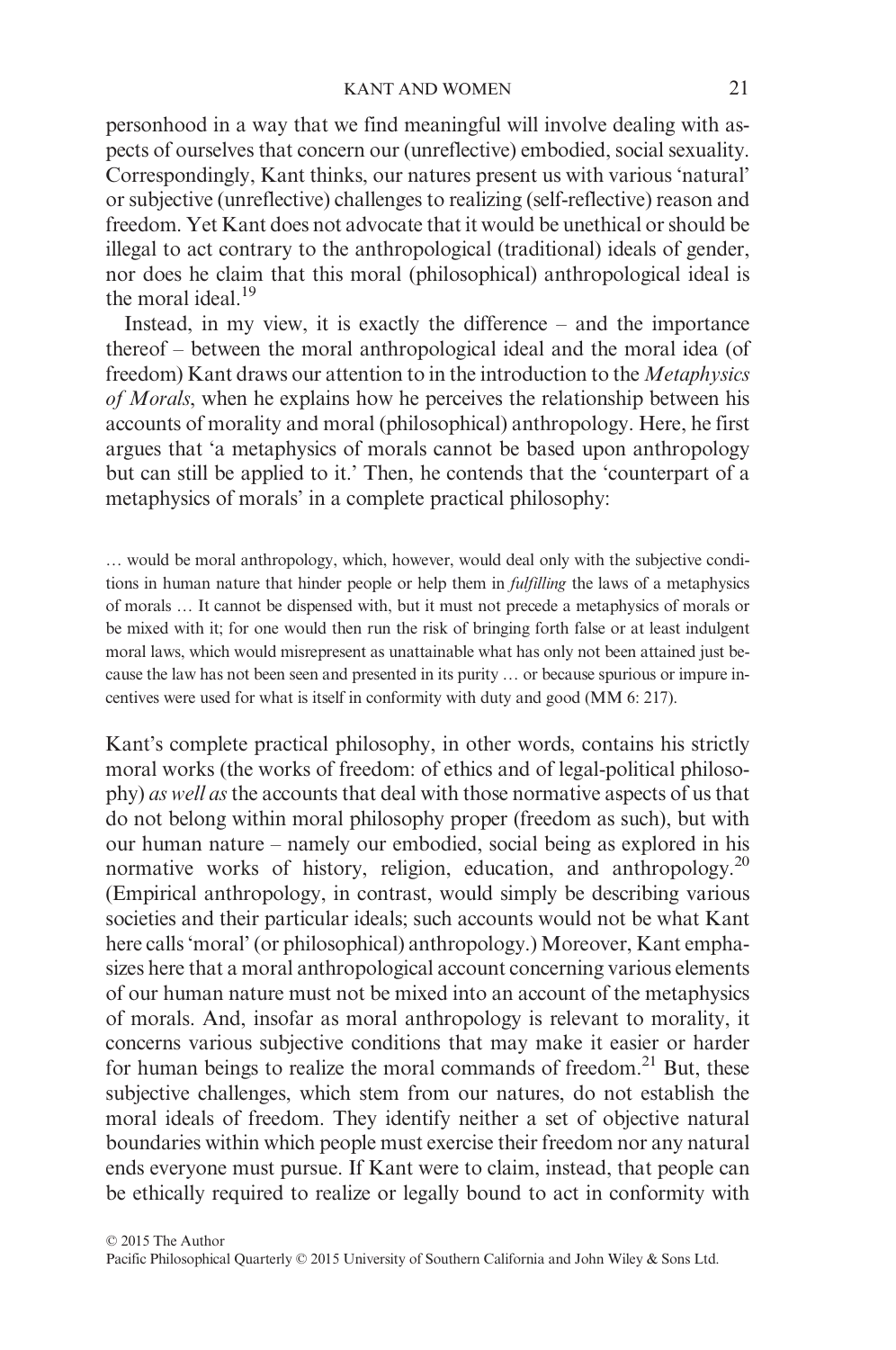## KANT AND WOMEN 21

personhood in a way that we find meaningful will involve dealing with aspects of ourselves that concern our (unreflective) embodied, social sexuality. Correspondingly, Kant thinks, our natures present us with various 'natural' or subjective (unreflective) challenges to realizing (self-reflective) reason and freedom. Yet Kant does not advocate that it would be unethical or should be illegal to act contrary to the anthropological (traditional) ideals of gender, nor does he claim that this moral (philosophical) anthropological ideal is the moral ideal.<sup>19</sup>

Instead, in my view, it is exactly the difference – and the importance thereof – between the moral anthropological ideal and the moral idea (of freedom) Kant draws our attention to in the introduction to the Metaphysics of Morals, when he explains how he perceives the relationship between his accounts of morality and moral (philosophical) anthropology. Here, he first argues that 'a metaphysics of morals cannot be based upon anthropology but can still be applied to it.' Then, he contends that the 'counterpart of a metaphysics of morals' in a complete practical philosophy:

… would be moral anthropology, which, however, would deal only with the subjective conditions in human nature that hinder people or help them in fulfilling the laws of a metaphysics of morals … It cannot be dispensed with, but it must not precede a metaphysics of morals or be mixed with it; for one would then run the risk of bringing forth false or at least indulgent moral laws, which would misrepresent as unattainable what has only not been attained just because the law has not been seen and presented in its purity … or because spurious or impure incentives were used for what is itself in conformity with duty and good (MM 6: 217).

Kant's complete practical philosophy, in other words, contains his strictly moral works (the works of freedom: of ethics and of legal-political philosophy) as well as the accounts that deal with those normative aspects of us that do not belong within moral philosophy proper (freedom as such), but with our human nature – namely our embodied, social being as explored in his normative works of history, religion, education, and anthropology.20 (Empirical anthropology, in contrast, would simply be describing various societies and their particular ideals; such accounts would not be what Kant here calls'moral' (or philosophical) anthropology.) Moreover, Kant emphasizes here that a moral anthropological account concerning various elements of our human nature must not be mixed into an account of the metaphysics of morals. And, insofar as moral anthropology is relevant to morality, it concerns various subjective conditions that may make it easier or harder for human beings to realize the moral commands of freedom.<sup>21</sup> But, these subjective challenges, which stem from our natures, do not establish the moral ideals of freedom. They identify neither a set of objective natural boundaries within which people must exercise their freedom nor any natural ends everyone must pursue. If Kant were to claim, instead, that people can be ethically required to realize or legally bound to act in conformity with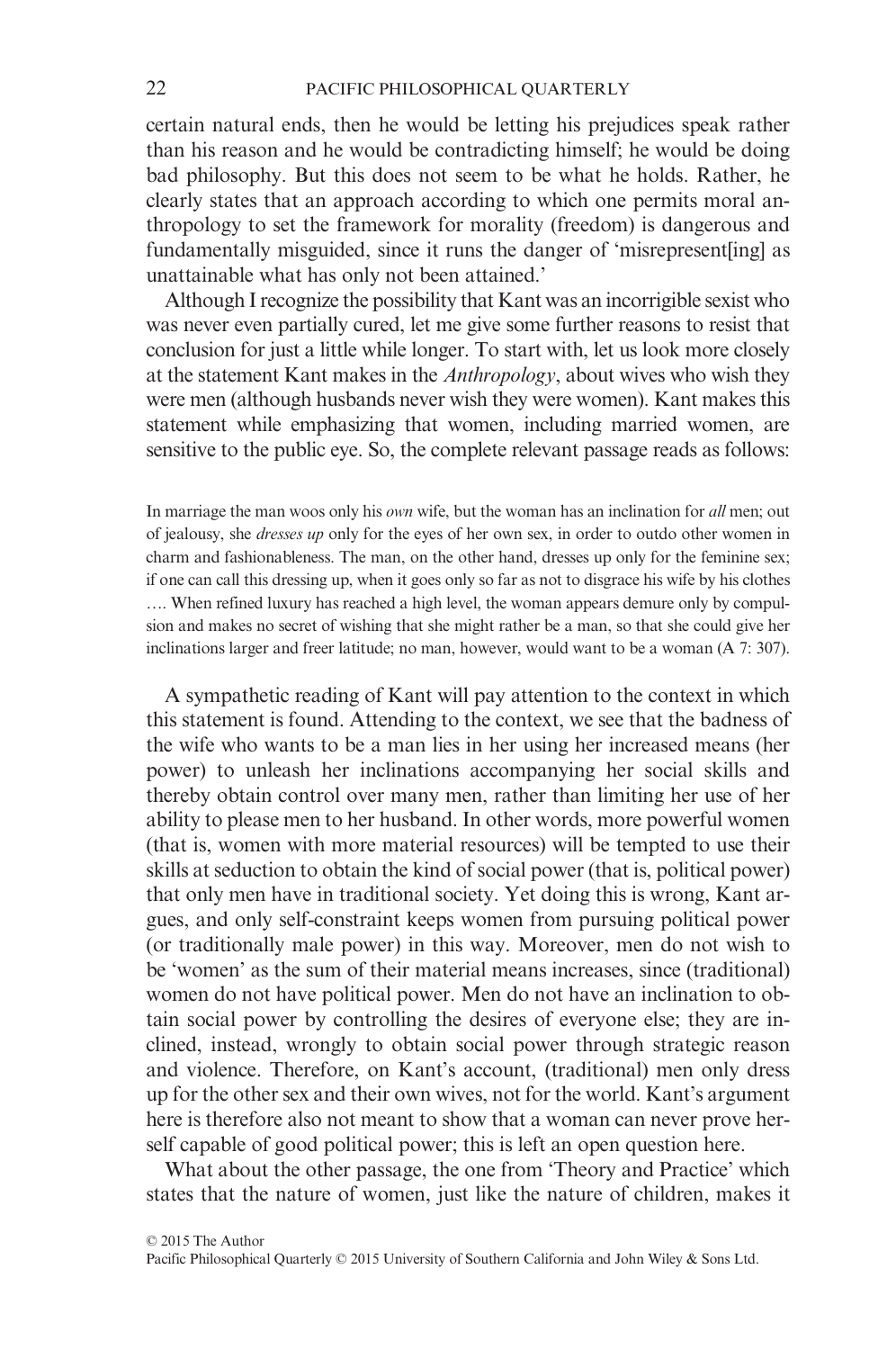certain natural ends, then he would be letting his prejudices speak rather than his reason and he would be contradicting himself; he would be doing bad philosophy. But this does not seem to be what he holds. Rather, he clearly states that an approach according to which one permits moral anthropology to set the framework for morality (freedom) is dangerous and fundamentally misguided, since it runs the danger of 'misrepresent[ing] as unattainable what has only not been attained.'

Although I recognize the possibility that Kant was an incorrigible sexist who was never even partially cured, let me give some further reasons to resist that conclusion for just a little while longer. To start with, let us look more closely at the statement Kant makes in the Anthropology, about wives who wish they were men (although husbands never wish they were women). Kant makes this statement while emphasizing that women, including married women, are sensitive to the public eye. So, the complete relevant passage reads as follows:

In marriage the man woos only his *own* wife, but the woman has an inclination for all men; out of jealousy, she *dresses up* only for the eyes of her own sex, in order to outdo other women in charm and fashionableness. The man, on the other hand, dresses up only for the feminine sex; if one can call this dressing up, when it goes only so far as not to disgrace his wife by his clothes …. When refined luxury has reached a high level, the woman appears demure only by compulsion and makes no secret of wishing that she might rather be a man, so that she could give her inclinations larger and freer latitude; no man, however, would want to be a woman (A 7: 307).

A sympathetic reading of Kant will pay attention to the context in which this statement is found. Attending to the context, we see that the badness of the wife who wants to be a man lies in her using her increased means (her power) to unleash her inclinations accompanying her social skills and thereby obtain control over many men, rather than limiting her use of her ability to please men to her husband. In other words, more powerful women (that is, women with more material resources) will be tempted to use their skills at seduction to obtain the kind of social power (that is, political power) that only men have in traditional society. Yet doing this is wrong, Kant argues, and only self-constraint keeps women from pursuing political power (or traditionally male power) in this way. Moreover, men do not wish to be 'women' as the sum of their material means increases, since (traditional) women do not have political power. Men do not have an inclination to obtain social power by controlling the desires of everyone else; they are inclined, instead, wrongly to obtain social power through strategic reason and violence. Therefore, on Kant's account, (traditional) men only dress up for the other sex and their own wives, not for the world. Kant's argument here is therefore also not meant to show that a woman can never prove herself capable of good political power; this is left an open question here.

What about the other passage, the one from 'Theory and Practice' which states that the nature of women, just like the nature of children, makes it

<sup>© 2015</sup> The Author

Pacific Philosophical Quarterly © 2015 University of Southern California and John Wiley & Sons Ltd.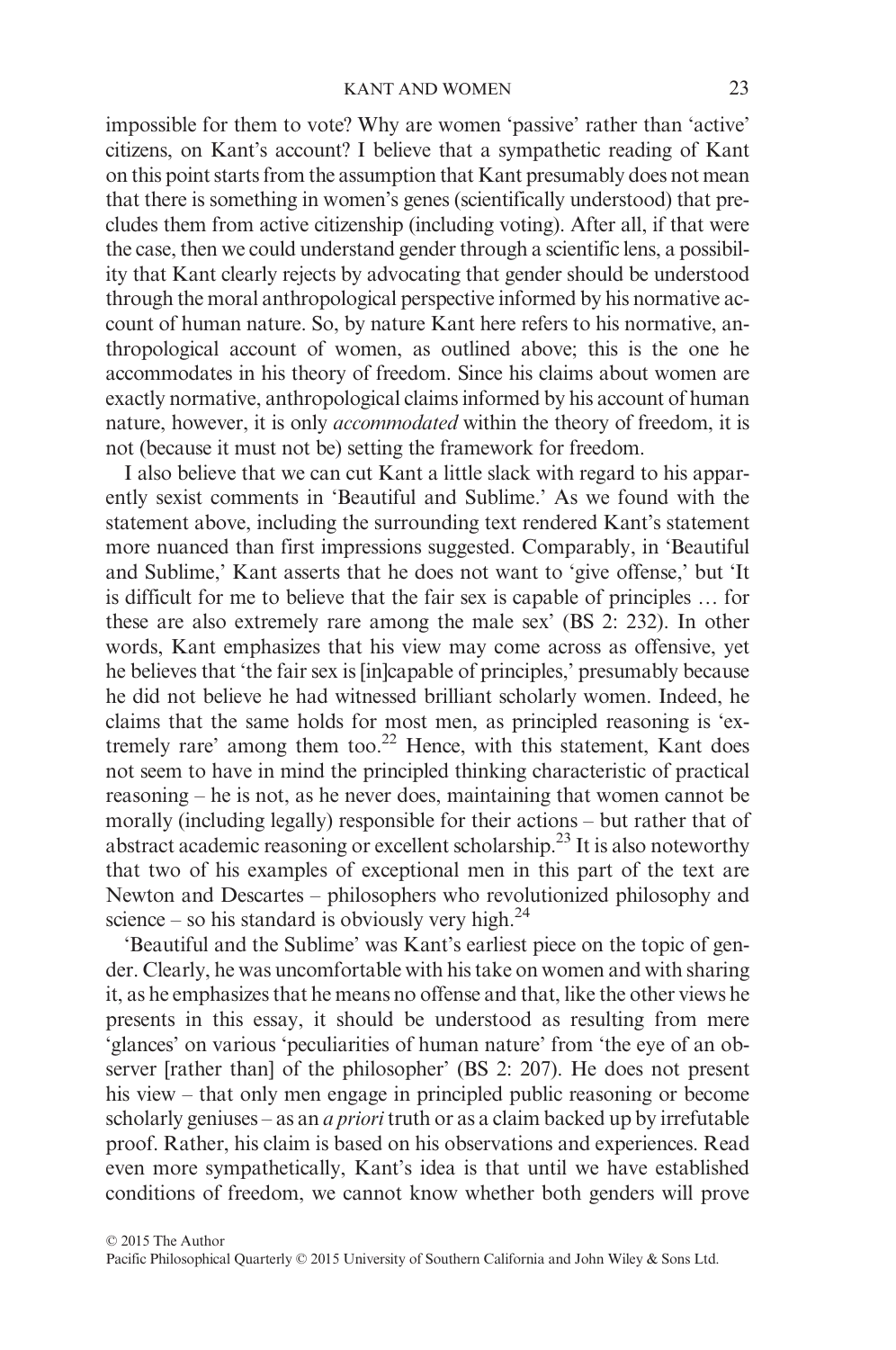impossible for them to vote? Why are women 'passive' rather than 'active' citizens, on Kant's account? I believe that a sympathetic reading of Kant on this point starts from the assumption that Kant presumably does not mean that there is something in women's genes (scientifically understood) that precludes them from active citizenship (including voting). After all, if that were the case, then we could understand gender through a scientific lens, a possibility that Kant clearly rejects by advocating that gender should be understood through the moral anthropological perspective informed by his normative account of human nature. So, by nature Kant here refers to his normative, anthropological account of women, as outlined above; this is the one he accommodates in his theory of freedom. Since his claims about women are exactly normative, anthropological claims informed by his account of human nature, however, it is only accommodated within the theory of freedom, it is not (because it must not be) setting the framework for freedom.

I also believe that we can cut Kant a little slack with regard to his apparently sexist comments in 'Beautiful and Sublime.' As we found with the statement above, including the surrounding text rendered Kant's statement more nuanced than first impressions suggested. Comparably, in 'Beautiful and Sublime,' Kant asserts that he does not want to 'give offense,' but 'It is difficult for me to believe that the fair sex is capable of principles … for these are also extremely rare among the male sex' (BS 2: 232). In other words, Kant emphasizes that his view may come across as offensive, yet he believes that 'the fair sex is [in]capable of principles,' presumably because he did not believe he had witnessed brilliant scholarly women. Indeed, he claims that the same holds for most men, as principled reasoning is 'extremely rare' among them too.<sup>22</sup> Hence, with this statement, Kant does not seem to have in mind the principled thinking characteristic of practical reasoning – he is not, as he never does, maintaining that women cannot be morally (including legally) responsible for their actions – but rather that of abstract academic reasoning or excellent scholarship.23 It is also noteworthy that two of his examples of exceptional men in this part of the text are Newton and Descartes – philosophers who revolutionized philosophy and science – so his standard is obviously very high. $^{24}$ 

'Beautiful and the Sublime' was Kant's earliest piece on the topic of gender. Clearly, he was uncomfortable with his take on women and with sharing it, as he emphasizes that he means no offense and that, like the other views he presents in this essay, it should be understood as resulting from mere 'glances' on various 'peculiarities of human nature' from 'the eye of an observer [rather than] of the philosopher' (BS 2: 207). He does not present his view – that only men engage in principled public reasoning or become scholarly geniuses – as an *a priori* truth or as a claim backed up by irrefutable proof. Rather, his claim is based on his observations and experiences. Read even more sympathetically, Kant's idea is that until we have established conditions of freedom, we cannot know whether both genders will prove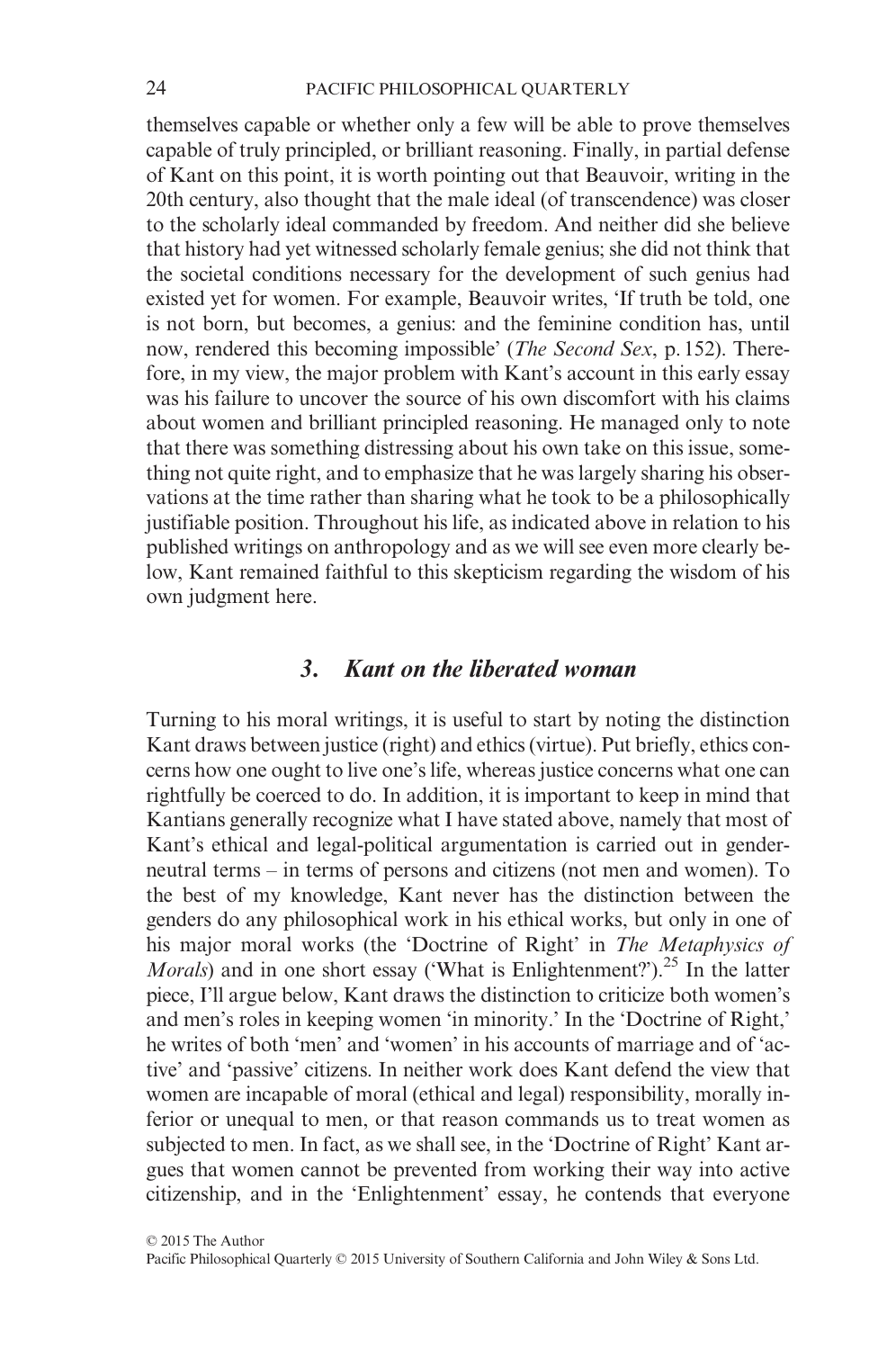themselves capable or whether only a few will be able to prove themselves capable of truly principled, or brilliant reasoning. Finally, in partial defense of Kant on this point, it is worth pointing out that Beauvoir, writing in the 20th century, also thought that the male ideal (of transcendence) was closer to the scholarly ideal commanded by freedom. And neither did she believe that history had yet witnessed scholarly female genius; she did not think that the societal conditions necessary for the development of such genius had existed yet for women. For example, Beauvoir writes, 'If truth be told, one is not born, but becomes, a genius: and the feminine condition has, until now, rendered this becoming impossible' (The Second Sex, p. 152). Therefore, in my view, the major problem with Kant's account in this early essay was his failure to uncover the source of his own discomfort with his claims about women and brilliant principled reasoning. He managed only to note that there was something distressing about his own take on this issue, something not quite right, and to emphasize that he was largely sharing his observations at the time rather than sharing what he took to be a philosophically justifiable position. Throughout his life, as indicated above in relation to his published writings on anthropology and as we will see even more clearly below, Kant remained faithful to this skepticism regarding the wisdom of his own judgment here.

# 3. Kant on the liberated woman

Turning to his moral writings, it is useful to start by noting the distinction Kant draws between justice (right) and ethics (virtue). Put briefly, ethics concerns how one ought to live one's life, whereas justice concerns what one can rightfully be coerced to do. In addition, it is important to keep in mind that Kantians generally recognize what I have stated above, namely that most of Kant's ethical and legal-political argumentation is carried out in genderneutral terms – in terms of persons and citizens (not men and women). To the best of my knowledge, Kant never has the distinction between the genders do any philosophical work in his ethical works, but only in one of his major moral works (the 'Doctrine of Right' in The Metaphysics of *Morals*) and in one short essay ('What is Enlightenment?').<sup>25</sup> In the latter piece, I'll argue below, Kant draws the distinction to criticize both women's and men's roles in keeping women 'in minority.' In the 'Doctrine of Right,' he writes of both 'men' and 'women' in his accounts of marriage and of 'active' and 'passive' citizens. In neither work does Kant defend the view that women are incapable of moral (ethical and legal) responsibility, morally inferior or unequal to men, or that reason commands us to treat women as subjected to men. In fact, as we shall see, in the 'Doctrine of Right' Kant argues that women cannot be prevented from working their way into active citizenship, and in the 'Enlightenment' essay, he contends that everyone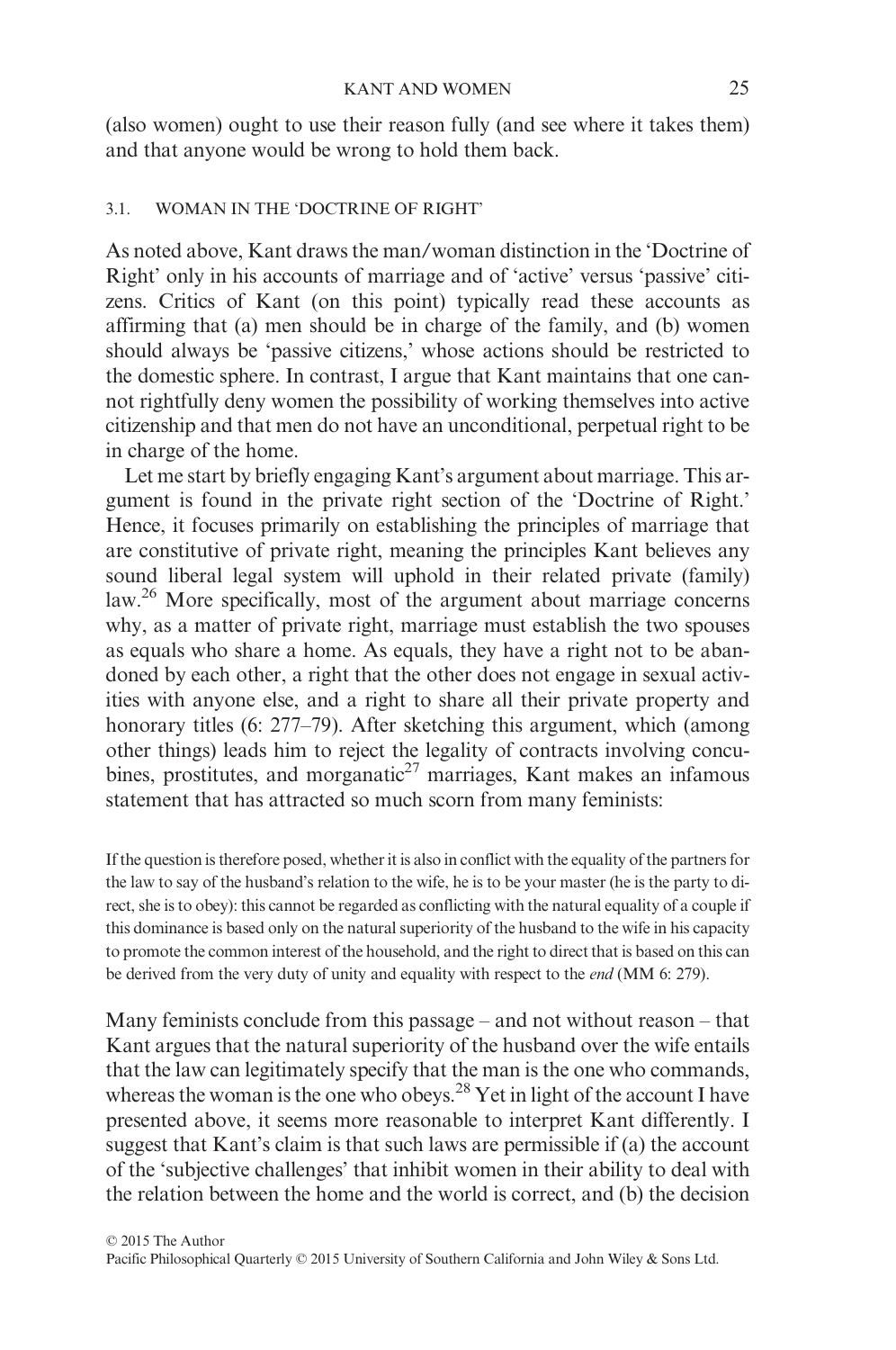(also women) ought to use their reason fully (and see where it takes them) and that anyone would be wrong to hold them back.

## 3.1. WOMAN IN THE 'DOCTRINE OF RIGHT'

As noted above, Kant draws the man/woman distinction in the 'Doctrine of Right' only in his accounts of marriage and of 'active' versus 'passive' citizens. Critics of Kant (on this point) typically read these accounts as affirming that (a) men should be in charge of the family, and (b) women should always be 'passive citizens,' whose actions should be restricted to the domestic sphere. In contrast, I argue that Kant maintains that one cannot rightfully deny women the possibility of working themselves into active citizenship and that men do not have an unconditional, perpetual right to be in charge of the home.

Let me start by briefly engaging Kant's argument about marriage. This argument is found in the private right section of the 'Doctrine of Right.' Hence, it focuses primarily on establishing the principles of marriage that are constitutive of private right, meaning the principles Kant believes any sound liberal legal system will uphold in their related private (family) law.26 More specifically, most of the argument about marriage concerns why, as a matter of private right, marriage must establish the two spouses as equals who share a home. As equals, they have a right not to be abandoned by each other, a right that the other does not engage in sexual activities with anyone else, and a right to share all their private property and honorary titles (6: 277–79). After sketching this argument, which (among other things) leads him to reject the legality of contracts involving concubines, prostitutes, and morganatic<sup>27</sup> marriages, Kant makes an infamous statement that has attracted so much scorn from many feminists:

If the question is therefore posed, whether it is also in conflict with the equality of the partners for the law to say of the husband's relation to the wife, he is to be your master (he is the party to direct, she is to obey): this cannot be regarded as conflicting with the natural equality of a couple if this dominance is based only on the natural superiority of the husband to the wife in his capacity to promote the common interest of the household, and the right to direct that is based on this can be derived from the very duty of unity and equality with respect to the *end* (MM 6: 279).

Many feminists conclude from this passage – and not without reason – that Kant argues that the natural superiority of the husband over the wife entails that the law can legitimately specify that the man is the one who commands, whereas the woman is the one who obeys.<sup>28</sup> Yet in light of the account I have presented above, it seems more reasonable to interpret Kant differently. I suggest that Kant's claim is that such laws are permissible if (a) the account of the 'subjective challenges' that inhibit women in their ability to deal with the relation between the home and the world is correct, and (b) the decision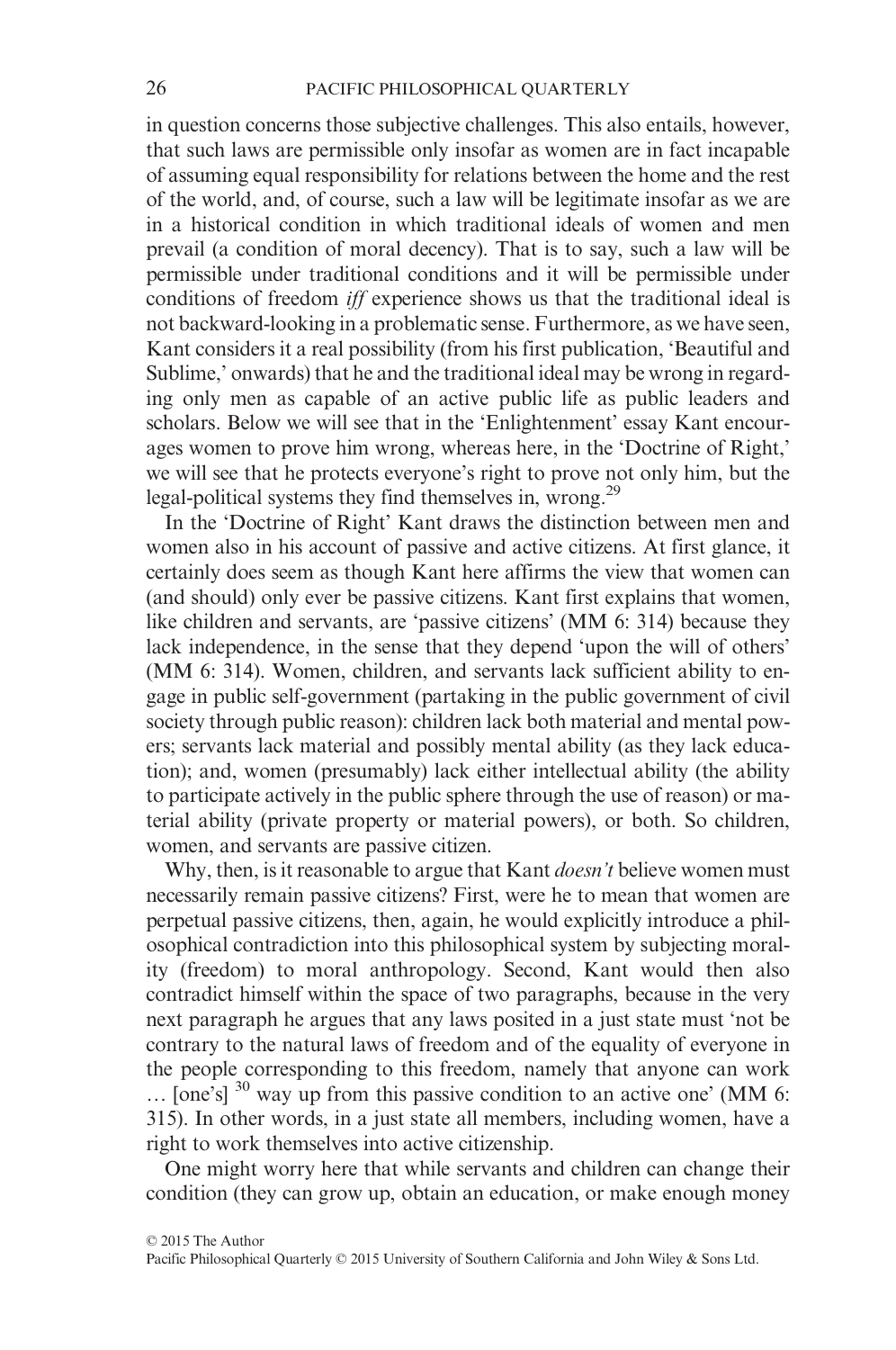in question concerns those subjective challenges. This also entails, however, that such laws are permissible only insofar as women are in fact incapable of assuming equal responsibility for relations between the home and the rest of the world, and, of course, such a law will be legitimate insofar as we are in a historical condition in which traditional ideals of women and men prevail (a condition of moral decency). That is to say, such a law will be permissible under traditional conditions and it will be permissible under conditions of freedom iff experience shows us that the traditional ideal is not backward-looking in a problematic sense. Furthermore, as we have seen, Kant considers it a real possibility (from his first publication, 'Beautiful and Sublime,' onwards) that he and the traditional ideal may be wrong in regarding only men as capable of an active public life as public leaders and scholars. Below we will see that in the 'Enlightenment' essay Kant encourages women to prove him wrong, whereas here, in the 'Doctrine of Right,' we will see that he protects everyone's right to prove not only him, but the legal-political systems they find themselves in, wrong.29

In the 'Doctrine of Right' Kant draws the distinction between men and women also in his account of passive and active citizens. At first glance, it certainly does seem as though Kant here affirms the view that women can (and should) only ever be passive citizens. Kant first explains that women, like children and servants, are 'passive citizens' (MM 6: 314) because they lack independence, in the sense that they depend 'upon the will of others' (MM 6: 314). Women, children, and servants lack sufficient ability to engage in public self-government (partaking in the public government of civil society through public reason): children lack both material and mental powers; servants lack material and possibly mental ability (as they lack education); and, women (presumably) lack either intellectual ability (the ability to participate actively in the public sphere through the use of reason) or material ability (private property or material powers), or both. So children, women, and servants are passive citizen.

Why, then, is it reasonable to argue that Kant *doesn't* believe women must necessarily remain passive citizens? First, were he to mean that women are perpetual passive citizens, then, again, he would explicitly introduce a philosophical contradiction into this philosophical system by subjecting morality (freedom) to moral anthropology. Second, Kant would then also contradict himself within the space of two paragraphs, because in the very next paragraph he argues that any laws posited in a just state must 'not be contrary to the natural laws of freedom and of the equality of everyone in the people corresponding to this freedom, namely that anyone can work ... [one's] <sup>30</sup> way up from this passive condition to an active one' (MM 6: 315). In other words, in a just state all members, including women, have a right to work themselves into active citizenship.

One might worry here that while servants and children can change their condition (they can grow up, obtain an education, or make enough money

<sup>© 2015</sup> The Author

Pacific Philosophical Quarterly © 2015 University of Southern California and John Wiley & Sons Ltd.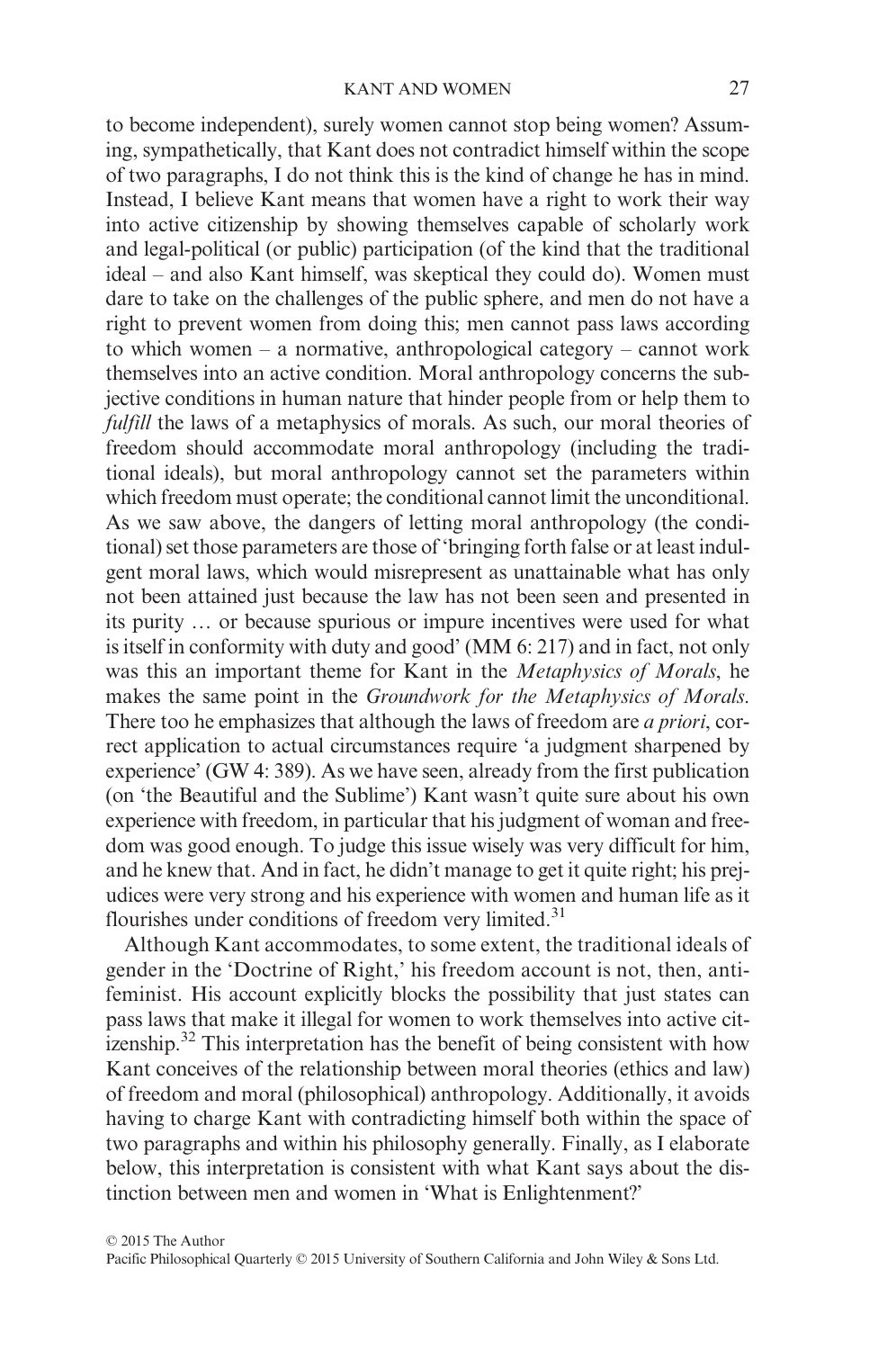to become independent), surely women cannot stop being women? Assuming, sympathetically, that Kant does not contradict himself within the scope of two paragraphs, I do not think this is the kind of change he has in mind. Instead, I believe Kant means that women have a right to work their way into active citizenship by showing themselves capable of scholarly work and legal-political (or public) participation (of the kind that the traditional ideal – and also Kant himself, was skeptical they could do). Women must dare to take on the challenges of the public sphere, and men do not have a right to prevent women from doing this; men cannot pass laws according to which women – a normative, anthropological category – cannot work themselves into an active condition. Moral anthropology concerns the subjective conditions in human nature that hinder people from or help them to fulfill the laws of a metaphysics of morals. As such, our moral theories of freedom should accommodate moral anthropology (including the traditional ideals), but moral anthropology cannot set the parameters within which freedom must operate; the conditional cannot limit the unconditional. As we saw above, the dangers of letting moral anthropology (the conditional) set those parameters are those of 'bringing forth false or at least indulgent moral laws, which would misrepresent as unattainable what has only not been attained just because the law has not been seen and presented in its purity … or because spurious or impure incentives were used for what is itself in conformity with duty and good' (MM 6: 217) and in fact, not only was this an important theme for Kant in the Metaphysics of Morals, he makes the same point in the Groundwork for the Metaphysics of Morals. There too he emphasizes that although the laws of freedom are *a priori*, correct application to actual circumstances require 'a judgment sharpened by experience' (GW 4: 389). As we have seen, already from the first publication (on 'the Beautiful and the Sublime') Kant wasn't quite sure about his own experience with freedom, in particular that his judgment of woman and freedom was good enough. To judge this issue wisely was very difficult for him, and he knew that. And in fact, he didn't manage to get it quite right; his prejudices were very strong and his experience with women and human life as it flourishes under conditions of freedom very limited. $31$ 

Although Kant accommodates, to some extent, the traditional ideals of gender in the 'Doctrine of Right,' his freedom account is not, then, antifeminist. His account explicitly blocks the possibility that just states can pass laws that make it illegal for women to work themselves into active citizenship.32 This interpretation has the benefit of being consistent with how Kant conceives of the relationship between moral theories (ethics and law) of freedom and moral (philosophical) anthropology. Additionally, it avoids having to charge Kant with contradicting himself both within the space of two paragraphs and within his philosophy generally. Finally, as I elaborate below, this interpretation is consistent with what Kant says about the distinction between men and women in 'What is Enlightenment?'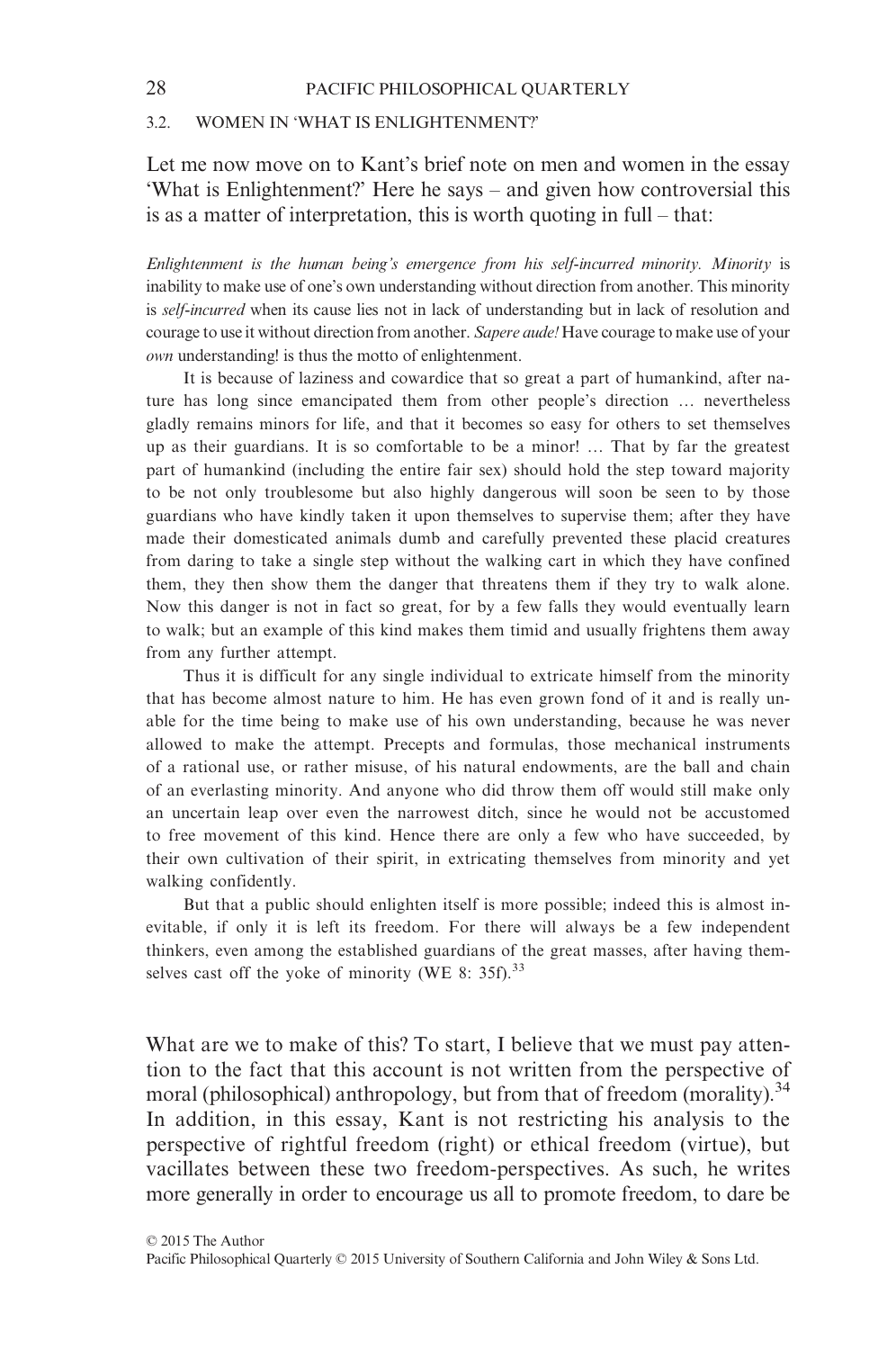## 3.2. WOMEN IN 'WHAT IS ENLIGHTENMENT?'

Let me now move on to Kant's brief note on men and women in the essay 'What is Enlightenment?' Here he says – and given how controversial this is as a matter of interpretation, this is worth quoting in full – that:

Enlightenment is the human being's emergence from his self-incurred minority. Minority is inability to make use of one's own understanding without direction from another. This minority is *self-incurred* when its cause lies not in lack of understanding but in lack of resolution and courage to use it without direction from another. Sapere aude! Have courage to make use of your own understanding! is thus the motto of enlightenment.

It is because of laziness and cowardice that so great a part of humankind, after nature has long since emancipated them from other people's direction … nevertheless gladly remains minors for life, and that it becomes so easy for others to set themselves up as their guardians. It is so comfortable to be a minor! … That by far the greatest part of humankind (including the entire fair sex) should hold the step toward majority to be not only troublesome but also highly dangerous will soon be seen to by those guardians who have kindly taken it upon themselves to supervise them; after they have made their domesticated animals dumb and carefully prevented these placid creatures from daring to take a single step without the walking cart in which they have confined them, they then show them the danger that threatens them if they try to walk alone. Now this danger is not in fact so great, for by a few falls they would eventually learn to walk; but an example of this kind makes them timid and usually frightens them away from any further attempt.

Thus it is difficult for any single individual to extricate himself from the minority that has become almost nature to him. He has even grown fond of it and is really unable for the time being to make use of his own understanding, because he was never allowed to make the attempt. Precepts and formulas, those mechanical instruments of a rational use, or rather misuse, of his natural endowments, are the ball and chain of an everlasting minority. And anyone who did throw them off would still make only an uncertain leap over even the narrowest ditch, since he would not be accustomed to free movement of this kind. Hence there are only a few who have succeeded, by their own cultivation of their spirit, in extricating themselves from minority and yet walking confidently.

But that a public should enlighten itself is more possible; indeed this is almost inevitable, if only it is left its freedom. For there will always be a few independent thinkers, even among the established guardians of the great masses, after having themselves cast off the yoke of minority (WE 8: 35f).<sup>33</sup>

What are we to make of this? To start, I believe that we must pay attention to the fact that this account is not written from the perspective of moral (philosophical) anthropology, but from that of freedom (morality).<sup>34</sup> In addition, in this essay, Kant is not restricting his analysis to the perspective of rightful freedom (right) or ethical freedom (virtue), but vacillates between these two freedom-perspectives. As such, he writes more generally in order to encourage us all to promote freedom, to dare be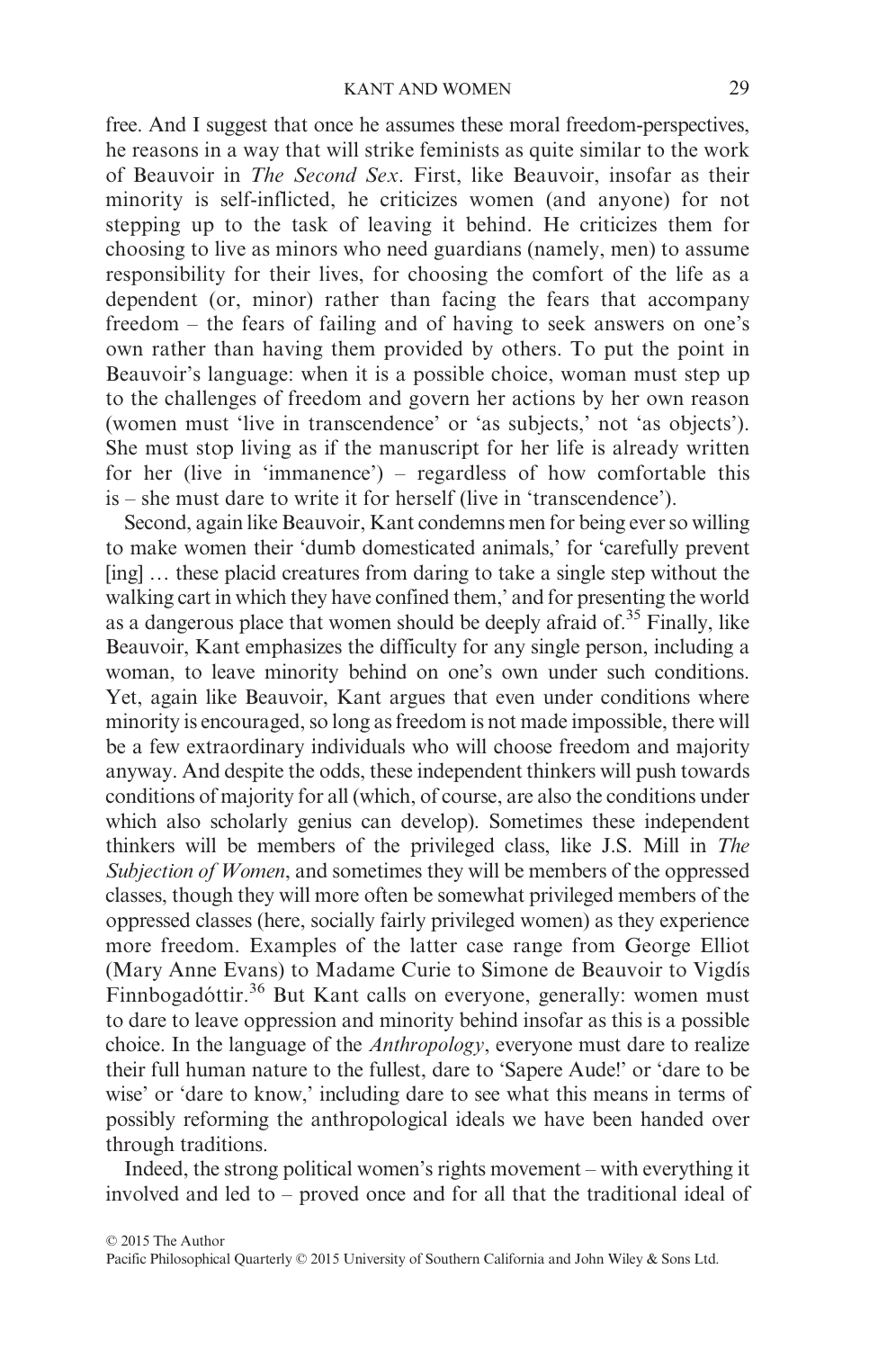free. And I suggest that once he assumes these moral freedom-perspectives, he reasons in a way that will strike feminists as quite similar to the work of Beauvoir in The Second Sex. First, like Beauvoir, insofar as their minority is self-inflicted, he criticizes women (and anyone) for not stepping up to the task of leaving it behind. He criticizes them for choosing to live as minors who need guardians (namely, men) to assume responsibility for their lives, for choosing the comfort of the life as a dependent (or, minor) rather than facing the fears that accompany freedom – the fears of failing and of having to seek answers on one's own rather than having them provided by others. To put the point in Beauvoir's language: when it is a possible choice, woman must step up to the challenges of freedom and govern her actions by her own reason (women must 'live in transcendence' or 'as subjects,' not 'as objects'). She must stop living as if the manuscript for her life is already written for her (live in 'immanence') – regardless of how comfortable this is – she must dare to write it for herself (live in 'transcendence').

Second, again like Beauvoir, Kant condemns men for being ever so willing to make women their 'dumb domesticated animals,' for 'carefully prevent [ing] … these placid creatures from daring to take a single step without the walking cart in which they have confined them,' and for presenting the world as a dangerous place that women should be deeply afraid of.35 Finally, like Beauvoir, Kant emphasizes the difficulty for any single person, including a woman, to leave minority behind on one's own under such conditions. Yet, again like Beauvoir, Kant argues that even under conditions where minority is encouraged, so long as freedom is not made impossible, there will be a few extraordinary individuals who will choose freedom and majority anyway. And despite the odds, these independent thinkers will push towards conditions of majority for all (which, of course, are also the conditions under which also scholarly genius can develop). Sometimes these independent thinkers will be members of the privileged class, like J.S. Mill in The Subjection of Women, and sometimes they will be members of the oppressed classes, though they will more often be somewhat privileged members of the oppressed classes (here, socially fairly privileged women) as they experience more freedom. Examples of the latter case range from George Elliot (Mary Anne Evans) to Madame Curie to Simone de Beauvoir to Vigdís Finnbogadóttir.<sup>36</sup> But Kant calls on everyone, generally: women must to dare to leave oppression and minority behind insofar as this is a possible choice. In the language of the Anthropology, everyone must dare to realize their full human nature to the fullest, dare to 'Sapere Aude!' or 'dare to be wise' or 'dare to know,' including dare to see what this means in terms of possibly reforming the anthropological ideals we have been handed over through traditions.

Indeed, the strong political women's rights movement – with everything it involved and led to – proved once and for all that the traditional ideal of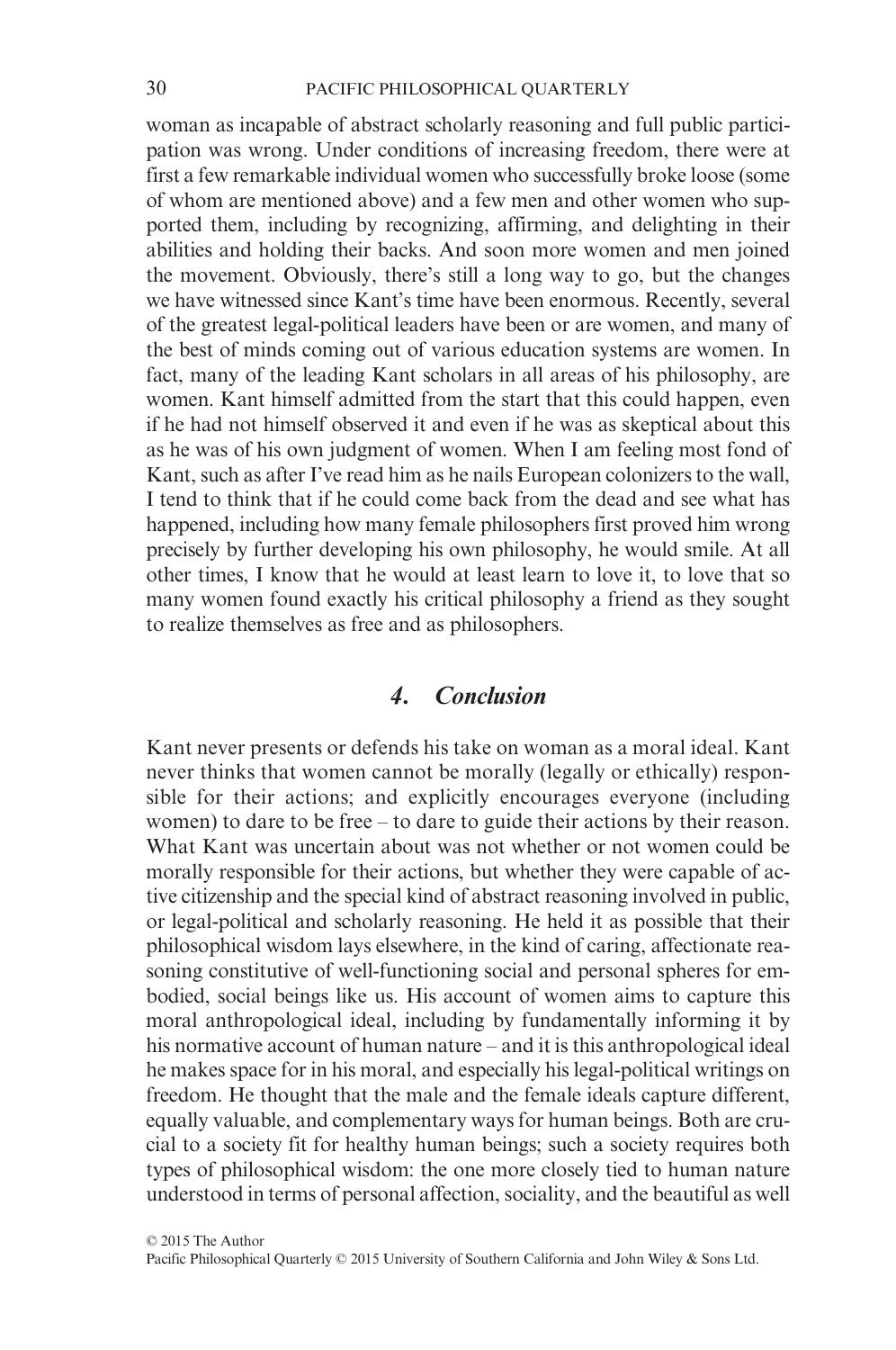woman as incapable of abstract scholarly reasoning and full public participation was wrong. Under conditions of increasing freedom, there were at first a few remarkable individual women who successfully broke loose (some of whom are mentioned above) and a few men and other women who supported them, including by recognizing, affirming, and delighting in their abilities and holding their backs. And soon more women and men joined the movement. Obviously, there's still a long way to go, but the changes we have witnessed since Kant's time have been enormous. Recently, several of the greatest legal-political leaders have been or are women, and many of the best of minds coming out of various education systems are women. In fact, many of the leading Kant scholars in all areas of his philosophy, are women. Kant himself admitted from the start that this could happen, even if he had not himself observed it and even if he was as skeptical about this as he was of his own judgment of women. When I am feeling most fond of Kant, such as after I've read him as he nails European colonizers to the wall, I tend to think that if he could come back from the dead and see what has happened, including how many female philosophers first proved him wrong precisely by further developing his own philosophy, he would smile. At all other times, I know that he would at least learn to love it, to love that so many women found exactly his critical philosophy a friend as they sought to realize themselves as free and as philosophers.

# 4. Conclusion

Kant never presents or defends his take on woman as a moral ideal. Kant never thinks that women cannot be morally (legally or ethically) responsible for their actions; and explicitly encourages everyone (including women) to dare to be free – to dare to guide their actions by their reason. What Kant was uncertain about was not whether or not women could be morally responsible for their actions, but whether they were capable of active citizenship and the special kind of abstract reasoning involved in public, or legal-political and scholarly reasoning. He held it as possible that their philosophical wisdom lays elsewhere, in the kind of caring, affectionate reasoning constitutive of well-functioning social and personal spheres for embodied, social beings like us. His account of women aims to capture this moral anthropological ideal, including by fundamentally informing it by his normative account of human nature – and it is this anthropological ideal he makes space for in his moral, and especially his legal-political writings on freedom. He thought that the male and the female ideals capture different, equally valuable, and complementary ways for human beings. Both are crucial to a society fit for healthy human beings; such a society requires both types of philosophical wisdom: the one more closely tied to human nature understood in terms of personal affection, sociality, and the beautiful as well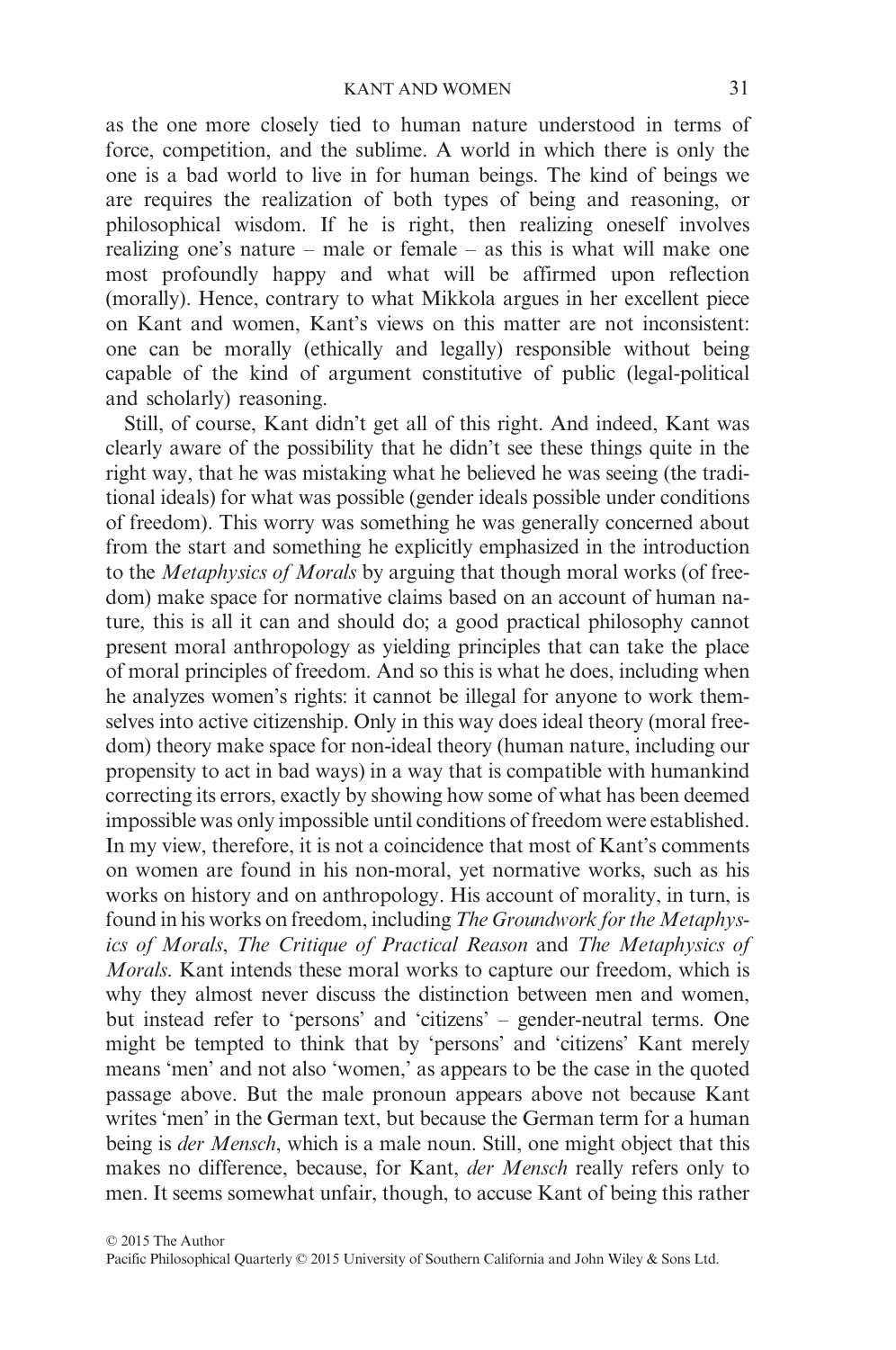as the one more closely tied to human nature understood in terms of force, competition, and the sublime. A world in which there is only the one is a bad world to live in for human beings. The kind of beings we are requires the realization of both types of being and reasoning, or philosophical wisdom. If he is right, then realizing oneself involves realizing one's nature – male or female – as this is what will make one most profoundly happy and what will be affirmed upon reflection (morally). Hence, contrary to what Mikkola argues in her excellent piece on Kant and women, Kant's views on this matter are not inconsistent: one can be morally (ethically and legally) responsible without being capable of the kind of argument constitutive of public (legal-political and scholarly) reasoning.

Still, of course, Kant didn't get all of this right. And indeed, Kant was clearly aware of the possibility that he didn't see these things quite in the right way, that he was mistaking what he believed he was seeing (the traditional ideals) for what was possible (gender ideals possible under conditions of freedom). This worry was something he was generally concerned about from the start and something he explicitly emphasized in the introduction to the Metaphysics of Morals by arguing that though moral works (of freedom) make space for normative claims based on an account of human nature, this is all it can and should do; a good practical philosophy cannot present moral anthropology as yielding principles that can take the place of moral principles of freedom. And so this is what he does, including when he analyzes women's rights: it cannot be illegal for anyone to work themselves into active citizenship. Only in this way does ideal theory (moral freedom) theory make space for non-ideal theory (human nature, including our propensity to act in bad ways) in a way that is compatible with humankind correcting its errors, exactly by showing how some of what has been deemed impossible was only impossible until conditions of freedom were established. In my view, therefore, it is not a coincidence that most of Kant's comments on women are found in his non-moral, yet normative works, such as his works on history and on anthropology. His account of morality, in turn, is found in his works on freedom, including The Groundwork for the Metaphysics of Morals, The Critique of Practical Reason and The Metaphysics of Morals. Kant intends these moral works to capture our freedom, which is why they almost never discuss the distinction between men and women, but instead refer to 'persons' and 'citizens' – gender-neutral terms. One might be tempted to think that by 'persons' and 'citizens' Kant merely means 'men' and not also 'women,' as appears to be the case in the quoted passage above. But the male pronoun appears above not because Kant writes 'men' in the German text, but because the German term for a human being is der Mensch, which is a male noun. Still, one might object that this makes no difference, because, for Kant, der Mensch really refers only to men. It seems somewhat unfair, though, to accuse Kant of being this rather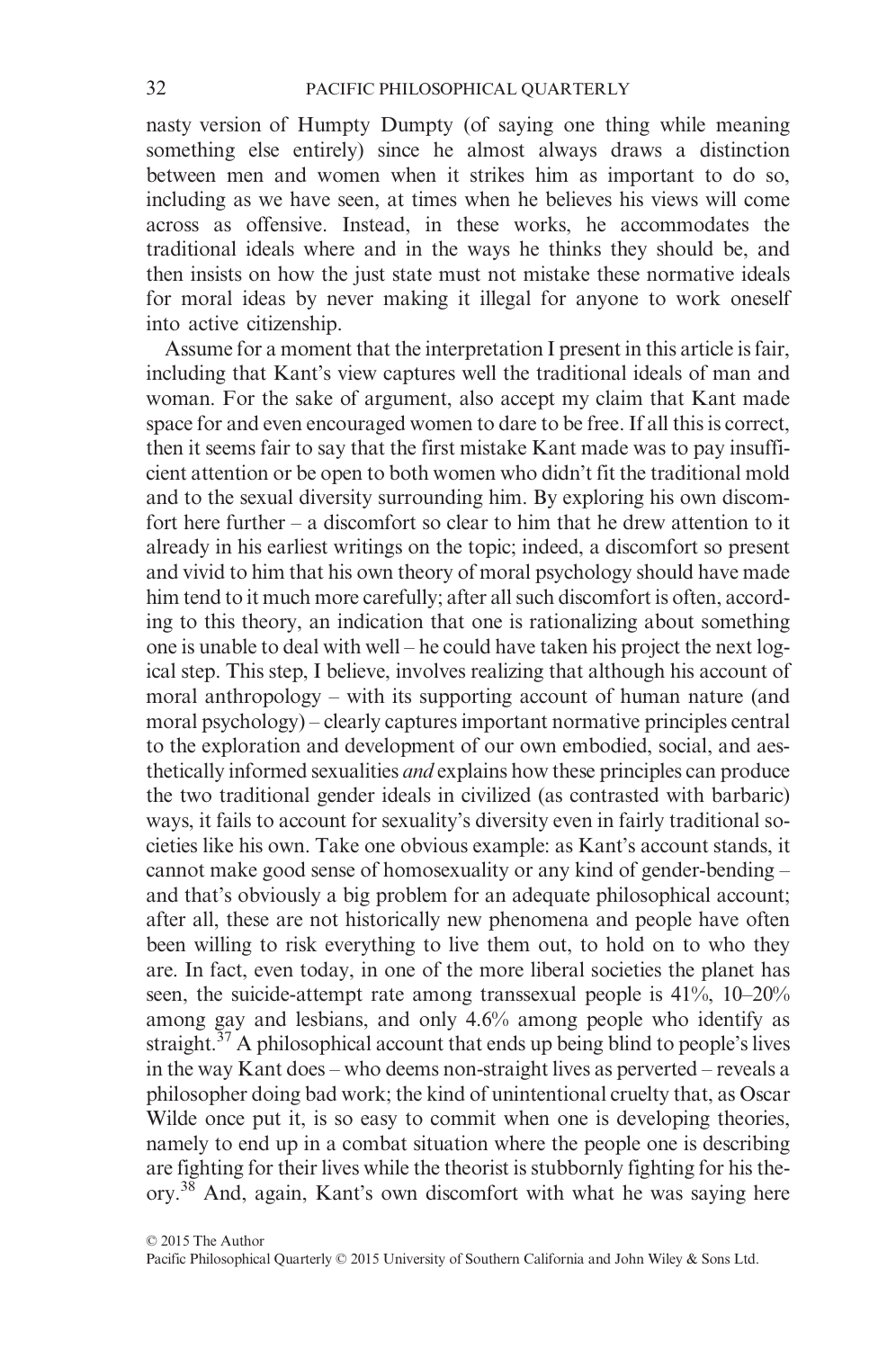nasty version of Humpty Dumpty (of saying one thing while meaning something else entirely) since he almost always draws a distinction between men and women when it strikes him as important to do so, including as we have seen, at times when he believes his views will come across as offensive. Instead, in these works, he accommodates the traditional ideals where and in the ways he thinks they should be, and then insists on how the just state must not mistake these normative ideals for moral ideas by never making it illegal for anyone to work oneself into active citizenship.

Assume for a moment that the interpretation I present in this article is fair, including that Kant's view captures well the traditional ideals of man and woman. For the sake of argument, also accept my claim that Kant made space for and even encouraged women to dare to be free. If all this is correct, then it seems fair to say that the first mistake Kant made was to pay insufficient attention or be open to both women who didn't fit the traditional mold and to the sexual diversity surrounding him. By exploring his own discomfort here further – a discomfort so clear to him that he drew attention to it already in his earliest writings on the topic; indeed, a discomfort so present and vivid to him that his own theory of moral psychology should have made him tend to it much more carefully; after all such discomfort is often, according to this theory, an indication that one is rationalizing about something one is unable to deal with well – he could have taken his project the next logical step. This step, I believe, involves realizing that although his account of moral anthropology – with its supporting account of human nature (and moral psychology) – clearly captures important normative principles central to the exploration and development of our own embodied, social, and aesthetically informed sexualities and explains how these principles can produce the two traditional gender ideals in civilized (as contrasted with barbaric) ways, it fails to account for sexuality's diversity even in fairly traditional societies like his own. Take one obvious example: as Kant's account stands, it cannot make good sense of homosexuality or any kind of gender-bending – and that's obviously a big problem for an adequate philosophical account; after all, these are not historically new phenomena and people have often been willing to risk everything to live them out, to hold on to who they are. In fact, even today, in one of the more liberal societies the planet has seen, the suicide-attempt rate among transsexual people is 41%, 10–20% among gay and lesbians, and only 4.6% among people who identify as straight.<sup>37</sup> A philosophical account that ends up being blind to people's lives in the way Kant does – who deems non-straight lives as perverted – reveals a philosopher doing bad work; the kind of unintentional cruelty that, as Oscar Wilde once put it, is so easy to commit when one is developing theories, namely to end up in a combat situation where the people one is describing are fighting for their lives while the theorist is stubbornly fighting for his theory.38 And, again, Kant's own discomfort with what he was saying here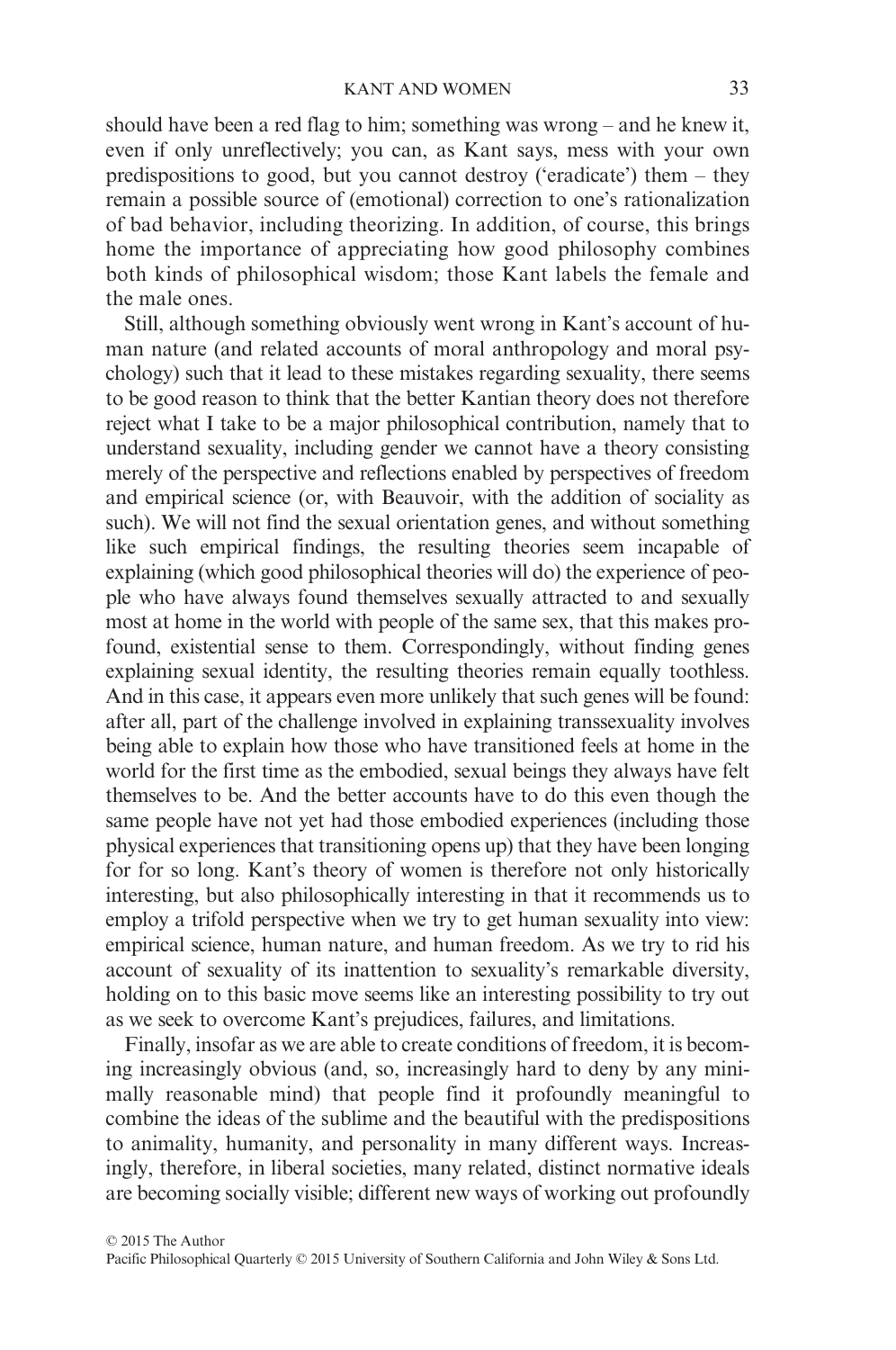should have been a red flag to him; something was wrong – and he knew it, even if only unreflectively; you can, as Kant says, mess with your own predispositions to good, but you cannot destroy ('eradicate') them – they remain a possible source of (emotional) correction to one's rationalization of bad behavior, including theorizing. In addition, of course, this brings home the importance of appreciating how good philosophy combines both kinds of philosophical wisdom; those Kant labels the female and the male ones.

Still, although something obviously went wrong in Kant's account of human nature (and related accounts of moral anthropology and moral psychology) such that it lead to these mistakes regarding sexuality, there seems to be good reason to think that the better Kantian theory does not therefore reject what I take to be a major philosophical contribution, namely that to understand sexuality, including gender we cannot have a theory consisting merely of the perspective and reflections enabled by perspectives of freedom and empirical science (or, with Beauvoir, with the addition of sociality as such). We will not find the sexual orientation genes, and without something like such empirical findings, the resulting theories seem incapable of explaining (which good philosophical theories will do) the experience of people who have always found themselves sexually attracted to and sexually most at home in the world with people of the same sex, that this makes profound, existential sense to them. Correspondingly, without finding genes explaining sexual identity, the resulting theories remain equally toothless. And in this case, it appears even more unlikely that such genes will be found: after all, part of the challenge involved in explaining transsexuality involves being able to explain how those who have transitioned feels at home in the world for the first time as the embodied, sexual beings they always have felt themselves to be. And the better accounts have to do this even though the same people have not yet had those embodied experiences (including those physical experiences that transitioning opens up) that they have been longing for for so long. Kant's theory of women is therefore not only historically interesting, but also philosophically interesting in that it recommends us to employ a trifold perspective when we try to get human sexuality into view: empirical science, human nature, and human freedom. As we try to rid his account of sexuality of its inattention to sexuality's remarkable diversity, holding on to this basic move seems like an interesting possibility to try out as we seek to overcome Kant's prejudices, failures, and limitations.

Finally, insofar as we are able to create conditions of freedom, it is becoming increasingly obvious (and, so, increasingly hard to deny by any minimally reasonable mind) that people find it profoundly meaningful to combine the ideas of the sublime and the beautiful with the predispositions to animality, humanity, and personality in many different ways. Increasingly, therefore, in liberal societies, many related, distinct normative ideals are becoming socially visible; different new ways of working out profoundly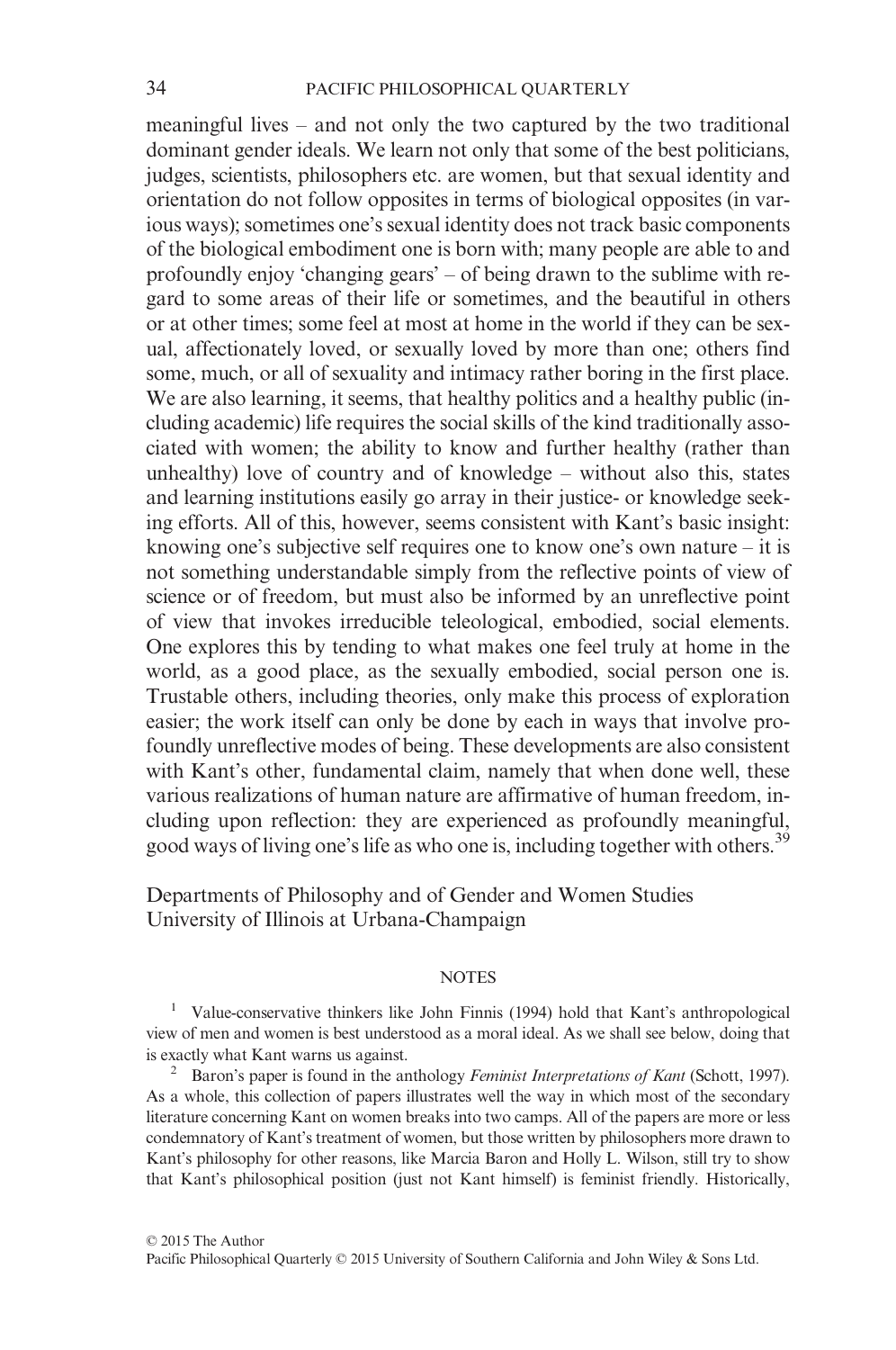meaningful lives – and not only the two captured by the two traditional dominant gender ideals. We learn not only that some of the best politicians, judges, scientists, philosophers etc. are women, but that sexual identity and orientation do not follow opposites in terms of biological opposites (in various ways); sometimes one's sexual identity does not track basic components of the biological embodiment one is born with; many people are able to and profoundly enjoy 'changing gears' – of being drawn to the sublime with regard to some areas of their life or sometimes, and the beautiful in others or at other times; some feel at most at home in the world if they can be sexual, affectionately loved, or sexually loved by more than one; others find some, much, or all of sexuality and intimacy rather boring in the first place. We are also learning, it seems, that healthy politics and a healthy public (including academic) life requires the social skills of the kind traditionally associated with women; the ability to know and further healthy (rather than unhealthy) love of country and of knowledge – without also this, states and learning institutions easily go array in their justice- or knowledge seeking efforts. All of this, however, seems consistent with Kant's basic insight: knowing one's subjective self requires one to know one's own nature – it is not something understandable simply from the reflective points of view of science or of freedom, but must also be informed by an unreflective point of view that invokes irreducible teleological, embodied, social elements. One explores this by tending to what makes one feel truly at home in the world, as a good place, as the sexually embodied, social person one is. Trustable others, including theories, only make this process of exploration easier; the work itself can only be done by each in ways that involve profoundly unreflective modes of being. These developments are also consistent with Kant's other, fundamental claim, namely that when done well, these various realizations of human nature are affirmative of human freedom, including upon reflection: they are experienced as profoundly meaningful, good ways of living one's life as who one is, including together with others.39

Departments of Philosophy and of Gender and Women Studies University of Illinois at Urbana-Champaign

#### **NOTES**

<sup>1</sup> Value-conservative thinkers like John Finnis (1994) hold that Kant's anthropological view of men and women is best understood as a moral ideal. As we shall see below, doing that is exactly what Kant warns us against.

<sup>2</sup> Baron's paper is found in the anthology *Feminist Interpretations of Kant* (Schott, 1997). As a whole, this collection of papers illustrates well the way in which most of the secondary literature concerning Kant on women breaks into two camps. All of the papers are more or less condemnatory of Kant's treatment of women, but those written by philosophers more drawn to Kant's philosophy for other reasons, like Marcia Baron and Holly L. Wilson, still try to show that Kant's philosophical position (just not Kant himself) is feminist friendly. Historically,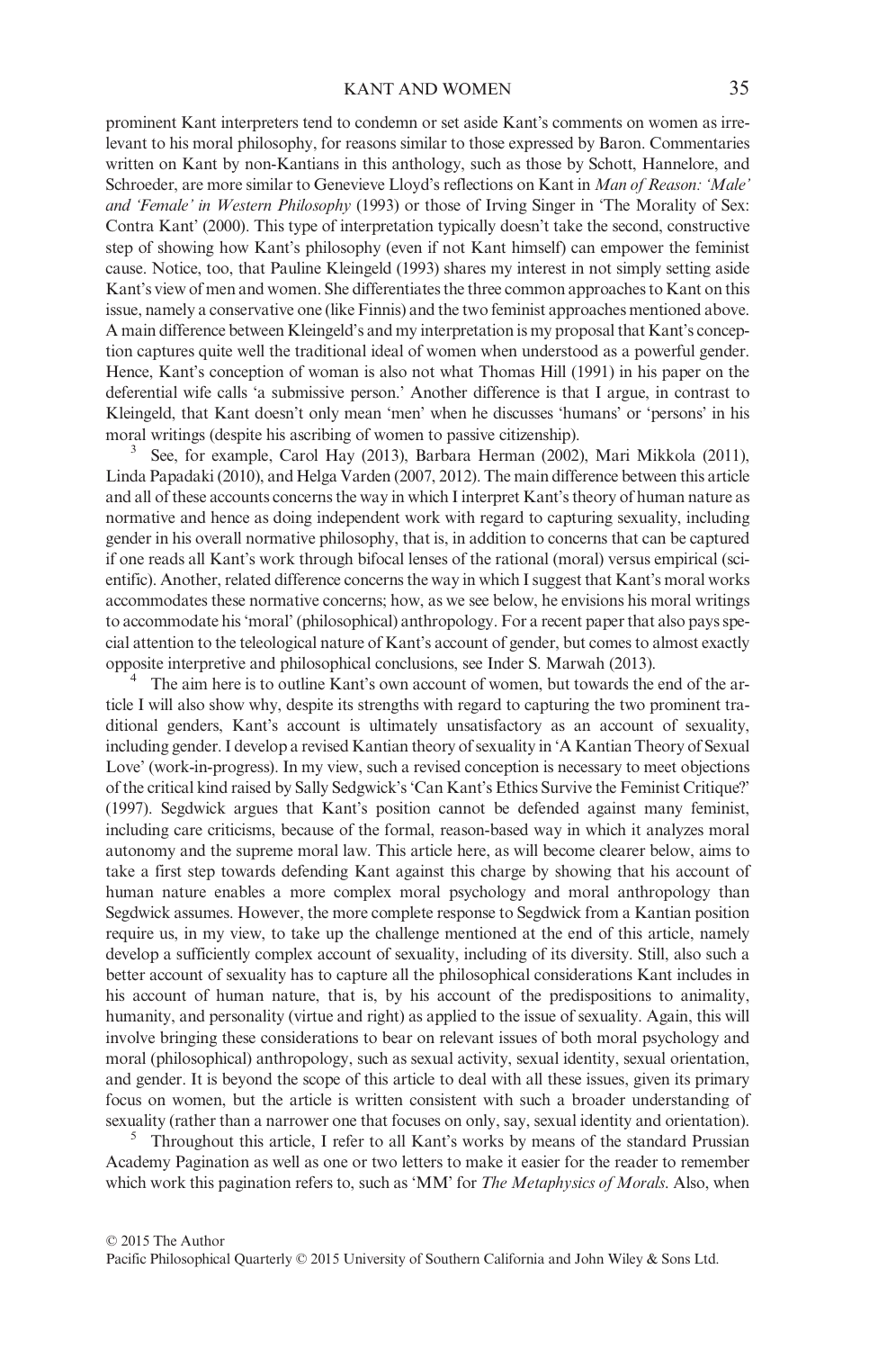#### KANT AND WOMEN 35

prominent Kant interpreters tend to condemn or set aside Kant's comments on women as irrelevant to his moral philosophy, for reasons similar to those expressed by Baron. Commentaries written on Kant by non-Kantians in this anthology, such as those by Schott, Hannelore, and Schroeder, are more similar to Genevieve Lloyd's reflections on Kant in Man of Reason: 'Male' and 'Female' in Western Philosophy (1993) or those of Irving Singer in 'The Morality of Sex: Contra Kant' (2000). This type of interpretation typically doesn't take the second, constructive step of showing how Kant's philosophy (even if not Kant himself) can empower the feminist cause. Notice, too, that Pauline Kleingeld (1993) shares my interest in not simply setting aside Kant's view of men and women. She differentiates the three common approaches to Kant on this issue, namely a conservative one (like Finnis) and the two feminist approaches mentioned above. A main difference between Kleingeld's and my interpretation is my proposal that Kant's conception captures quite well the traditional ideal of women when understood as a powerful gender. Hence, Kant's conception of woman is also not what Thomas Hill (1991) in his paper on the deferential wife calls 'a submissive person.' Another difference is that I argue, in contrast to Kleingeld, that Kant doesn't only mean 'men' when he discusses 'humans' or 'persons' in his moral writings (despite his ascribing of women to passive citizenship).

<sup>3</sup> See, for example, Carol Hay (2013), Barbara Herman (2002), Mari Mikkola (2011), Linda Papadaki (2010), and Helga Varden (2007, 2012). The main difference between this article and all of these accounts concerns the way in which I interpret Kant's theory of human nature as normative and hence as doing independent work with regard to capturing sexuality, including gender in his overall normative philosophy, that is, in addition to concerns that can be captured if one reads all Kant's work through bifocal lenses of the rational (moral) versus empirical (scientific). Another, related difference concerns the way in which I suggest that Kant's moral works accommodates these normative concerns; how, as we see below, he envisions his moral writings to accommodate his'moral' (philosophical) anthropology. For a recent paper that also pays special attention to the teleological nature of Kant's account of gender, but comes to almost exactly opposite interpretive and philosophical conclusions, see Inder S. Marwah (2013). <sup>4</sup> The aim here is to outline Kant's own account of women, but towards the end of the ar-

ticle I will also show why, despite its strengths with regard to capturing the two prominent traditional genders, Kant's account is ultimately unsatisfactory as an account of sexuality, including gender. I develop a revised Kantian theory of sexuality in 'A Kantian Theory of Sexual Love' (work-in-progress). In my view, such a revised conception is necessary to meet objections of the critical kind raised by Sally Sedgwick's 'Can Kant's Ethics Survive the Feminist Critique?' (1997). Segdwick argues that Kant's position cannot be defended against many feminist, including care criticisms, because of the formal, reason-based way in which it analyzes moral autonomy and the supreme moral law. This article here, as will become clearer below, aims to take a first step towards defending Kant against this charge by showing that his account of human nature enables a more complex moral psychology and moral anthropology than Segdwick assumes. However, the more complete response to Segdwick from a Kantian position require us, in my view, to take up the challenge mentioned at the end of this article, namely develop a sufficiently complex account of sexuality, including of its diversity. Still, also such a better account of sexuality has to capture all the philosophical considerations Kant includes in his account of human nature, that is, by his account of the predispositions to animality, humanity, and personality (virtue and right) as applied to the issue of sexuality. Again, this will involve bringing these considerations to bear on relevant issues of both moral psychology and moral (philosophical) anthropology, such as sexual activity, sexual identity, sexual orientation, and gender. It is beyond the scope of this article to deal with all these issues, given its primary focus on women, but the article is written consistent with such a broader understanding of sexuality (rather than a narrower one that focuses on only, say, sexual identity and orientation).

<sup>5</sup> Throughout this article, I refer to all Kant's works by means of the standard Prussian Academy Pagination as well as one or two letters to make it easier for the reader to remember which work this pagination refers to, such as 'MM' for *The Metaphysics of Morals*. Also, when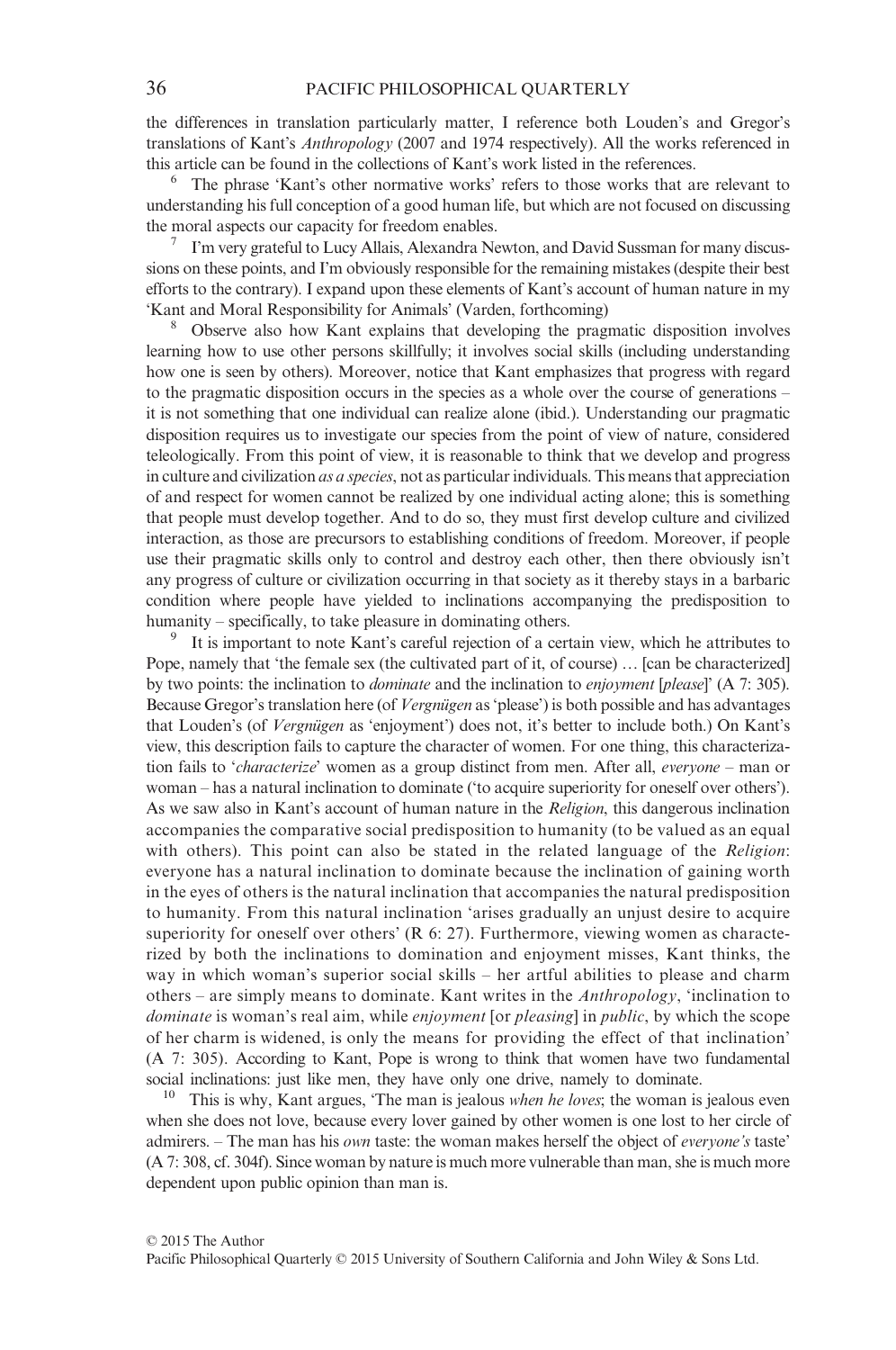the differences in translation particularly matter, I reference both Louden's and Gregor's translations of Kant's Anthropology (2007 and 1974 respectively). All the works referenced in this article can be found in the collections of Kant's work listed in the references.

<sup>6</sup> The phrase 'Kant's other normative works' refers to those works that are relevant to understanding his full conception of a good human life, but which are not focused on discussing the moral aspects our capacity for freedom enables.<br><sup>7</sup> I'm very grateful to Lucy Allais, Alexandra Newton, and David Sussman for many discus-

sions on these points, and I'm obviously responsible for the remaining mistakes (despite their best efforts to the contrary). I expand upon these elements of Kant's account of human nature in my 'Kant and Moral Responsibility for Animals' (Varden, forthcoming)

<sup>8</sup> Observe also how Kant explains that developing the pragmatic disposition involves learning how to use other persons skillfully; it involves social skills (including understanding how one is seen by others). Moreover, notice that Kant emphasizes that progress with regard to the pragmatic disposition occurs in the species as a whole over the course of generations – it is not something that one individual can realize alone (ibid.). Understanding our pragmatic disposition requires us to investigate our species from the point of view of nature, considered teleologically. From this point of view, it is reasonable to think that we develop and progress in culture and civilization *as a species*, not as particular individuals. This means that appreciation of and respect for women cannot be realized by one individual acting alone; this is something that people must develop together. And to do so, they must first develop culture and civilized interaction, as those are precursors to establishing conditions of freedom. Moreover, if people use their pragmatic skills only to control and destroy each other, then there obviously isn't any progress of culture or civilization occurring in that society as it thereby stays in a barbaric condition where people have yielded to inclinations accompanying the predisposition to humanity – specifically, to take pleasure in dominating others.

<sup>9</sup> It is important to note Kant's careful rejection of a certain view, which he attributes to Pope, namely that 'the female sex (the cultivated part of it, of course) … [can be characterized] by two points: the inclination to *dominate* and the inclination to *enjoyment* [please]' (A 7: 305). Because Gregor's translation here (of Vergnügen as 'please') is both possible and has advantages that Louden's (of Vergnügen as 'enjoyment') does not, it's better to include both.) On Kant's view, this description fails to capture the character of women. For one thing, this characterization fails to '*characterize*' women as a group distinct from men. After all, *everyone* – man or woman – has a natural inclination to dominate ('to acquire superiority for oneself over others'). As we saw also in Kant's account of human nature in the Religion, this dangerous inclination accompanies the comparative social predisposition to humanity (to be valued as an equal with others). This point can also be stated in the related language of the *Religion*: everyone has a natural inclination to dominate because the inclination of gaining worth in the eyes of others is the natural inclination that accompanies the natural predisposition to humanity. From this natural inclination 'arises gradually an unjust desire to acquire superiority for oneself over others' (R 6: 27). Furthermore, viewing women as characterized by both the inclinations to domination and enjoyment misses, Kant thinks, the way in which woman's superior social skills – her artful abilities to please and charm others – are simply means to dominate. Kant writes in the Anthropology, 'inclination to dominate is woman's real aim, while *enjoyment* [or *pleasing]* in *public*, by which the scope of her charm is widened, is only the means for providing the effect of that inclination' (A 7: 305). According to Kant, Pope is wrong to think that women have two fundamental social inclinations: just like men, they have only one drive, namely to dominate.  $10$  This is why, Kant argues, 'The man is jealous *when he loves*; the woman is jealous even

when she does not love, because every lover gained by other women is one lost to her circle of admirers. – The man has his *own* taste: the woman makes herself the object of *everyone's* taste' (A 7: 308, cf. 304f). Since woman by nature is much more vulnerable than man, she is much more dependent upon public opinion than man is.

© 2015 The Author

Pacific Philosophical Quarterly © 2015 University of Southern California and John Wiley & Sons Ltd.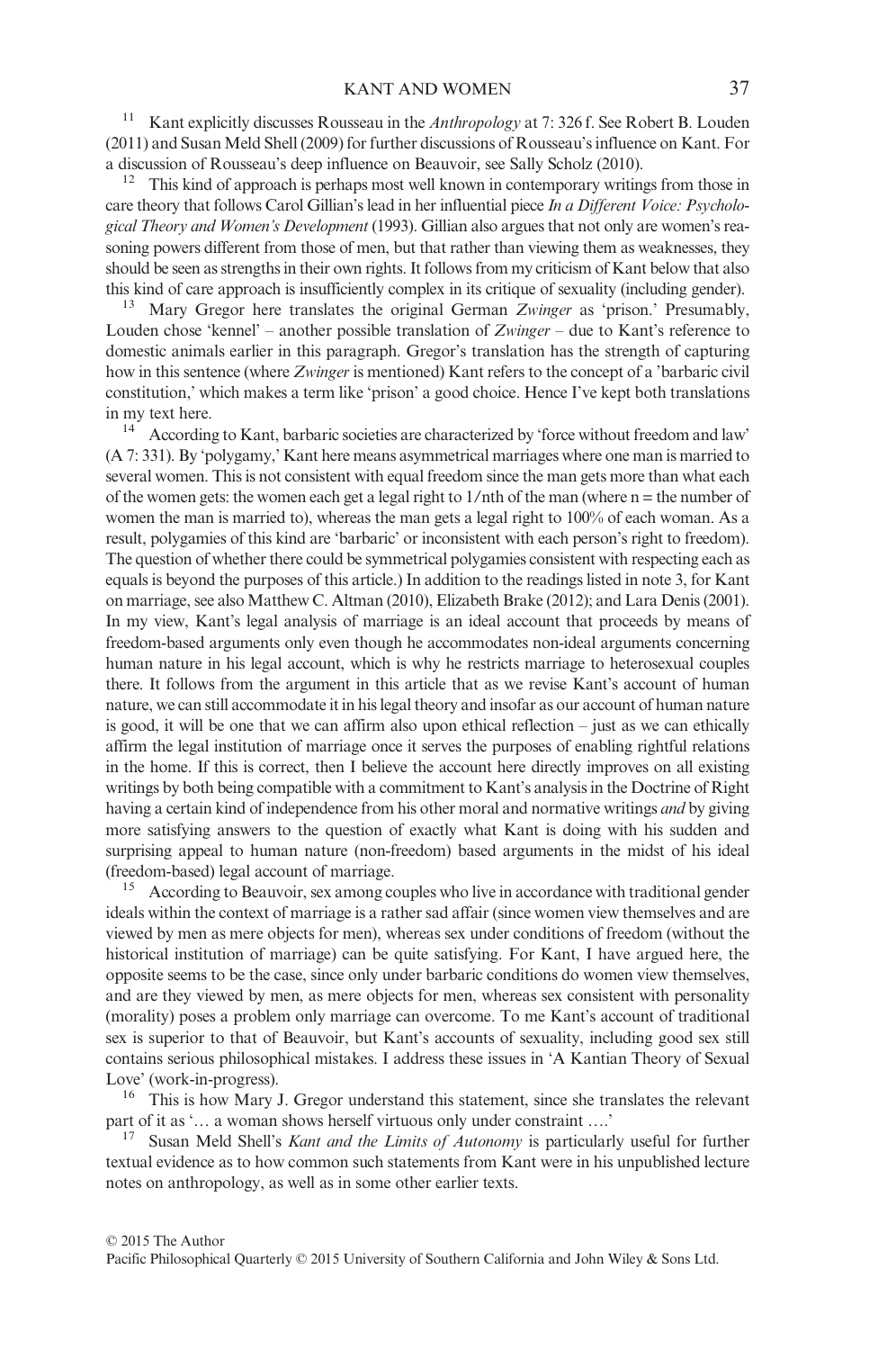<sup>11</sup> Kant explicitly discusses Rousseau in the *Anthropology* at 7:326 f. See Robert B. Louden (2011) and Susan Meld Shell (2009) for further discussions of Rousseau's influence on Kant. For a discussion of Rousseau's deep influence on Beauvoir, see Sally Scholz (2010).

<sup>12</sup> This kind of approach is perhaps most well known in contemporary writings from those in care theory that follows Carol Gillian's lead in her influential piece In a Different Voice: Psychological Theory and Women's Development (1993). Gillian also argues that not only are women's reasoning powers different from those of men, but that rather than viewing them as weaknesses, they should be seen as strengths in their own rights. It follows from my criticism of Kant below that also this kind of care approach is insufficiently complex in its critique of sexuality (including gender). 13 Mary Gregor here translates the original German Zwinger as 'prison.' Presumably,

Louden chose 'kennel' – another possible translation of Zwinger – due to Kant's reference to domestic animals earlier in this paragraph. Gregor's translation has the strength of capturing how in this sentence (where Zwinger is mentioned) Kant refers to the concept of a 'barbaric civil constitution,' which makes a term like 'prison' a good choice. Hence I've kept both translations in my text here.

<sup>14</sup> According to Kant, barbaric societies are characterized by 'force without freedom and law' (A 7: 331). By 'polygamy,' Kant here means asymmetrical marriages where one man is married to several women. This is not consistent with equal freedom since the man gets more than what each of the women gets: the women each get a legal right to  $1/nh$  of the man (where  $n =$  the number of women the man is married to), whereas the man gets a legal right to 100% of each woman. As a result, polygamies of this kind are 'barbaric' or inconsistent with each person's right to freedom). The question of whether there could be symmetrical polygamies consistent with respecting each as equals is beyond the purposes of this article.) In addition to the readings listed in note 3, for Kant on marriage, see also Matthew C. Altman (2010), Elizabeth Brake (2012); and Lara Denis (2001). In my view, Kant's legal analysis of marriage is an ideal account that proceeds by means of freedom-based arguments only even though he accommodates non-ideal arguments concerning human nature in his legal account, which is why he restricts marriage to heterosexual couples there. It follows from the argument in this article that as we revise Kant's account of human nature, we can still accommodate it in his legal theory and insofar as our account of human nature is good, it will be one that we can affirm also upon ethical reflection – just as we can ethically affirm the legal institution of marriage once it serves the purposes of enabling rightful relations in the home. If this is correct, then I believe the account here directly improves on all existing writings by both being compatible with a commitment to Kant's analysis in the Doctrine of Right having a certain kind of independence from his other moral and normative writings *and* by giving more satisfying answers to the question of exactly what Kant is doing with his sudden and surprising appeal to human nature (non-freedom) based arguments in the midst of his ideal (freedom-based) legal account of marriage.<br><sup>15</sup> According to Beauvoir, sex among couples who live in accordance with traditional gender

ideals within the context of marriage is a rather sad affair (since women view themselves and are viewed by men as mere objects for men), whereas sex under conditions of freedom (without the historical institution of marriage) can be quite satisfying. For Kant, I have argued here, the opposite seems to be the case, since only under barbaric conditions do women view themselves, and are they viewed by men, as mere objects for men, whereas sex consistent with personality (morality) poses a problem only marriage can overcome. To me Kant's account of traditional sex is superior to that of Beauvoir, but Kant's accounts of sexuality, including good sex still contains serious philosophical mistakes. I address these issues in 'A Kantian Theory of Sexual Love' (work-in-progress).<br><sup>16</sup> This is how Mary J. Gregor understand this statement, since she translates the relevant

part of it as '… a woman shows herself virtuous only under constraint ….'

Susan Meld Shell's *Kant and the Limits of Autonomy* is particularly useful for further textual evidence as to how common such statements from Kant were in his unpublished lecture notes on anthropology, as well as in some other earlier texts.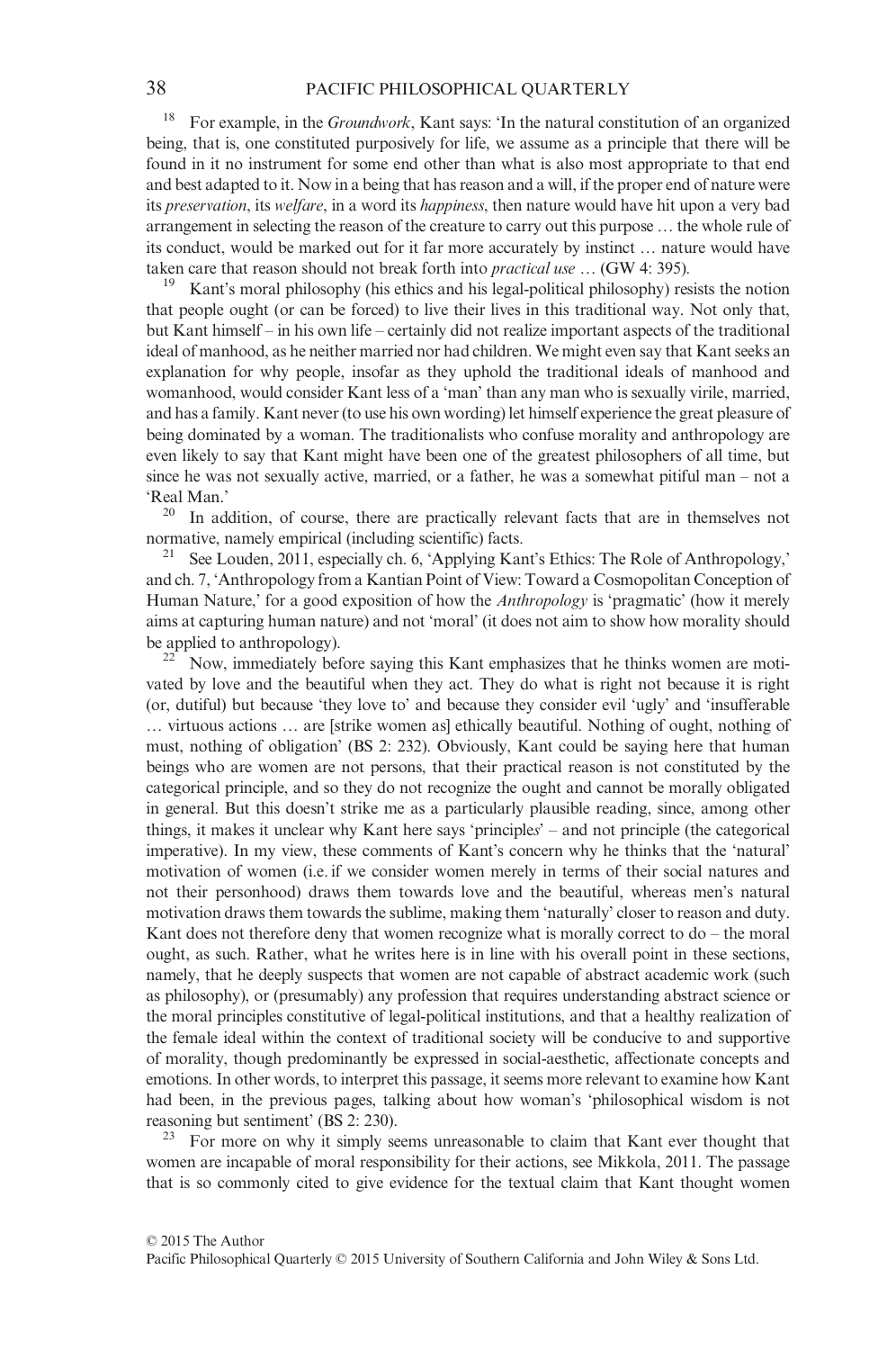<sup>18</sup> For example, in the *Groundwork*, Kant says: 'In the natural constitution of an organized being, that is, one constituted purposively for life, we assume as a principle that there will be found in it no instrument for some end other than what is also most appropriate to that end and best adapted to it. Now in a being that has reason and a will, if the proper end of nature were its *preservation*, its *welfare*, in a word its *happiness*, then nature would have hit upon a very bad arrangement in selecting the reason of the creature to carry out this purpose … the whole rule of its conduct, would be marked out for it far more accurately by instinct … nature would have taken care that reason should not break forth into practical use … (GW 4: 395).

Kant's moral philosophy (his ethics and his legal-political philosophy) resists the notion that people ought (or can be forced) to live their lives in this traditional way. Not only that, but Kant himself – in his own life – certainly did not realize important aspects of the traditional ideal of manhood, as he neither married nor had children. We might even say that Kant seeks an explanation for why people, insofar as they uphold the traditional ideals of manhood and womanhood, would consider Kant less of a 'man' than any man who is sexually virile, married, and has a family. Kant never (to use his own wording) let himself experience the great pleasure of being dominated by a woman. The traditionalists who confuse morality and anthropology are even likely to say that Kant might have been one of the greatest philosophers of all time, but since he was not sexually active, married, or a father, he was a somewhat pitiful man – not a 'Real Man.'

<sup>20</sup> In addition, of course, there are practically relevant facts that are in themselves not normative, namely empirical (including scientific) facts.

<sup>21</sup> See Louden, 2011, especially ch. 6, 'Applying Kant's Ethics: The Role of Anthropology,' and ch. 7, 'Anthropology from a Kantian Point of View: Toward a Cosmopolitan Conception of Human Nature,' for a good exposition of how the *Anthropology* is 'pragmatic' (how it merely aims at capturing human nature) and not 'moral' (it does not aim to show how morality should be applied to anthropology).

Now, immediately before saying this Kant emphasizes that he thinks women are motivated by love and the beautiful when they act. They do what is right not because it is right (or, dutiful) but because 'they love to' and because they consider evil 'ugly' and 'insufferable … virtuous actions … are [strike women as] ethically beautiful. Nothing of ought, nothing of must, nothing of obligation' (BS 2: 232). Obviously, Kant could be saying here that human beings who are women are not persons, that their practical reason is not constituted by the categorical principle, and so they do not recognize the ought and cannot be morally obligated in general. But this doesn't strike me as a particularly plausible reading, since, among other things, it makes it unclear why Kant here says 'principles' – and not principle (the categorical imperative). In my view, these comments of Kant's concern why he thinks that the 'natural' motivation of women (i.e. if we consider women merely in terms of their social natures and not their personhood) draws them towards love and the beautiful, whereas men's natural motivation draws them towards the sublime, making them 'naturally' closer to reason and duty. Kant does not therefore deny that women recognize what is morally correct to do – the moral ought, as such. Rather, what he writes here is in line with his overall point in these sections, namely, that he deeply suspects that women are not capable of abstract academic work (such as philosophy), or (presumably) any profession that requires understanding abstract science or the moral principles constitutive of legal-political institutions, and that a healthy realization of the female ideal within the context of traditional society will be conducive to and supportive of morality, though predominantly be expressed in social-aesthetic, affectionate concepts and emotions. In other words, to interpret this passage, it seems more relevant to examine how Kant had been, in the previous pages, talking about how woman's 'philosophical wisdom is not reasoning but sentiment' (BS 2: 230).

<sup>23</sup> For more on why it simply seems unreasonable to claim that Kant ever thought that women are incapable of moral responsibility for their actions, see Mikkola, 2011. The passage that is so commonly cited to give evidence for the textual claim that Kant thought women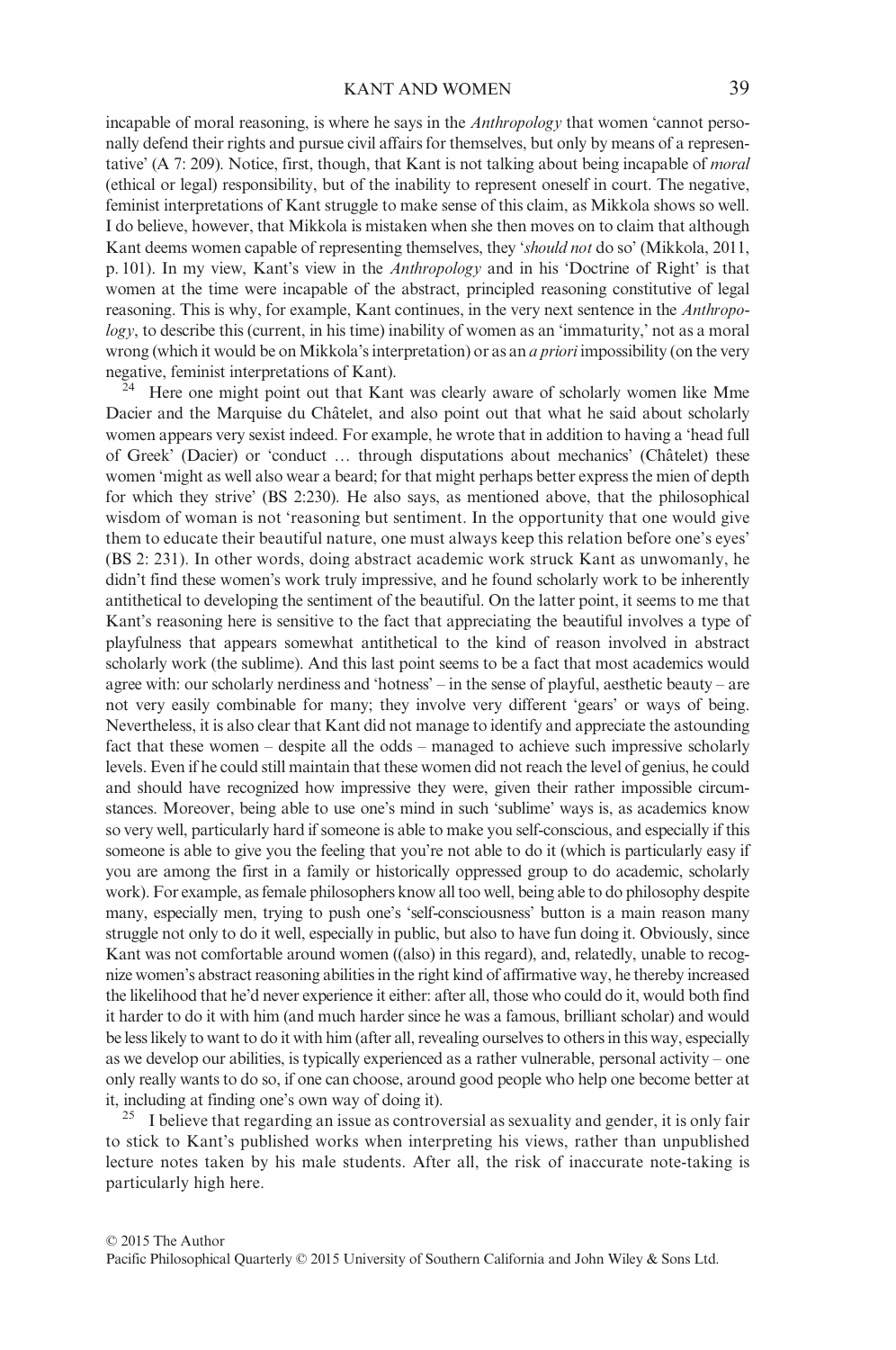#### KANT AND WOMEN 39

incapable of moral reasoning, is where he says in the *Anthropology* that women 'cannot personally defend their rights and pursue civil affairs for themselves, but only by means of a representative' (A 7: 209). Notice, first, though, that Kant is not talking about being incapable of moral (ethical or legal) responsibility, but of the inability to represent oneself in court. The negative, feminist interpretations of Kant struggle to make sense of this claim, as Mikkola shows so well. I do believe, however, that Mikkola is mistaken when she then moves on to claim that although Kant deems women capable of representing themselves, they 'should not do so' (Mikkola, 2011, p. 101). In my view, Kant's view in the Anthropology and in his 'Doctrine of Right' is that women at the time were incapable of the abstract, principled reasoning constitutive of legal reasoning. This is why, for example, Kant continues, in the very next sentence in the Anthropology, to describe this (current, in his time) inability of women as an 'immaturity,' not as a moral wrong (which it would be on Mikkola's interpretation) or as an a priori impossibility (on the very negative, feminist interpretations of Kant).

Here one might point out that Kant was clearly aware of scholarly women like Mme Dacier and the Marquise du Châtelet, and also point out that what he said about scholarly women appears very sexist indeed. For example, he wrote that in addition to having a 'head full of Greek' (Dacier) or 'conduct … through disputations about mechanics' (Châtelet) these women 'might as well also wear a beard; for that might perhaps better express the mien of depth for which they strive' (BS 2:230). He also says, as mentioned above, that the philosophical wisdom of woman is not 'reasoning but sentiment. In the opportunity that one would give them to educate their beautiful nature, one must always keep this relation before one's eyes' (BS 2: 231). In other words, doing abstract academic work struck Kant as unwomanly, he didn't find these women's work truly impressive, and he found scholarly work to be inherently antithetical to developing the sentiment of the beautiful. On the latter point, it seems to me that Kant's reasoning here is sensitive to the fact that appreciating the beautiful involves a type of playfulness that appears somewhat antithetical to the kind of reason involved in abstract scholarly work (the sublime). And this last point seems to be a fact that most academics would agree with: our scholarly nerdiness and 'hotness' – in the sense of playful, aesthetic beauty – are not very easily combinable for many; they involve very different 'gears' or ways of being. Nevertheless, it is also clear that Kant did not manage to identify and appreciate the astounding fact that these women – despite all the odds – managed to achieve such impressive scholarly levels. Even if he could still maintain that these women did not reach the level of genius, he could and should have recognized how impressive they were, given their rather impossible circumstances. Moreover, being able to use one's mind in such 'sublime' ways is, as academics know so very well, particularly hard if someone is able to make you self-conscious, and especially if this someone is able to give you the feeling that you're not able to do it (which is particularly easy if you are among the first in a family or historically oppressed group to do academic, scholarly work). For example, as female philosophers know all too well, being able to do philosophy despite many, especially men, trying to push one's 'self-consciousness' button is a main reason many struggle not only to do it well, especially in public, but also to have fun doing it. Obviously, since Kant was not comfortable around women ((also) in this regard), and, relatedly, unable to recognize women's abstract reasoning abilities in the right kind of affirmative way, he thereby increased the likelihood that he'd never experience it either: after all, those who could do it, would both find it harder to do it with him (and much harder since he was a famous, brilliant scholar) and would be less likely to want to do it with him (after all, revealing ourselves to others in this way, especially as we develop our abilities, is typically experienced as a rather vulnerable, personal activity – one only really wants to do so, if one can choose, around good people who help one become better at it, including at finding one's own way of doing it).

 $25$  I believe that regarding an issue as controversial as sexuality and gender, it is only fair to stick to Kant's published works when interpreting his views, rather than unpublished lecture notes taken by his male students. After all, the risk of inaccurate note-taking is particularly high here.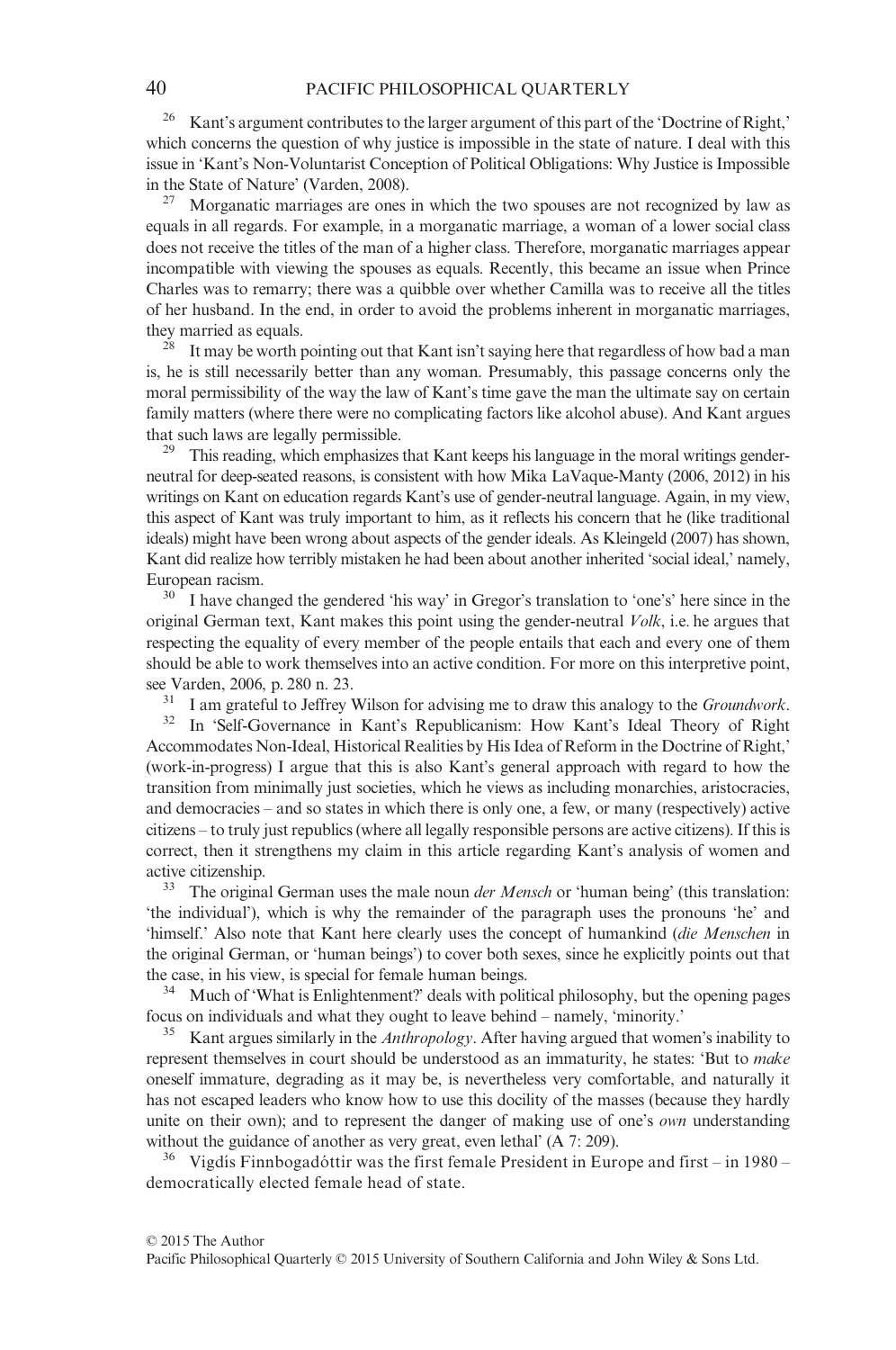<sup>26</sup> Kant's argument contributes to the larger argument of this part of the 'Doctrine of Right,' which concerns the question of why justice is impossible in the state of nature. I deal with this issue in 'Kant's Non-Voluntarist Conception of Political Obligations: Why Justice is Impossible in the State of Nature' (Varden, 2008).<br> $^{27}$  Morganatic marriages are ones

<sup>27</sup> Morganatic marriages are ones in which the two spouses are not recognized by law as equals in all regards. For example, in a morganatic marriage, a woman of a lower social class does not receive the titles of the man of a higher class. Therefore, morganatic marriages appear incompatible with viewing the spouses as equals. Recently, this became an issue when Prince Charles was to remarry; there was a quibble over whether Camilla was to receive all the titles of her husband. In the end, in order to avoid the problems inherent in morganatic marriages, they married as equals. 28 It may be worth pointing out that Kant isn't saying here that regardless of how bad a man

is, he is still necessarily better than any woman. Presumably, this passage concerns only the moral permissibility of the way the law of Kant's time gave the man the ultimate say on certain family matters (where there were no complicating factors like alcohol abuse). And Kant argues that such laws are legally permissible.<br><sup>29</sup> This reading, which emphasizes that Kant keeps his language in the moral writings gender-

neutral for deep-seated reasons, is consistent with how Mika LaVaque-Manty (2006, 2012) in his writings on Kant on education regards Kant's use of gender-neutral language. Again, in my view, this aspect of Kant was truly important to him, as it reflects his concern that he (like traditional ideals) might have been wrong about aspects of the gender ideals. As Kleingeld (2007) has shown, Kant did realize how terribly mistaken he had been about another inherited 'social ideal,' namely, European racism.

<sup>30</sup> I have changed the gendered 'his way' in Gregor's translation to 'one's' here since in the original German text, Kant makes this point using the gender-neutral Volk, i.e. he argues that respecting the equality of every member of the people entails that each and every one of them should be able to work themselves into an active condition. For more on this interpretive point, see Varden, 2006, p. 280 n. 23.

<sup>31</sup> I am grateful to Jeffrey Wilson for advising me to draw this analogy to the *Groundwork*. <sup>32</sup> In 'Self-Governance in Kant's Republicanism: How Kant's Ideal Theory of Right Accommodates Non-Ideal, Historical Realities by His Idea of Reform in the Doctrine of Right,' (work-in-progress) I argue that this is also Kant's general approach with regard to how the transition from minimally just societies, which he views as including monarchies, aristocracies, and democracies – and so states in which there is only one, a few, or many (respectively) active citizens – to truly just republics (where all legally responsible persons are active citizens). If this is correct, then it strengthens my claim in this article regarding Kant's analysis of women and

active citizenship.<br> $33$  The original German uses the male noun *der Mensch* or 'human being' (this translation: 'the individual'), which is why the remainder of the paragraph uses the pronouns 'he' and 'himself.' Also note that Kant here clearly uses the concept of humankind (die Menschen in the original German, or 'human beings') to cover both sexes, since he explicitly points out that the case, in his view, is special for female human beings.<br><sup>34</sup> Much of 'What is Enlightenment?' deals with political philosophy, but the opening pages

focus on individuals and what they ought to leave behind – namely, 'minority.'

Kant argues similarly in the Anthropology. After having argued that women's inability to represent themselves in court should be understood as an immaturity, he states: 'But to make oneself immature, degrading as it may be, is nevertheless very comfortable, and naturally it has not escaped leaders who know how to use this docility of the masses (because they hardly unite on their own); and to represent the danger of making use of one's *own* understanding without the guidance of another as very great, even lethal' (A 7: 209).<br><sup>36</sup> Vigdís Finnbogadóttir was the first female President in Europe and first – in 1980 –

democratically elected female head of state.

<sup>© 2015</sup> The Author

Pacific Philosophical Quarterly © 2015 University of Southern California and John Wiley & Sons Ltd.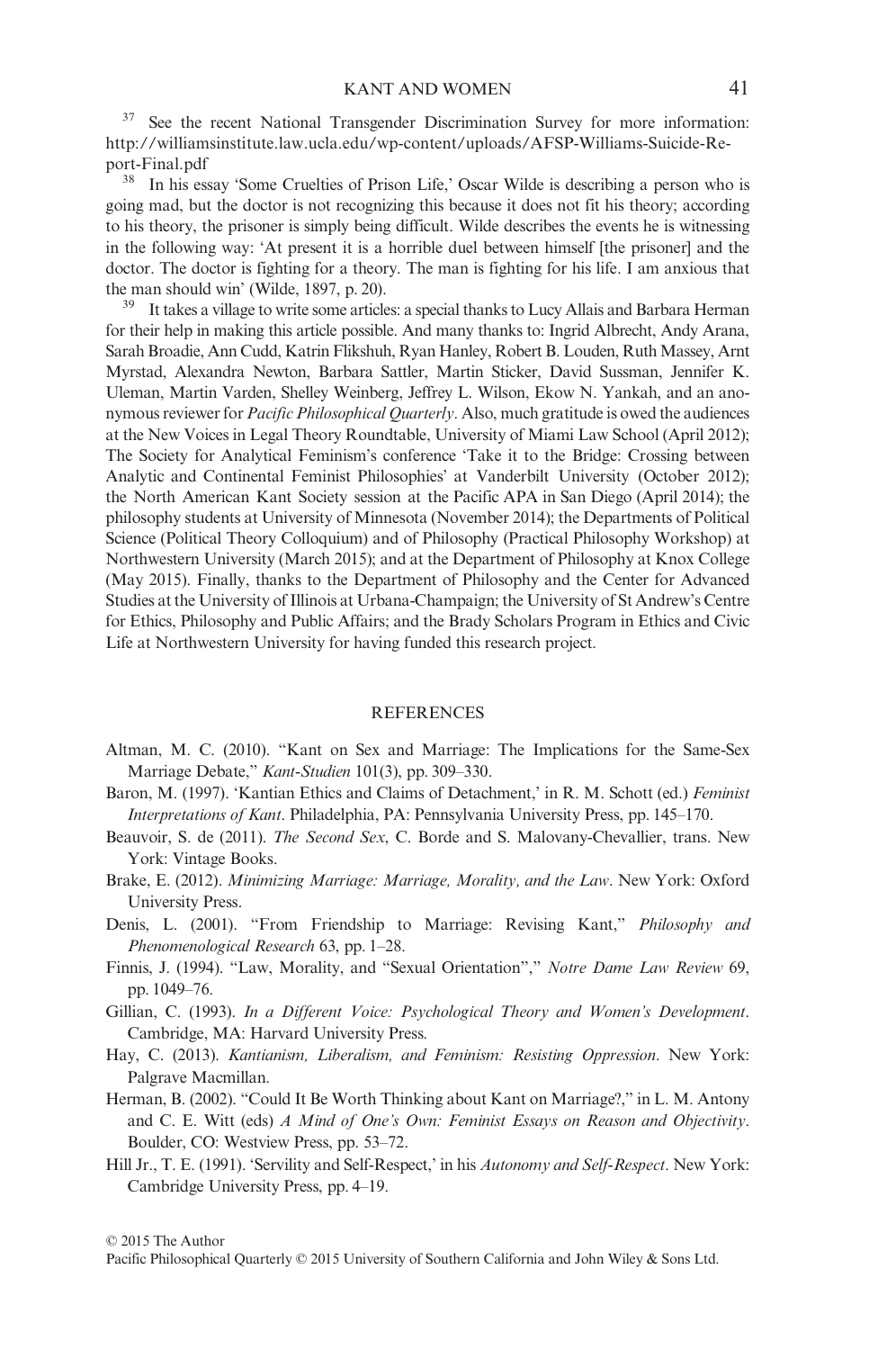<sup>37</sup> See the recent National Transgender Discrimination Survey for more information: [http://williamsinstitute.law.ucla.edu/wp-content/uploads/AFSP-Williams-Suicide-Re](http://williamsinstitute.law.ucla.edu/wp-content/uploads/AFSP-Williams-Suicide-Report-Final.pdf)[port-Final.pdf](http://williamsinstitute.law.ucla.edu/wp-content/uploads/AFSP-Williams-Suicide-Report-Final.pdf)

<sup>38</sup> In his essay 'Some Cruelties of Prison Life,' Oscar Wilde is describing a person who is going mad, but the doctor is not recognizing this because it does not fit his theory; according to his theory, the prisoner is simply being difficult. Wilde describes the events he is witnessing in the following way: 'At present it is a horrible duel between himself [the prisoner] and the doctor. The doctor is fighting for a theory. The man is fighting for his life. I am anxious that the man should win' (Wilde, 1897, p. 20).<br><sup>39</sup> It takes a village to write some articles: a special thanks to Lucy Allais and Barbara Herman

for their help in making this article possible. And many thanks to: Ingrid Albrecht, Andy Arana, Sarah Broadie, Ann Cudd, Katrin Flikshuh, Ryan Hanley, Robert B. Louden, Ruth Massey, Arnt Myrstad, Alexandra Newton, Barbara Sattler, Martin Sticker, David Sussman, Jennifer K. Uleman, Martin Varden, Shelley Weinberg, Jeffrey L. Wilson, Ekow N. Yankah, and an anonymous reviewer for Pacific Philosophical Quarterly. Also, much gratitude is owed the audiences at the New Voices in Legal Theory Roundtable, University of Miami Law School (April 2012); The Society for Analytical Feminism's conference 'Take it to the Bridge: Crossing between Analytic and Continental Feminist Philosophies' at Vanderbilt University (October 2012); the North American Kant Society session at the Pacific APA in San Diego (April 2014); the philosophy students at University of Minnesota (November 2014); the Departments of Political Science (Political Theory Colloquium) and of Philosophy (Practical Philosophy Workshop) at Northwestern University (March 2015); and at the Department of Philosophy at Knox College (May 2015). Finally, thanks to the Department of Philosophy and the Center for Advanced Studies at the University of Illinois at Urbana-Champaign; the University of St Andrew's Centre for Ethics, Philosophy and Public Affairs; and the Brady Scholars Program in Ethics and Civic Life at Northwestern University for having funded this research project.

#### REFERENCES

- Altman, M. C. (2010). "Kant on Sex and Marriage: The Implications for the Same-Sex Marriage Debate," Kant-Studien 101(3), pp. 309–330.
- Baron, M. (1997). 'Kantian Ethics and Claims of Detachment,' in R. M. Schott (ed.) Feminist Interpretations of Kant. Philadelphia, PA: Pennsylvania University Press, pp. 145–170.
- Beauvoir, S. de (2011). *The Second Sex*, C. Borde and S. Malovany-Chevallier, trans. New York: Vintage Books.
- Brake, E. (2012). Minimizing Marriage: Marriage, Morality, and the Law. New York: Oxford University Press.
- Denis, L. (2001). "From Friendship to Marriage: Revising Kant," Philosophy and Phenomenological Research 63, pp. 1–28.
- Finnis, J. (1994). "Law, Morality, and "Sexual Orientation"," Notre Dame Law Review 69, pp. 1049–76.
- Gillian, C. (1993). In a Different Voice: Psychological Theory and Women's Development. Cambridge, MA: Harvard University Press.
- Hay, C. (2013). Kantianism, Liberalism, and Feminism: Resisting Oppression. New York: Palgrave Macmillan.
- Herman, B. (2002). "Could It Be Worth Thinking about Kant on Marriage?," in L. M. Antony and C. E. Witt (eds) A Mind of One's Own: Feminist Essays on Reason and Objectivity. Boulder, CO: Westview Press, pp. 53–72.
- Hill Jr., T. E. (1991). 'Servility and Self-Respect,' in his Autonomy and Self-Respect. New York: Cambridge University Press, pp. 4–19.

© 2015 The Author

Pacific Philosophical Quarterly © 2015 University of Southern California and John Wiley & Sons Ltd.